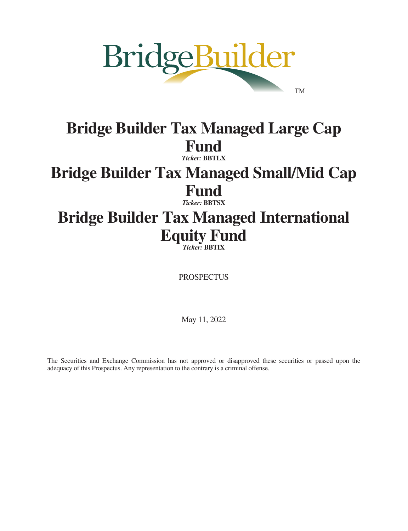

# **Bridge Builder Tax Managed Large Cap Fund** *Ticker:* **BBTLX**

# **Bridge Builder Tax Managed Small/Mid Cap Fund**

*Ticker:* **BBTSX**

# **Bridge Builder Tax Managed International Equity Fund**

*Ticker:* **BBTIX**

PROSPECTUS

May 11, 2022

The Securities and Exchange Commission has not approved or disapproved these securities or passed upon the adequacy of this Prospectus. Any representation to the contrary is a criminal offense.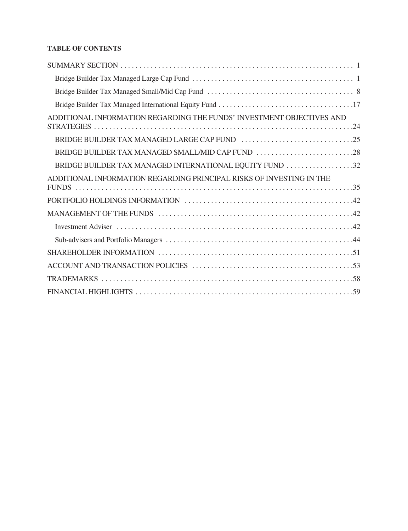# **TABLE OF CONTENTS**

| ADDITIONAL INFORMATION REGARDING THE FUNDS' INVESTMENT OBJECTIVES AND |
|-----------------------------------------------------------------------|
|                                                                       |
|                                                                       |
| BRIDGE BUILDER TAX MANAGED INTERNATIONAL EQUITY FUND 32               |
| ADDITIONAL INFORMATION REGARDING PRINCIPAL RISKS OF INVESTING IN THE  |
|                                                                       |
|                                                                       |
|                                                                       |
|                                                                       |
|                                                                       |
|                                                                       |
|                                                                       |
|                                                                       |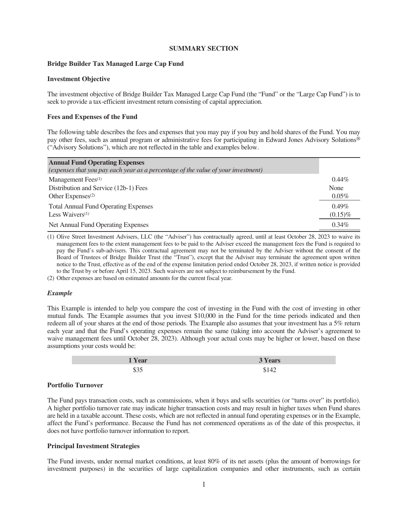# **SUMMARY SECTION**

# <span id="page-2-1"></span><span id="page-2-0"></span>**Bridge Builder Tax Managed Large Cap Fund**

# **Investment Objective**

The investment objective of Bridge Builder Tax Managed Large Cap Fund (the "Fund" or the "Large Cap Fund") is to seek to provide a tax-efficient investment return consisting of capital appreciation.

# **Fees and Expenses of the Fund**

The following table describes the fees and expenses that you may pay if you buy and hold shares of the Fund. You may pay other fees, such as annual program or administrative fees for participating in Edward Jones Advisory Solutions® ("Advisory Solutions"), which are not reflected in the table and examples below.

| <b>Annual Fund Operating Expenses</b>                                             |            |
|-----------------------------------------------------------------------------------|------------|
| (expenses that you pay each year as a percentage of the value of your investment) |            |
| Management Fees <sup>(1)</sup>                                                    | $0.44\%$   |
| Distribution and Service (12b-1) Fees                                             | None       |
| Other Expenses $(2)$                                                              | $0.05\%$   |
| <b>Total Annual Fund Operating Expenses</b>                                       | 0.49%      |
| Less Waivers $(1)$                                                                | $(0.15)\%$ |
| Net Annual Fund Operating Expenses                                                | $0.34\%$   |

(1) Olive Street Investment Advisers, LLC (the "Adviser") has contractually agreed, until at least October 28, 2023 to waive its management fees to the extent management fees to be paid to the Adviser exceed the management fees the Fund is required to pay the Fund's sub-advisers. This contractual agreement may not be terminated by the Adviser without the consent of the Board of Trustees of Bridge Builder Trust (the "Trust"), except that the Adviser may terminate the agreement upon written notice to the Trust, effective as of the end of the expense limitation period ended October 28, 2023, if written notice is provided to the Trust by or before April 15, 2023. Such waivers are not subject to reimbursement by the Fund.

(2) Other expenses are based on estimated amounts for the current fiscal year.

#### *Example*

This Example is intended to help you compare the cost of investing in the Fund with the cost of investing in other mutual funds. The Example assumes that you invest \$10,000 in the Fund for the time periods indicated and then redeem all of your shares at the end of those periods. The Example also assumes that your investment has a 5% return each year and that the Fund's operating expenses remain the same (taking into account the Adviser's agreement to waive management fees until October 28, 2023). Although your actual costs may be higher or lower, based on these assumptions your costs would be:

| 'Year |          |
|-------|----------|
| 、     | ^۸.<br>. |

#### **Portfolio Turnover**

The Fund pays transaction costs, such as commissions, when it buys and sells securities (or "turns over" its portfolio). A higher portfolio turnover rate may indicate higher transaction costs and may result in higher taxes when Fund shares are held in a taxable account. These costs, which are not reflected in annual fund operating expenses or in the Example, affect the Fund's performance. Because the Fund has not commenced operations as of the date of this prospectus, it does not have portfolio turnover information to report.

#### **Principal Investment Strategies**

The Fund invests, under normal market conditions, at least 80% of its net assets (plus the amount of borrowings for investment purposes) in the securities of large capitalization companies and other instruments, such as certain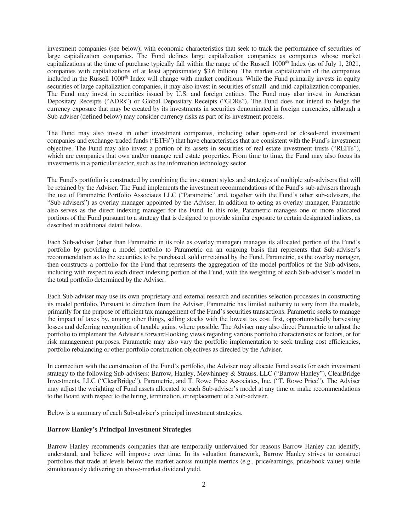investment companies (see below), with economic characteristics that seek to track the performance of securities of large capitalization companies. The Fund defines large capitalization companies as companies whose market capitalizations at the time of purchase typically fall within the range of the Russell 1000® Index (as of July 1, 2021, companies with capitalizations of at least approximately \$3.6 billion). The market capitalization of the companies included in the Russell 1000® Index will change with market conditions. While the Fund primarily invests in equity securities of large capitalization companies, it may also invest in securities of small- and mid-capitalization companies. The Fund may invest in securities issued by U.S. and foreign entities. The Fund may also invest in American Depositary Receipts ("ADRs") or Global Depositary Receipts ("GDRs"). The Fund does not intend to hedge the currency exposure that may be created by its investments in securities denominated in foreign currencies, although a Sub-adviser (defined below) may consider currency risks as part of its investment process.

The Fund may also invest in other investment companies, including other open-end or closed-end investment companies and exchange-traded funds ("ETFs") that have characteristics that are consistent with the Fund's investment objective. The Fund may also invest a portion of its assets in securities of real estate investment trusts ("REITs"), which are companies that own and/or manage real estate properties. From time to time, the Fund may also focus its investments in a particular sector, such as the information technology sector.

The Fund's portfolio is constructed by combining the investment styles and strategies of multiple sub-advisers that will be retained by the Adviser. The Fund implements the investment recommendations of the Fund's sub-advisers through the use of Parametric Portfolio Associates LLC ("Parametric" and, together with the Fund's other sub-advisers, the "Sub-advisers") as overlay manager appointed by the Adviser. In addition to acting as overlay manager, Parametric also serves as the direct indexing manager for the Fund. In this role, Parametric manages one or more allocated portions of the Fund pursuant to a strategy that is designed to provide similar exposure to certain designated indices, as described in additional detail below.

Each Sub-adviser (other than Parametric in its role as overlay manager) manages its allocated portion of the Fund's portfolio by providing a model portfolio to Parametric on an ongoing basis that represents that Sub-adviser's recommendation as to the securities to be purchased, sold or retained by the Fund. Parametric, as the overlay manager, then constructs a portfolio for the Fund that represents the aggregation of the model portfolios of the Sub-advisers, including with respect to each direct indexing portion of the Fund, with the weighting of each Sub-adviser's model in the total portfolio determined by the Adviser.

Each Sub-adviser may use its own proprietary and external research and securities selection processes in constructing its model portfolio. Pursuant to direction from the Adviser, Parametric has limited authority to vary from the models, primarily for the purpose of efficient tax management of the Fund's securities transactions. Parametric seeks to manage the impact of taxes by, among other things, selling stocks with the lowest tax cost first, opportunistically harvesting losses and deferring recognition of taxable gains, where possible. The Adviser may also direct Parametric to adjust the portfolio to implement the Adviser's forward-looking views regarding various portfolio characteristics or factors, or for risk management purposes. Parametric may also vary the portfolio implementation to seek trading cost efficiencies, portfolio rebalancing or other portfolio construction objectives as directed by the Adviser.

In connection with the construction of the Fund's portfolio, the Adviser may allocate Fund assets for each investment strategy to the following Sub-advisers: Barrow, Hanley, Mewhinney & Strauss, LLC ("Barrow Hanley"), ClearBridge Investments, LLC ("ClearBridge"), Parametric, and T. Rowe Price Associates, Inc. ("T. Rowe Price"). The Adviser may adjust the weighting of Fund assets allocated to each Sub-adviser's model at any time or make recommendations to the Board with respect to the hiring, termination, or replacement of a Sub-adviser.

Below is a summary of each Sub-adviser's principal investment strategies.

#### **Barrow Hanley's Principal Investment Strategies**

Barrow Hanley recommends companies that are temporarily undervalued for reasons Barrow Hanley can identify, understand, and believe will improve over time. In its valuation framework, Barrow Hanley strives to construct portfolios that trade at levels below the market across multiple metrics (e.g., price/earnings, price/book value) while simultaneously delivering an above-market dividend yield.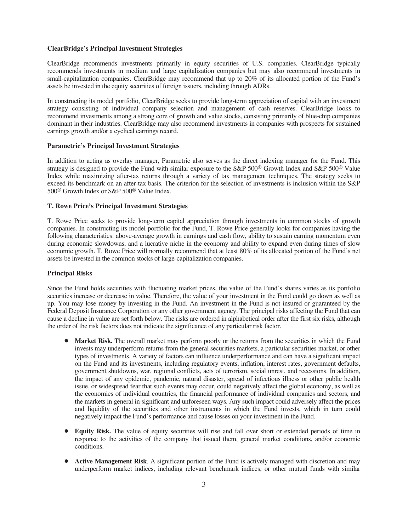# **ClearBridge's Principal Investment Strategies**

ClearBridge recommends investments primarily in equity securities of U.S. companies. ClearBridge typically recommends investments in medium and large capitalization companies but may also recommend investments in small-capitalization companies. ClearBridge may recommend that up to 20% of its allocated portion of the Fund's assets be invested in the equity securities of foreign issuers, including through ADRs.

In constructing its model portfolio, ClearBridge seeks to provide long-term appreciation of capital with an investment strategy consisting of individual company selection and management of cash reserves. ClearBridge looks to recommend investments among a strong core of growth and value stocks, consisting primarily of blue-chip companies dominant in their industries. ClearBridge may also recommend investments in companies with prospects for sustained earnings growth and/or a cyclical earnings record.

# **Parametric's Principal Investment Strategies**

In addition to acting as overlay manager, Parametric also serves as the direct indexing manager for the Fund. This strategy is designed to provide the Fund with similar exposure to the S&P 500<sup>®</sup> Growth Index and S&P 500<sup>®</sup> Value Index while maximizing after-tax returns through a variety of tax management techniques. The strategy seeks to exceed its benchmark on an after-tax basis. The criterion for the selection of investments is inclusion within the S&P 500® Growth Index or S&P 500® Value Index.

# **T. Rowe Price's Principal Investment Strategies**

T. Rowe Price seeks to provide long-term capital appreciation through investments in common stocks of growth companies. In constructing its model portfolio for the Fund, T. Rowe Price generally looks for companies having the following characteristics: above-average growth in earnings and cash flow, ability to sustain earning momentum even during economic slowdowns, and a lucrative niche in the economy and ability to expand even during times of slow economic growth. T. Rowe Price will normally recommend that at least 80% of its allocated portion of the Fund's net assets be invested in the common stocks of large-capitalization companies.

#### **Principal Risks**

Since the Fund holds securities with fluctuating market prices, the value of the Fund's shares varies as its portfolio securities increase or decrease in value. Therefore, the value of your investment in the Fund could go down as well as up. You may lose money by investing in the Fund. An investment in the Fund is not insured or guaranteed by the Federal Deposit Insurance Corporation or any other government agency. The principal risks affecting the Fund that can cause a decline in value are set forth below. The risks are ordered in alphabetical order after the first six risks, although the order of the risk factors does not indicate the significance of any particular risk factor.

- Market Risk. The overall market may perform poorly or the returns from the securities in which the Fund invests may underperform returns from the general securities markets, a particular securities market, or other types of investments. A variety of factors can influence underperformance and can have a significant impact on the Fund and its investments, including regulatory events, inflation, interest rates, government defaults, government shutdowns, war, regional conflicts, acts of terrorism, social unrest, and recessions. In addition, the impact of any epidemic, pandemic, natural disaster, spread of infectious illness or other public health issue, or widespread fear that such events may occur, could negatively affect the global economy, as well as the economies of individual countries, the financial performance of individual companies and sectors, and the markets in general in significant and unforeseen ways. Any such impact could adversely affect the prices and liquidity of the securities and other instruments in which the Fund invests, which in turn could negatively impact the Fund's performance and cause losses on your investment in the Fund.
- Equity Risk. The value of equity securities will rise and fall over short or extended periods of time in response to the activities of the company that issued them, general market conditions, and/or economic conditions.
- **Active Management Risk**. A significant portion of the Fund is actively managed with discretion and may underperform market indices, including relevant benchmark indices, or other mutual funds with similar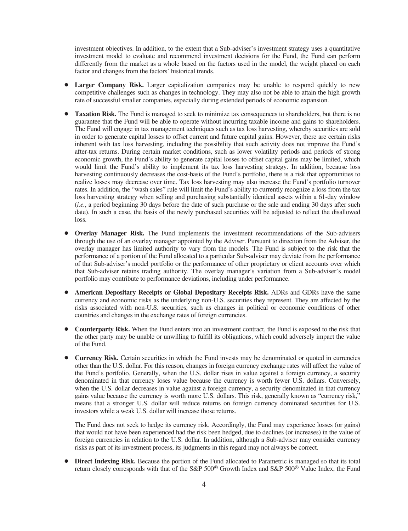investment objectives. In addition, to the extent that a Sub-adviser's investment strategy uses a quantitative investment model to evaluate and recommend investment decisions for the Fund, the Fund can perform differently from the market as a whole based on the factors used in the model, the weight placed on each factor and changes from the factors' historical trends.

- Larger Company Risk. Larger capitalization companies may be unable to respond quickly to new competitive challenges such as changes in technology. They may also not be able to attain the high growth rate of successful smaller companies, especially during extended periods of economic expansion.
- **Taxation Risk.** The Fund is managed to seek to minimize tax consequences to shareholders, but there is no guarantee that the Fund will be able to operate without incurring taxable income and gains to shareholders. The Fund will engage in tax management techniques such as tax loss harvesting, whereby securities are sold in order to generate capital losses to offset current and future capital gains. However, there are certain risks inherent with tax loss harvesting, including the possibility that such activity does not improve the Fund's after-tax returns. During certain market conditions, such as lower volatility periods and periods of strong economic growth, the Fund's ability to generate capital losses to offset capital gains may be limited, which would limit the Fund's ability to implement its tax loss harvesting strategy. In addition, because loss harvesting continuously decreases the cost-basis of the Fund's portfolio, there is a risk that opportunities to realize losses may decrease over time. Tax loss harvesting may also increase the Fund's portfolio turnover rates. In addition, the "wash sales" rule will limit the Fund's ability to currently recognize a loss from the tax loss harvesting strategy when selling and purchasing substantially identical assets within a 61-day window (*i.e.*, a period beginning 30 days before the date of such purchase or the sale and ending 30 days after such date). In such a case, the basis of the newly purchased securities will be adjusted to reflect the disallowed loss.
- Overlay Manager Risk. The Fund implements the investment recommendations of the Sub-advisers through the use of an overlay manager appointed by the Adviser. Pursuant to direction from the Adviser, the overlay manager has limited authority to vary from the models. The Fund is subject to the risk that the performance of a portion of the Fund allocated to a particular Sub-adviser may deviate from the performance of that Sub-adviser's model portfolio or the performance of other proprietary or client accounts over which that Sub-adviser retains trading authority. The overlay manager's variation from a Sub-adviser's model portfolio may contribute to performance deviations, including under performance.
- Š **American Depositary Receipts or Global Depositary Receipts Risk.** ADRs and GDRs have the same currency and economic risks as the underlying non-U.S. securities they represent. They are affected by the risks associated with non-U.S. securities, such as changes in political or economic conditions of other countries and changes in the exchange rates of foreign currencies.
- **Counterparty Risk.** When the Fund enters into an investment contract, the Fund is exposed to the risk that the other party may be unable or unwilling to fulfill its obligations, which could adversely impact the value of the Fund.
- **Currency Risk.** Certain securities in which the Fund invests may be denominated or quoted in currencies other than the U.S. dollar. For this reason, changes in foreign currency exchange rates will affect the value of the Fund's portfolio. Generally, when the U.S. dollar rises in value against a foreign currency, a security denominated in that currency loses value because the currency is worth fewer U.S. dollars. Conversely, when the U.S. dollar decreases in value against a foreign currency, a security denominated in that currency gains value because the currency is worth more U.S. dollars. This risk, generally known as "currency risk," means that a stronger U.S. dollar will reduce returns on foreign currency dominated securities for U.S. investors while a weak U.S. dollar will increase those returns.

The Fund does not seek to hedge its currency risk. Accordingly, the Fund may experience losses (or gains) that would not have been experienced had the risk been hedged, due to declines (or increases) in the value of foreign currencies in relation to the U.S. dollar. In addition, although a Sub-adviser may consider currency risks as part of its investment process, its judgments in this regard may not always be correct.

**Direct Indexing Risk.** Because the portion of the Fund allocated to Parametric is managed so that its total return closely corresponds with that of the S&P 500® Growth Index and S&P 500® Value Index, the Fund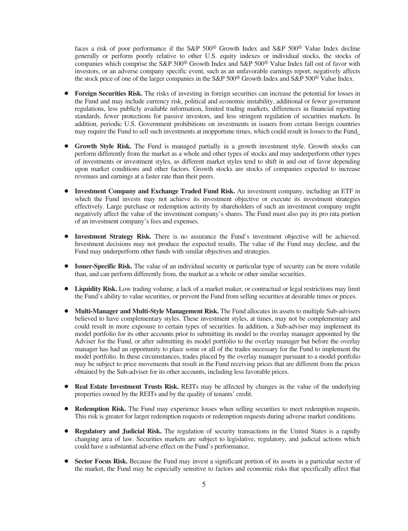faces a risk of poor performance if the S&P 500® Growth Index and S&P 500® Value Index decline generally or perform poorly relative to other U.S. equity indexes or individual stocks, the stocks of companies which comprise the S&P 500® Growth Index and S&P 500® Value Index fall out of favor with investors, or an adverse company specific event, such as an unfavorable earnings report, negatively affects the stock price of one of the larger companies in the S&P 500<sup>®</sup> Growth Index and S&P 500<sup>®</sup> Value Index.

- **Foreign Securities Risk.** The risks of investing in foreign securities can increase the potential for losses in the Fund and may include currency risk, political and economic instability, additional or fewer government regulations, less publicly available information, limited trading markets, differences in financial reporting standards, fewer protections for passive investors, and less stringent regulation of securities markets. In addition, periodic U.S. Government prohibitions on investments in issuers from certain foreign countries may require the Fund to sell such investments at inopportune times, which could result in losses to the Fund.
- **Growth Style Risk.** The Fund is managed partially in a growth investment style. Growth stocks can perform differently from the market as a whole and other types of stocks and may underperform other types of investments or investment styles, as different market styles tend to shift in and out of favor depending upon market conditions and other factors. Growth stocks are stocks of companies expected to increase revenues and earnings at a faster rate than their peers.
- **Investment Company and Exchange Traded Fund Risk.** An investment company, including an ETF in which the Fund invests may not achieve its investment objective or execute its investment strategies effectively. Large purchase or redemption activity by shareholders of such an investment company might negatively affect the value of the investment company's shares. The Fund must also pay its pro rata portion of an investment company's fees and expenses.
- Investment Strategy Risk. There is no assurance the Fund's investment objective will be achieved. Investment decisions may not produce the expected results. The value of the Fund may decline, and the Fund may underperform other funds with similar objectives and strategies.
- **Issuer-Specific Risk.** The value of an individual security or particular type of security can be more volatile than, and can perform differently from, the market as a whole or other similar securities.
- Liquidity Risk. Low trading volume, a lack of a market maker, or contractual or legal restrictions may limit the Fund's ability to value securities, or prevent the Fund from selling securities at desirable times or prices.
- **Multi-Manager and Multi-Style Management Risk.** The Fund allocates its assets to multiple Sub-advisers believed to have complementary styles. These investment styles, at times, may not be complementary and could result in more exposure to certain types of securities. In addition, a Sub-adviser may implement its model portfolio for its other accounts prior to submitting its model to the overlay manager appointed by the Adviser for the Fund, or after submitting its model portfolio to the overlay manager but before the overlay manager has had an opportunity to place some or all of the trades necessary for the Fund to implement the model portfolio. In these circumstances, trades placed by the overlay manager pursuant to a model portfolio may be subject to price movements that result in the Fund receiving prices that are different from the prices obtained by the Sub-adviser for its other accounts, including less favorable prices.
- Real Estate Investment Trusts Risk. REITs may be affected by changes in the value of the underlying properties owned by the REITs and by the quality of tenants' credit.
- **Redemption Risk.** The Fund may experience losses when selling securities to meet redemption requests. This risk is greater for larger redemption requests or redemption requests during adverse market conditions.
- **Regulatory and Judicial Risk.** The regulation of security transactions in the United States is a rapidly changing area of law. Securities markets are subject to legislative, regulatory, and judicial actions which could have a substantial adverse effect on the Fund's performance.
- Sector Focus Risk. Because the Fund may invest a significant portion of its assets in a particular sector of the market, the Fund may be especially sensitive to factors and economic risks that specifically affect that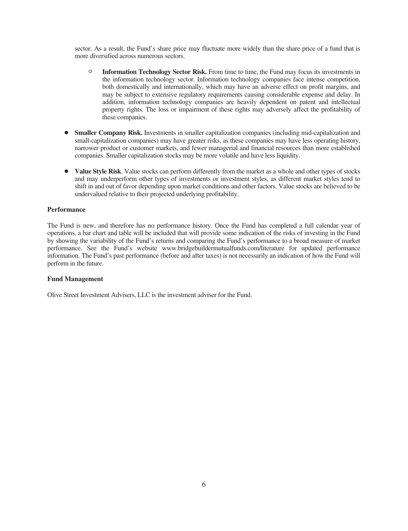sector. As a result, the Fund's share price may fluctuate more widely than the share price of a fund that is more diversified across numerous sectors.

- <sup>O</sup> **Information Technology Sector Risk.** From time to time, the Fund may focus its investments in the information technology sector. Information technology companies face intense competition, both domestically and internationally, which may have an adverse effect on profit margins, and may be subject to extensive regulatory requirements causing considerable expense and delay. In addition, information technology companies are heavily dependent on patent and intellectual property rights. The loss or impairment of these rights may adversely affect the profitability of these companies.
- **Smaller Company Risk.** Investments in smaller capitalization companies (including mid-capitalization and small-capitalization companies) may have greater risks, as these companies may have less operating history, narrower product or customer markets, and fewer managerial and financial resources than more established companies. Smaller capitalization stocks may be more volatile and have less liquidity.
- Value Style Risk. Value stocks can perform differently from the market as a whole and other types of stocks and may underperform other types of investments or investment styles, as different market styles tend to shift in and out of favor depending upon market conditions and other factors. Value stocks are believed to be undervalued relative to their projected underlying profitability.

## **Performance**

The Fund is new, and therefore has no performance history. Once the Fund has completed a full calendar year of operations, a bar chart and table will be included that will provide some indication of the risks of investing in the Fund by showing the variability of the Fund's returns and comparing the Fund's performance to a broad measure of market performance. See the Fund's website www.bridgebuildermutualfunds.com/literature for updated performance information. The Fund's past performance (before and after taxes) is not necessarily an indication of how the Fund will perform in the future.

# **Fund Management**

Olive Street Investment Advisers, LLC is the investment adviser for the Fund.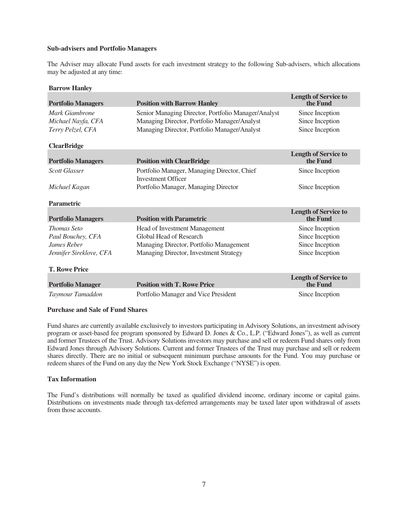# **Sub-advisers and Portfolio Managers**

The Adviser may allocate Fund assets for each investment strategy to the following Sub-advisers, which allocations may be adjusted at any time:

# **Barrow Hanley**

| <b>Portfolio Managers</b>                                                                                 | <b>Position with Barrow Hanley</b>                                                                                                                  | <b>Length of Service to</b><br>the Fund                                  |
|-----------------------------------------------------------------------------------------------------------|-----------------------------------------------------------------------------------------------------------------------------------------------------|--------------------------------------------------------------------------|
| Mark Giambrone<br>Michael Nayfa, CFA<br>Terry Pelzel, CFA<br><b>ClearBridge</b>                           | Senior Managing Director, Portfolio Manager/Analyst<br>Managing Director, Portfolio Manager/Analyst<br>Managing Director, Portfolio Manager/Analyst | Since Inception<br>Since Inception<br>Since Inception                    |
| <b>Portfolio Managers</b>                                                                                 | <b>Position with ClearBridge</b>                                                                                                                    | <b>Length of Service to</b><br>the Fund                                  |
| <b>Scott Glasser</b>                                                                                      | Portfolio Manager, Managing Director, Chief<br><b>Investment Officer</b>                                                                            | Since Inception                                                          |
| Michael Kagan                                                                                             | Portfolio Manager, Managing Director                                                                                                                | Since Inception                                                          |
| <b>Parametric</b>                                                                                         |                                                                                                                                                     |                                                                          |
| <b>Portfolio Managers</b>                                                                                 | <b>Position with Parametric</b>                                                                                                                     | <b>Length of Service to</b><br>the Fund                                  |
| <b>Thomas Seto</b><br>Paul Bouchey, CFA<br>James Reber<br>Jennifer Sireklove, CFA<br><b>T. Rowe Price</b> | Head of Investment Management<br>Global Head of Research<br>Managing Director, Portfolio Management<br>Managing Director, Investment Strategy       | Since Inception<br>Since Inception<br>Since Inception<br>Since Inception |
|                                                                                                           |                                                                                                                                                     | <b>Length of Service to</b>                                              |
| <b>Portfolio Manager</b>                                                                                  | <b>Position with T. Rowe Price</b>                                                                                                                  | the Fund                                                                 |
| Taymour Tamaddon                                                                                          | Portfolio Manager and Vice President                                                                                                                | Since Inception                                                          |

# **Purchase and Sale of Fund Shares**

Fund shares are currently available exclusively to investors participating in Advisory Solutions, an investment advisory program or asset-based fee program sponsored by Edward D. Jones & Co., L.P. ("Edward Jones"), as well as current and former Trustees of the Trust. Advisory Solutions investors may purchase and sell or redeem Fund shares only from Edward Jones through Advisory Solutions. Current and former Trustees of the Trust may purchase and sell or redeem shares directly. There are no initial or subsequent minimum purchase amounts for the Fund. You may purchase or redeem shares of the Fund on any day the New York Stock Exchange ("NYSE") is open.

#### **Tax Information**

The Fund's distributions will normally be taxed as qualified dividend income, ordinary income or capital gains. Distributions on investments made through tax-deferred arrangements may be taxed later upon withdrawal of assets from those accounts.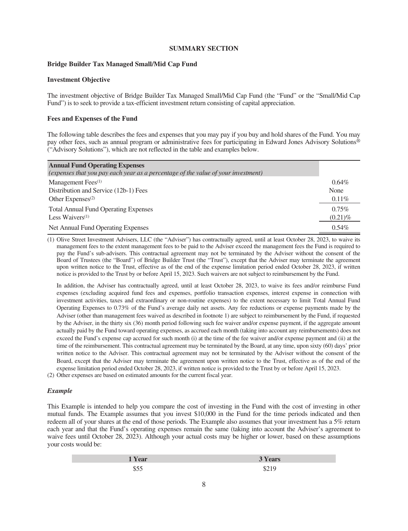# **SUMMARY SECTION**

# <span id="page-9-0"></span>**Bridge Builder Tax Managed Small/Mid Cap Fund**

# **Investment Objective**

The investment objective of Bridge Builder Tax Managed Small/Mid Cap Fund (the "Fund" or the "Small/Mid Cap Fund") is to seek to provide a tax-efficient investment return consisting of capital appreciation.

# **Fees and Expenses of the Fund**

The following table describes the fees and expenses that you may pay if you buy and hold shares of the Fund. You may pay other fees, such as annual program or administrative fees for participating in Edward Jones Advisory Solutions® ("Advisory Solutions"), which are not reflected in the table and examples below.

| <b>Annual Fund Operating Expenses</b>                                             |            |
|-----------------------------------------------------------------------------------|------------|
| (expenses that you pay each year as a percentage of the value of your investment) |            |
| Management Fees $(1)$                                                             | $0.64\%$   |
| Distribution and Service (12b-1) Fees                                             | None       |
| Other Expenses $(2)$                                                              | $0.11\%$   |
| <b>Total Annual Fund Operating Expenses</b>                                       | $0.75\%$   |
| Less Waivers $(1)$                                                                | $(0.21)\%$ |
| Net Annual Fund Operating Expenses                                                | $0.54\%$   |

(1) Olive Street Investment Advisers, LLC (the "Adviser") has contractually agreed, until at least October 28, 2023, to waive its management fees to the extent management fees to be paid to the Adviser exceed the management fees the Fund is required to pay the Fund's sub-advisers. This contractual agreement may not be terminated by the Adviser without the consent of the Board of Trustees (the "Board") of Bridge Builder Trust (the "Trust"), except that the Adviser may terminate the agreement upon written notice to the Trust, effective as of the end of the expense limitation period ended October 28, 2023, if written notice is provided to the Trust by or before April 15, 2023. Such waivers are not subject to reimbursement by the Fund.

In addition, the Adviser has contractually agreed, until at least October 28, 2023, to waive its fees and/or reimburse Fund expenses (excluding acquired fund fees and expenses, portfolio transaction expenses, interest expense in connection with investment activities, taxes and extraordinary or non-routine expenses) to the extent necessary to limit Total Annual Fund Operating Expenses to 0.73% of the Fund's average daily net assets. Any fee reductions or expense payments made by the Adviser (other than management fees waived as described in footnote 1) are subject to reimbursement by the Fund, if requested by the Adviser, in the thirty six (36) month period following such fee waiver and/or expense payment, if the aggregate amount actually paid by the Fund toward operating expenses, as accrued each month (taking into account any reimbursements) does not exceed the Fund's expense cap accrued for such month (i) at the time of the fee waiver and/or expense payment and (ii) at the time of the reimbursement. This contractual agreement may be terminated by the Board, at any time, upon sixty (60) days' prior written notice to the Adviser. This contractual agreement may not be terminated by the Adviser without the consent of the Board, except that the Adviser may terminate the agreement upon written notice to the Trust, effective as of the end of the expense limitation period ended October 28, 2023, if written notice is provided to the Trust by or before April 15, 2023.

(2) Other expenses are based on estimated amounts for the current fiscal year.

# *Example*

This Example is intended to help you compare the cost of investing in the Fund with the cost of investing in other mutual funds. The Example assumes that you invest \$10,000 in the Fund for the time periods indicated and then redeem all of your shares at the end of those periods. The Example also assumes that your investment has a 5% return each year and that the Fund's operating expenses remain the same (taking into account the Adviser's agreement to waive fees until October 28, 2023). Although your actual costs may be higher or lower, based on these assumptions your costs would be:

| 'Year | <b>3 Years</b> |
|-------|----------------|
|       | $\psi \sim 1$  |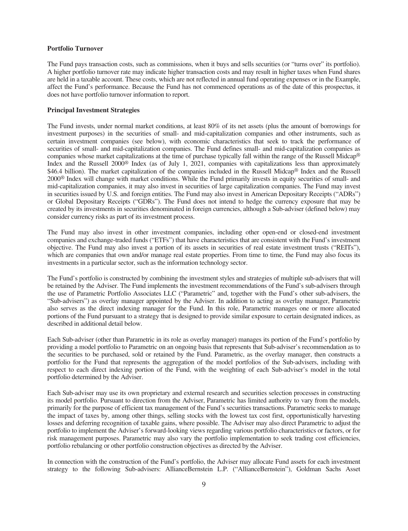#### **Portfolio Turnover**

The Fund pays transaction costs, such as commissions, when it buys and sells securities (or "turns over" its portfolio). A higher portfolio turnover rate may indicate higher transaction costs and may result in higher taxes when Fund shares are held in a taxable account. These costs, which are not reflected in annual fund operating expenses or in the Example, affect the Fund's performance. Because the Fund has not commenced operations as of the date of this prospectus, it does not have portfolio turnover information to report.

# **Principal Investment Strategies**

The Fund invests, under normal market conditions, at least 80% of its net assets (plus the amount of borrowings for investment purposes) in the securities of small- and mid-capitalization companies and other instruments, such as certain investment companies (see below), with economic characteristics that seek to track the performance of securities of small- and mid-capitalization companies. The Fund defines small- and mid-capitalization companies as companies whose market capitalizations at the time of purchase typically fall within the range of the Russell Midcap® Index and the Russell 2000® Index (as of July 1, 2021, companies with capitalizations less than approximately \$46.4 billion). The market capitalization of the companies included in the Russell Midcap® Index and the Russell 2000® Index will change with market conditions. While the Fund primarily invests in equity securities of small- and mid-capitalization companies, it may also invest in securities of large capitalization companies. The Fund may invest in securities issued by U.S. and foreign entities. The Fund may also invest in American Depositary Receipts ("ADRs") or Global Depositary Receipts ("GDRs"). The Fund does not intend to hedge the currency exposure that may be created by its investments in securities denominated in foreign currencies, although a Sub-adviser (defined below) may consider currency risks as part of its investment process.

The Fund may also invest in other investment companies, including other open-end or closed-end investment companies and exchange-traded funds ("ETFs") that have characteristics that are consistent with the Fund's investment objective. The Fund may also invest a portion of its assets in securities of real estate investment trusts ("REITs"), which are companies that own and/or manage real estate properties. From time to time, the Fund may also focus its investments in a particular sector, such as the information technology sector.

The Fund's portfolio is constructed by combining the investment styles and strategies of multiple sub-advisers that will be retained by the Adviser. The Fund implements the investment recommendations of the Fund's sub-advisers through the use of Parametric Portfolio Associates LLC ("Parametric" and, together with the Fund's other sub-advisers, the "Sub-advisers") as overlay manager appointed by the Adviser. In addition to acting as overlay manager, Parametric also serves as the direct indexing manager for the Fund. In this role, Parametric manages one or more allocated portions of the Fund pursuant to a strategy that is designed to provide similar exposure to certain designated indices, as described in additional detail below.

Each Sub-adviser (other than Parametric in its role as overlay manager) manages its portion of the Fund's portfolio by providing a model portfolio to Parametric on an ongoing basis that represents that Sub-adviser's recommendation as to the securities to be purchased, sold or retained by the Fund. Parametric, as the overlay manager, then constructs a portfolio for the Fund that represents the aggregation of the model portfolios of the Sub-advisers, including with respect to each direct indexing portion of the Fund, with the weighting of each Sub-adviser's model in the total portfolio determined by the Adviser.

Each Sub-adviser may use its own proprietary and external research and securities selection processes in constructing its model portfolio. Pursuant to direction from the Adviser, Parametric has limited authority to vary from the models, primarily for the purpose of efficient tax management of the Fund's securities transactions. Parametric seeks to manage the impact of taxes by, among other things, selling stocks with the lowest tax cost first, opportunistically harvesting losses and deferring recognition of taxable gains, where possible. The Adviser may also direct Parametric to adjust the portfolio to implement the Adviser's forward-looking views regarding various portfolio characteristics or factors, or for risk management purposes. Parametric may also vary the portfolio implementation to seek trading cost efficiencies, portfolio rebalancing or other portfolio construction objectives as directed by the Adviser.

In connection with the construction of the Fund's portfolio, the Adviser may allocate Fund assets for each investment strategy to the following Sub-advisers: AllianceBernstein L.P. ("AllianceBernstein"), Goldman Sachs Asset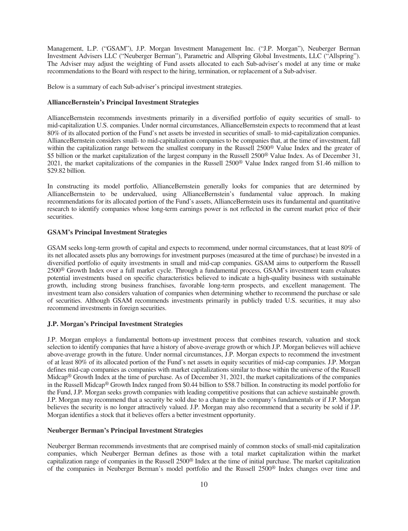Management, L.P. ("GSAM"), J.P. Morgan Investment Management Inc. ("J.P. Morgan"), Neuberger Berman Investment Advisers LLC ("Neuberger Berman"), Parametric and Allspring Global Investments, LLC ("Allspring"). The Adviser may adjust the weighting of Fund assets allocated to each Sub-adviser's model at any time or make recommendations to the Board with respect to the hiring, termination, or replacement of a Sub-adviser.

Below is a summary of each Sub-adviser's principal investment strategies.

# **AllianceBernstein's Principal Investment Strategies**

AllianceBernstein recommends investments primarily in a diversified portfolio of equity securities of small- to mid-capitalization U.S. companies. Under normal circumstances, AllianceBernstein expects to recommend that at least 80% of its allocated portion of the Fund's net assets be invested in securities of small- to mid-capitalization companies. AllianceBernstein considers small- to mid-capitalization companies to be companies that, at the time of investment, fall within the capitalization range between the smallest company in the Russell 2500<sup>®</sup> Value Index and the greater of \$5 billion or the market capitalization of the largest company in the Russell 2500<sup>®</sup> Value Index. As of December 31, 2021, the market capitalizations of the companies in the Russell 2500® Value Index ranged from \$1.46 million to \$29.82 billion.

In constructing its model portfolio, AllianceBernstein generally looks for companies that are determined by AllianceBernstein to be undervalued, using AllianceBernstein's fundamental value approach. In making recommendations for its allocated portion of the Fund's assets, AllianceBernstein uses its fundamental and quantitative research to identify companies whose long-term earnings power is not reflected in the current market price of their securities.

# **GSAM's Principal Investment Strategies**

GSAM seeks long-term growth of capital and expects to recommend, under normal circumstances, that at least 80% of its net allocated assets plus any borrowings for investment purposes (measured at the time of purchase) be invested in a diversified portfolio of equity investments in small and mid-cap companies. GSAM aims to outperform the Russell 2500® Growth Index over a full market cycle. Through a fundamental process, GSAM's investment team evaluates potential investments based on specific characteristics believed to indicate a high-quality business with sustainable growth, including strong business franchises, favorable long-term prospects, and excellent management. The investment team also considers valuation of companies when determining whether to recommend the purchase or sale of securities. Although GSAM recommends investments primarily in publicly traded U.S. securities, it may also recommend investments in foreign securities.

# **J.P. Morgan's Principal Investment Strategies**

J.P. Morgan employs a fundamental bottom-up investment process that combines research, valuation and stock selection to identify companies that have a history of above-average growth or which J.P. Morgan believes will achieve above-average growth in the future. Under normal circumstances, J.P. Morgan expects to recommend the investment of at least 80% of its allocated portion of the Fund's net assets in equity securities of mid-cap companies. J.P. Morgan defines mid-cap companies as companies with market capitalizations similar to those within the universe of the Russell Midcap® Growth Index at the time of purchase. As of December 31, 2021, the market capitalizations of the companies in the Russell Midcap® Growth Index ranged from \$0.44 billion to \$58.7 billion. In constructing its model portfolio for the Fund, J.P. Morgan seeks growth companies with leading competitive positions that can achieve sustainable growth. J.P. Morgan may recommend that a security be sold due to a change in the company's fundamentals or if J.P. Morgan believes the security is no longer attractively valued. J.P. Morgan may also recommend that a security be sold if J.P. Morgan identifies a stock that it believes offers a better investment opportunity.

# **Neuberger Berman's Principal Investment Strategies**

Neuberger Berman recommends investments that are comprised mainly of common stocks of small-mid capitalization companies, which Neuberger Berman defines as those with a total market capitalization within the market capitalization range of companies in the Russell 2500® Index at the time of initial purchase. The market capitalization of the companies in Neuberger Berman's model portfolio and the Russell 2500® Index changes over time and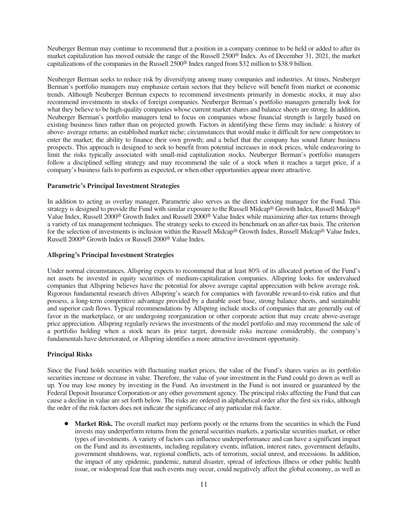Neuberger Berman may continue to recommend that a position in a company continue to be held or added to after its market capitalization has moved outside the range of the Russell 2500® Index. As of December 31, 2021, the market capitalizations of the companies in the Russell 2500® Index ranged from \$32 million to \$38.9 billion.

Neuberger Berman seeks to reduce risk by diversifying among many companies and industries. At times, Neuberger Berman's portfolio managers may emphasize certain sectors that they believe will benefit from market or economic trends. Although Neuberger Berman expects to recommend investments primarily in domestic stocks, it may also recommend investments in stocks of foreign companies. Neuberger Berman's portfolio managers generally look for what they believe to be high-quality companies whose current market shares and balance sheets are strong. In addition, Neuberger Berman's portfolio managers tend to focus on companies whose financial strength is largely based on existing business lines rather than on projected growth. Factors in identifying these firms may include: a history of above- average returns; an established market niche; circumstances that would make it difficult for new competitors to enter the market; the ability to finance their own growth; and a belief that the company has sound future business prospects. This approach is designed to seek to benefit from potential increases in stock prices, while endeavoring to limit the risks typically associated with small-mid capitalization stocks. Neuberger Berman's portfolio managers follow a disciplined selling strategy and may recommend the sale of a stock when it reaches a target price, if a company's business fails to perform as expected, or when other opportunities appear more attractive.

#### **Parametric's Principal Investment Strategies**

In addition to acting as overlay manager, Parametric also serves as the direct indexing manager for the Fund. This strategy is designed to provide the Fund with similar exposure to the Russell Midcap® Growth Index, Russell Midcap® Value Index, Russell 2000® Growth Index and Russell 2000® Value Index while maximizing after-tax returns through a variety of tax management techniques. The strategy seeks to exceed its benchmark on an after-tax basis. The criterion for the selection of investments is inclusion within the Russell Midcap® Growth Index, Russell Midcap® Value Index, Russell 2000® Growth Index or Russell 2000® Value Index.

# **Allspring's Principal Investment Strategies**

Under normal circumstances, Allspring expects to recommend that at least 80% of its allocated portion of the Fund's net assets be invested in equity securities of medium-capitalization companies. Allspring looks for undervalued companies that Allspring believes have the potential for above average capital appreciation with below average risk. Rigorous fundamental research drives Allspring's search for companies with favorable reward-to-risk ratios and that possess, a long-term competitive advantage provided by a durable asset base, strong balance sheets, and sustainable and superior cash flows. Typical recommendations by Allspring include stocks of companies that are generally out of favor in the marketplace, or are undergoing reorganization or other corporate action that may create above-average price appreciation. Allspring regularly reviews the investments of the model portfolio and may recommend the sale of a portfolio holding when a stock nears its price target, downside risks increase considerably, the company's fundamentals have deteriorated, or Allspring identifies a more attractive investment opportunity.

# **Principal Risks**

Since the Fund holds securities with fluctuating market prices, the value of the Fund's shares varies as its portfolio securities increase or decrease in value. Therefore, the value of your investment in the Fund could go down as well as up. You may lose money by investing in the Fund. An investment in the Fund is not insured or guaranteed by the Federal Deposit Insurance Corporation or any other government agency. The principal risks affecting the Fund that can cause a decline in value are set forth below. The risks are ordered in alphabetical order after the first six risks, although the order of the risk factors does not indicate the significance of any particular risk factor.

Market Risk. The overall market may perform poorly or the returns from the securities in which the Fund invests may underperform returns from the general securities markets, a particular securities market, or other types of investments. A variety of factors can influence underperformance and can have a significant impact on the Fund and its investments, including regulatory events, inflation, interest rates, government defaults, government shutdowns, war, regional conflicts, acts of terrorism, social unrest, and recessions. In addition, the impact of any epidemic, pandemic, natural disaster, spread of infectious illness or other public health issue, or widespread fear that such events may occur, could negatively affect the global economy, as well as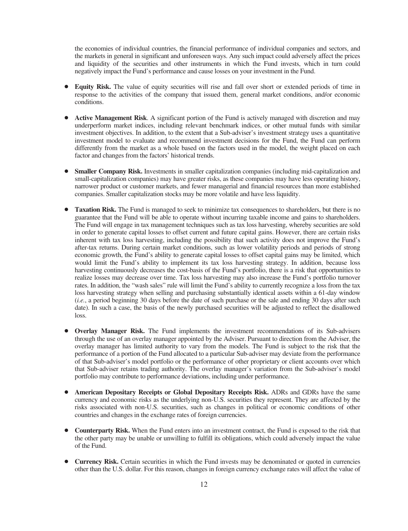the economies of individual countries, the financial performance of individual companies and sectors, and the markets in general in significant and unforeseen ways. Any such impact could adversely affect the prices and liquidity of the securities and other instruments in which the Fund invests, which in turn could negatively impact the Fund's performance and cause losses on your investment in the Fund.

- **Equity Risk.** The value of equity securities will rise and fall over short or extended periods of time in response to the activities of the company that issued them, general market conditions, and/or economic conditions.
- **Active Management Risk**. A significant portion of the Fund is actively managed with discretion and may underperform market indices, including relevant benchmark indices, or other mutual funds with similar investment objectives. In addition, to the extent that a Sub-adviser's investment strategy uses a quantitative investment model to evaluate and recommend investment decisions for the Fund, the Fund can perform differently from the market as a whole based on the factors used in the model, the weight placed on each factor and changes from the factors' historical trends.
- **Smaller Company Risk.** Investments in smaller capitalization companies (including mid-capitalization and small-capitalization companies) may have greater risks, as these companies may have less operating history, narrower product or customer markets, and fewer managerial and financial resources than more established companies. Smaller capitalization stocks may be more volatile and have less liquidity.
- **Taxation Risk.** The Fund is managed to seek to minimize tax consequences to shareholders, but there is no guarantee that the Fund will be able to operate without incurring taxable income and gains to shareholders. The Fund will engage in tax management techniques such as tax loss harvesting, whereby securities are sold in order to generate capital losses to offset current and future capital gains. However, there are certain risks inherent with tax loss harvesting, including the possibility that such activity does not improve the Fund's after-tax returns. During certain market conditions, such as lower volatility periods and periods of strong economic growth, the Fund's ability to generate capital losses to offset capital gains may be limited, which would limit the Fund's ability to implement its tax loss harvesting strategy. In addition, because loss harvesting continuously decreases the cost-basis of the Fund's portfolio, there is a risk that opportunities to realize losses may decrease over time. Tax loss harvesting may also increase the Fund's portfolio turnover rates. In addition, the "wash sales" rule will limit the Fund's ability to currently recognize a loss from the tax loss harvesting strategy when selling and purchasing substantially identical assets within a 61-day window (*i.e.*, a period beginning 30 days before the date of such purchase or the sale and ending 30 days after such date). In such a case, the basis of the newly purchased securities will be adjusted to reflect the disallowed loss.
- **Overlay Manager Risk.** The Fund implements the investment recommendations of its Sub-advisers through the use of an overlay manager appointed by the Adviser. Pursuant to direction from the Adviser, the overlay manager has limited authority to vary from the models. The Fund is subject to the risk that the performance of a portion of the Fund allocated to a particular Sub-adviser may deviate from the performance of that Sub-adviser's model portfolio or the performance of other proprietary or client accounts over which that Sub-adviser retains trading authority. The overlay manager's variation from the Sub-adviser's model portfolio may contribute to performance deviations, including under performance.
- Š **American Depositary Receipts or Global Depositary Receipts Risk.** ADRs and GDRs have the same currency and economic risks as the underlying non-U.S. securities they represent. They are affected by the risks associated with non-U.S. securities, such as changes in political or economic conditions of other countries and changes in the exchange rates of foreign currencies.
- Counterparty Risk. When the Fund enters into an investment contract, the Fund is exposed to the risk that the other party may be unable or unwilling to fulfill its obligations, which could adversely impact the value of the Fund.
- **Currency Risk.** Certain securities in which the Fund invests may be denominated or quoted in currencies other than the U.S. dollar. For this reason, changes in foreign currency exchange rates will affect the value of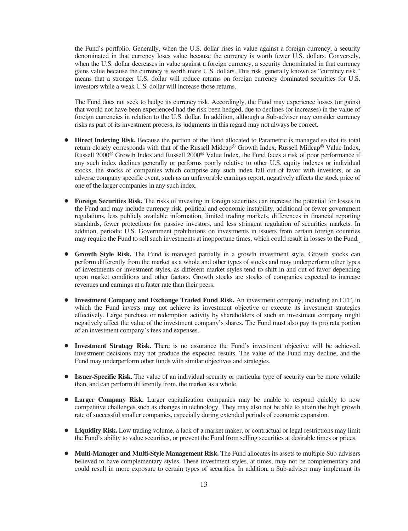the Fund's portfolio. Generally, when the U.S. dollar rises in value against a foreign currency, a security denominated in that currency loses value because the currency is worth fewer U.S. dollars. Conversely, when the U.S. dollar decreases in value against a foreign currency, a security denominated in that currency gains value because the currency is worth more U.S. dollars. This risk, generally known as "currency risk," means that a stronger U.S. dollar will reduce returns on foreign currency dominated securities for U.S. investors while a weak U.S. dollar will increase those returns.

The Fund does not seek to hedge its currency risk. Accordingly, the Fund may experience losses (or gains) that would not have been experienced had the risk been hedged, due to declines (or increases) in the value of foreign currencies in relation to the U.S. dollar. In addition, although a Sub-adviser may consider currency risks as part of its investment process, its judgments in this regard may not always be correct.

- Direct Indexing Risk. Because the portion of the Fund allocated to Parametric is managed so that its total return closely corresponds with that of the Russell Midcap® Growth Index, Russell Midcap® Value Index, Russell 2000® Growth Index and Russell 2000® Value Index, the Fund faces a risk of poor performance if any such index declines generally or performs poorly relative to other U.S. equity indexes or individual stocks, the stocks of companies which comprise any such index fall out of favor with investors, or an adverse company specific event, such as an unfavorable earnings report, negatively affects the stock price of one of the larger companies in any such index.
- Foreign Securities Risk. The risks of investing in foreign securities can increase the potential for losses in the Fund and may include currency risk, political and economic instability, additional or fewer government regulations, less publicly available information, limited trading markets, differences in financial reporting standards, fewer protections for passive investors, and less stringent regulation of securities markets. In addition, periodic U.S. Government prohibitions on investments in issuers from certain foreign countries may require the Fund to sell such investments at inopportune times, which could result in losses to the Fund.
- **Growth Style Risk.** The Fund is managed partially in a growth investment style. Growth stocks can perform differently from the market as a whole and other types of stocks and may underperform other types of investments or investment styles, as different market styles tend to shift in and out of favor depending upon market conditions and other factors. Growth stocks are stocks of companies expected to increase revenues and earnings at a faster rate than their peers.
- **Investment Company and Exchange Traded Fund Risk.** An investment company, including an ETF, in which the Fund invests may not achieve its investment objective or execute its investment strategies effectively. Large purchase or redemption activity by shareholders of such an investment company might negatively affect the value of the investment company's shares. The Fund must also pay its pro rata portion of an investment company's fees and expenses.
- Investment Strategy Risk. There is no assurance the Fund's investment objective will be achieved. Investment decisions may not produce the expected results. The value of the Fund may decline, and the Fund may underperform other funds with similar objectives and strategies.
- **Issuer-Specific Risk.** The value of an individual security or particular type of security can be more volatile than, and can perform differently from, the market as a whole.
- **Larger Company Risk.** Larger capitalization companies may be unable to respond quickly to new competitive challenges such as changes in technology. They may also not be able to attain the high growth rate of successful smaller companies, especially during extended periods of economic expansion.
- Liquidity Risk. Low trading volume, a lack of a market maker, or contractual or legal restrictions may limit the Fund's ability to value securities, or prevent the Fund from selling securities at desirable times or prices.
- Multi-Manager and Multi-Style Management Risk. The Fund allocates its assets to multiple Sub-advisers believed to have complementary styles. These investment styles, at times, may not be complementary and could result in more exposure to certain types of securities. In addition, a Sub-adviser may implement its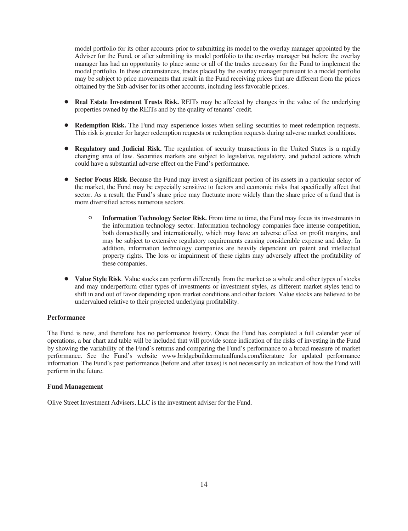model portfolio for its other accounts prior to submitting its model to the overlay manager appointed by the Adviser for the Fund, or after submitting its model portfolio to the overlay manager but before the overlay manager has had an opportunity to place some or all of the trades necessary for the Fund to implement the model portfolio. In these circumstances, trades placed by the overlay manager pursuant to a model portfolio may be subject to price movements that result in the Fund receiving prices that are different from the prices obtained by the Sub-adviser for its other accounts, including less favorable prices.

- **Real Estate Investment Trusts Risk.** REITs may be affected by changes in the value of the underlying properties owned by the REITs and by the quality of tenants' credit.
- **Redemption Risk.** The Fund may experience losses when selling securities to meet redemption requests. This risk is greater for larger redemption requests or redemption requests during adverse market conditions.
- **Regulatory and Judicial Risk.** The regulation of security transactions in the United States is a rapidly changing area of law. Securities markets are subject to legislative, regulatory, and judicial actions which could have a substantial adverse effect on the Fund's performance.
- Sector Focus Risk. Because the Fund may invest a significant portion of its assets in a particular sector of the market, the Fund may be especially sensitive to factors and economic risks that specifically affect that sector. As a result, the Fund's share price may fluctuate more widely than the share price of a fund that is more diversified across numerous sectors.
	- <sup>O</sup> **Information Technology Sector Risk.** From time to time, the Fund may focus its investments in the information technology sector. Information technology companies face intense competition, both domestically and internationally, which may have an adverse effect on profit margins, and may be subject to extensive regulatory requirements causing considerable expense and delay. In addition, information technology companies are heavily dependent on patent and intellectual property rights. The loss or impairment of these rights may adversely affect the profitability of these companies.
- Value Style Risk. Value stocks can perform differently from the market as a whole and other types of stocks and may underperform other types of investments or investment styles, as different market styles tend to shift in and out of favor depending upon market conditions and other factors. Value stocks are believed to be undervalued relative to their projected underlying profitability.

# **Performance**

The Fund is new, and therefore has no performance history. Once the Fund has completed a full calendar year of operations, a bar chart and table will be included that will provide some indication of the risks of investing in the Fund by showing the variability of the Fund's returns and comparing the Fund's performance to a broad measure of market performance. See the Fund's website www.bridgebuildermutualfunds.com/literature for updated performance information. The Fund's past performance (before and after taxes) is not necessarily an indication of how the Fund will perform in the future.

# **Fund Management**

Olive Street Investment Advisers, LLC is the investment adviser for the Fund.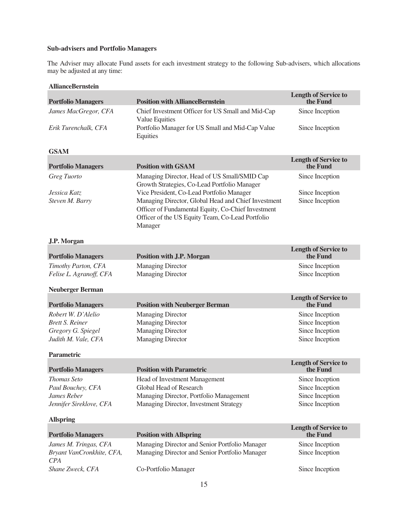# **Sub-advisers and Portfolio Managers**

The Adviser may allocate Fund assets for each investment strategy to the following Sub-advisers, which allocations may be adjusted at any time:

| <b>Portfolio Managers</b>                                                                 | <b>Position with AllianceBernstein</b>                                                                                                                                                                                                                                                                                | <b>Length of Service to</b><br>the Fund                                  |
|-------------------------------------------------------------------------------------------|-----------------------------------------------------------------------------------------------------------------------------------------------------------------------------------------------------------------------------------------------------------------------------------------------------------------------|--------------------------------------------------------------------------|
| James MacGregor, CFA                                                                      | Chief Investment Officer for US Small and Mid-Cap<br>Value Equities                                                                                                                                                                                                                                                   | Since Inception                                                          |
| Erik Turenchalk, CFA                                                                      | Portfolio Manager for US Small and Mid-Cap Value<br>Equities                                                                                                                                                                                                                                                          | Since Inception                                                          |
| <b>GSAM</b>                                                                               |                                                                                                                                                                                                                                                                                                                       |                                                                          |
| <b>Portfolio Managers</b>                                                                 | <b>Position with GSAM</b>                                                                                                                                                                                                                                                                                             | <b>Length of Service to</b><br>the Fund                                  |
| Greg Tuorto<br>Jessica Katz<br>Steven M. Barry                                            | Managing Director, Head of US Small/SMID Cap<br>Growth Strategies, Co-Lead Portfolio Manager<br>Vice President, Co-Lead Portfolio Manager<br>Managing Director, Global Head and Chief Investment<br>Officer of Fundamental Equity, Co-Chief Investment<br>Officer of the US Equity Team, Co-Lead Portfolio<br>Manager | Since Inception<br>Since Inception<br>Since Inception                    |
| J.P. Morgan                                                                               |                                                                                                                                                                                                                                                                                                                       |                                                                          |
| <b>Portfolio Managers</b>                                                                 | <b>Position with J.P. Morgan</b>                                                                                                                                                                                                                                                                                      | <b>Length of Service to</b><br>the Fund                                  |
| Timothy Parton, CFA<br>Felise L. Agranoff, CFA                                            | <b>Managing Director</b><br><b>Managing Director</b>                                                                                                                                                                                                                                                                  | Since Inception<br>Since Inception                                       |
| <b>Neuberger Berman</b>                                                                   |                                                                                                                                                                                                                                                                                                                       |                                                                          |
| <b>Portfolio Managers</b>                                                                 | <b>Position with Neuberger Berman</b>                                                                                                                                                                                                                                                                                 | <b>Length of Service to</b><br>the Fund                                  |
| Robert W. D'Alelio<br><b>Brett S. Reiner</b><br>Gregory G. Spiegel<br>Judith M. Vale, CFA | <b>Managing Director</b><br><b>Managing Director</b><br><b>Managing Director</b><br><b>Managing Director</b>                                                                                                                                                                                                          | Since Inception<br>Since Inception<br>Since Inception<br>Since Inception |
| Parametric                                                                                |                                                                                                                                                                                                                                                                                                                       | <b>Length of Service to</b>                                              |
| <b>Portfolio Managers</b>                                                                 | <b>Position with Parametric</b>                                                                                                                                                                                                                                                                                       | the Fund                                                                 |
| <b>Thomas Seto</b><br>Paul Bouchey, CFA<br>James Reber<br>Jennifer Sireklove, CFA         | Head of Investment Management<br>Global Head of Research<br>Managing Director, Portfolio Management<br>Managing Director, Investment Strategy                                                                                                                                                                         | Since Inception<br>Since Inception<br>Since Inception<br>Since Inception |
| <b>Allspring</b>                                                                          |                                                                                                                                                                                                                                                                                                                       |                                                                          |
| <b>Portfolio Managers</b>                                                                 | <b>Position with Allspring</b>                                                                                                                                                                                                                                                                                        | <b>Length of Service to</b><br>the Fund                                  |
| James M. Tringas, CFA<br>Bryant VanCronkhite, CFA,<br>CPA                                 | Managing Director and Senior Portfolio Manager<br>Managing Director and Senior Portfolio Manager                                                                                                                                                                                                                      | Since Inception<br>Since Inception                                       |
| Shane Zweck, CFA                                                                          | Co-Portfolio Manager                                                                                                                                                                                                                                                                                                  | Since Inception                                                          |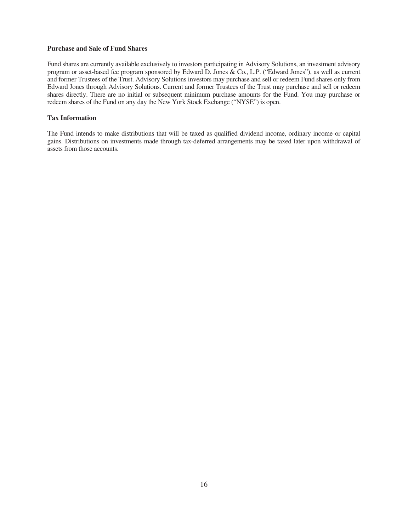# **Purchase and Sale of Fund Shares**

Fund shares are currently available exclusively to investors participating in Advisory Solutions, an investment advisory program or asset-based fee program sponsored by Edward D. Jones & Co., L.P. ("Edward Jones"), as well as current and former Trustees of the Trust. Advisory Solutions investors may purchase and sell or redeem Fund shares only from Edward Jones through Advisory Solutions. Current and former Trustees of the Trust may purchase and sell or redeem shares directly. There are no initial or subsequent minimum purchase amounts for the Fund. You may purchase or redeem shares of the Fund on any day the New York Stock Exchange ("NYSE") is open.

# **Tax Information**

The Fund intends to make distributions that will be taxed as qualified dividend income, ordinary income or capital gains. Distributions on investments made through tax-deferred arrangements may be taxed later upon withdrawal of assets from those accounts.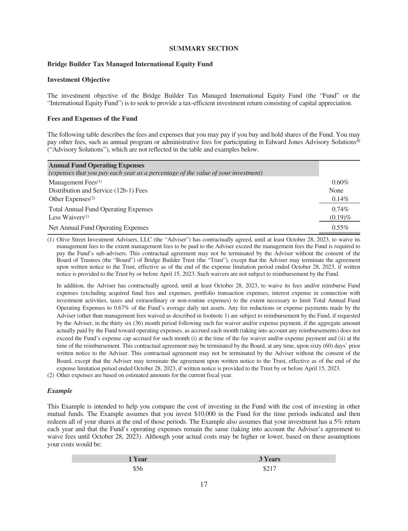# **SUMMARY SECTION**

# <span id="page-18-0"></span>**Bridge Builder Tax Managed International Equity Fund**

# **Investment Objective**

The investment objective of the Bridge Builder Tax Managed International Equity Fund (the "Fund" or the "International Equity Fund") is to seek to provide a tax-efficient investment return consisting of capital appreciation.

#### **Fees and Expenses of the Fund**

The following table describes the fees and expenses that you may pay if you buy and hold shares of the Fund. You may pay other fees, such as annual program or administrative fees for participating in Edward Jones Advisory Solutions® ("Advisory Solutions"), which are not reflected in the table and examples below.

| <b>Annual Fund Operating Expenses</b>                                             |            |
|-----------------------------------------------------------------------------------|------------|
| (expenses that you pay each year as a percentage of the value of your investment) |            |
| Management Fees $(1)$                                                             | $0.60\%$   |
| Distribution and Service (12b-1) Fees                                             | None       |
| Other Expenses $(2)$                                                              | $0.14\%$   |
| <b>Total Annual Fund Operating Expenses</b>                                       | $0.74\%$   |
| Less Waivers $(1)$                                                                | $(0.19)\%$ |
| Net Annual Fund Operating Expenses                                                | $0.55\%$   |

(1) Olive Street Investment Advisers, LLC (the "Adviser") has contractually agreed, until at least October 28, 2023, to waive its management fees to the extent management fees to be paid to the Adviser exceed the management fees the Fund is required to pay the Fund's sub-advisers. This contractual agreement may not be terminated by the Adviser without the consent of the Board of Trustees (the "Board") of Bridge Builder Trust (the "Trust"), except that the Adviser may terminate the agreement upon written notice to the Trust, effective as of the end of the expense limitation period ended October 28, 2023, if written notice is provided to the Trust by or before April 15, 2023. Such waivers are not subject to reimbursement by the Fund.

In addition, the Adviser has contractually agreed, until at least October 28, 2023, to waive its fees and/or reimburse Fund expenses (excluding acquired fund fees and expenses, portfolio transaction expenses, interest expense in connection with investment activities, taxes and extraordinary or non-routine expenses) to the extent necessary to limit Total Annual Fund Operating Expenses to 0.67% of the Fund's average daily net assets. Any fee reductions or expense payments made by the Adviser (other than management fees waived as described in footnote 1) are subject to reimbursement by the Fund, if requested by the Adviser, in the thirty six (36) month period following such fee waiver and/or expense payment, if the aggregate amount actually paid by the Fund toward operating expenses, as accrued each month (taking into account any reimbursements) does not exceed the Fund's expense cap accrued for such month (i) at the time of the fee waiver and/or expense payment and (ii) at the time of the reimbursement. This contractual agreement may be terminated by the Board, at any time, upon sixty (60) days' prior written notice to the Adviser. This contractual agreement may not be terminated by the Adviser without the consent of the Board, except that the Adviser may terminate the agreement upon written notice to the Trust, effective as of the end of the expense limitation period ended October 28, 2023, if written notice is provided to the Trust by or before April 15, 2023.

(2) Other expenses are based on estimated amounts for the current fiscal year.

#### *Example*

This Example is intended to help you compare the cost of investing in the Fund with the cost of investing in other mutual funds. The Example assumes that you invest \$10,000 in the Fund for the time periods indicated and then redeem all of your shares at the end of those periods. The Example also assumes that your investment has a 5% return each year and that the Fund's operating expenses remain the same (taking into account the Adviser's agreement to waive fees until October 28, 2023). Although your actual costs may be higher or lower, based on these assumptions your costs would be:

| 'Year | <b>3 Years</b> |
|-------|----------------|
|       | 44.1           |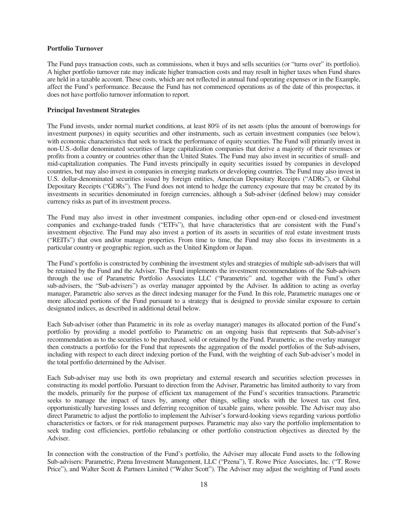## **Portfolio Turnover**

The Fund pays transaction costs, such as commissions, when it buys and sells securities (or "turns over" its portfolio). A higher portfolio turnover rate may indicate higher transaction costs and may result in higher taxes when Fund shares are held in a taxable account. These costs, which are not reflected in annual fund operating expenses or in the Example, affect the Fund's performance. Because the Fund has not commenced operations as of the date of this prospectus, it does not have portfolio turnover information to report.

# **Principal Investment Strategies**

The Fund invests, under normal market conditions, at least 80% of its net assets (plus the amount of borrowings for investment purposes) in equity securities and other instruments, such as certain investment companies (see below), with economic characteristics that seek to track the performance of equity securities. The Fund will primarily invest in non-U.S.-dollar denominated securities of large capitalization companies that derive a majority of their revenues or profits from a country or countries other than the United States. The Fund may also invest in securities of small- and mid-capitalization companies. The Fund invests principally in equity securities issued by companies in developed countries, but may also invest in companies in emerging markets or developing countries. The Fund may also invest in U.S. dollar-denominated securities issued by foreign entities, American Depositary Receipts ("ADRs"), or Global Depositary Receipts ("GDRs"). The Fund does not intend to hedge the currency exposure that may be created by its investments in securities denominated in foreign currencies, although a Sub-adviser (defined below) may consider currency risks as part of its investment process.

The Fund may also invest in other investment companies, including other open-end or closed-end investment companies and exchange-traded funds ("ETFs"), that have characteristics that are consistent with the Fund's investment objective. The Fund may also invest a portion of its assets in securities of real estate investment trusts ("REITs") that own and/or manage properties. From time to time, the Fund may also focus its investments in a particular country or geographic region, such as the United Kingdom or Japan.

The Fund's portfolio is constructed by combining the investment styles and strategies of multiple sub-advisers that will be retained by the Fund and the Adviser. The Fund implements the investment recommendations of the Sub-advisers through the use of Parametric Portfolio Associates LLC ("Parametric" and, together with the Fund's other sub-advisers, the "Sub-advisers") as overlay manager appointed by the Adviser. In addition to acting as overlay manager, Parametric also serves as the direct indexing manager for the Fund. In this role, Parametric manages one or more allocated portions of the Fund pursuant to a strategy that is designed to provide similar exposure to certain designated indices, as described in additional detail below.

Each Sub-adviser (other than Parametric in its role as overlay manager) manages its allocated portion of the Fund's portfolio by providing a model portfolio to Parametric on an ongoing basis that represents that Sub-adviser's recommendation as to the securities to be purchased, sold or retained by the Fund. Parametric, as the overlay manager then constructs a portfolio for the Fund that represents the aggregation of the model portfolios of the Sub-advisers, including with respect to each direct indexing portion of the Fund, with the weighting of each Sub-adviser's model in the total portfolio determined by the Adviser.

Each Sub-adviser may use both its own proprietary and external research and securities selection processes in constructing its model portfolio. Pursuant to direction from the Adviser, Parametric has limited authority to vary from the models, primarily for the purpose of efficient tax management of the Fund's securities transactions. Parametric seeks to manage the impact of taxes by, among other things, selling stocks with the lowest tax cost first, opportunistically harvesting losses and deferring recognition of taxable gains, where possible. The Adviser may also direct Parametric to adjust the portfolio to implement the Adviser's forward-looking views regarding various portfolio characteristics or factors, or for risk management purposes. Parametric may also vary the portfolio implementation to seek trading cost efficiencies, portfolio rebalancing or other portfolio construction objectives as directed by the Adviser.

In connection with the construction of the Fund's portfolio, the Adviser may allocate Fund assets to the following Sub-advisers: Parametric, Pzena Investment Management, LLC ("Pzena"), T. Rowe Price Associates, Inc. ("T. Rowe Price"), and Walter Scott & Partners Limited ("Walter Scott"). The Adviser may adjust the weighting of Fund assets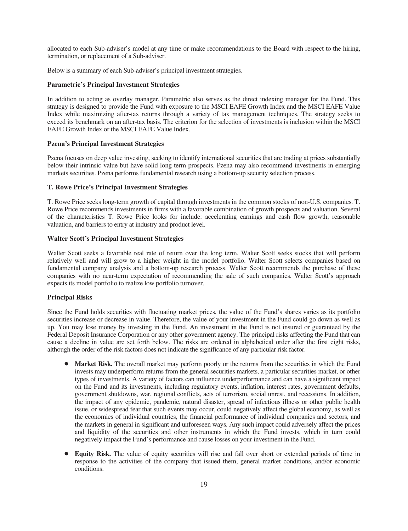allocated to each Sub-adviser's model at any time or make recommendations to the Board with respect to the hiring, termination, or replacement of a Sub-adviser.

Below is a summary of each Sub-adviser's principal investment strategies.

# **Parametric's Principal Investment Strategies**

In addition to acting as overlay manager, Parametric also serves as the direct indexing manager for the Fund. This strategy is designed to provide the Fund with exposure to the MSCI EAFE Growth Index and the MSCI EAFE Value Index while maximizing after-tax returns through a variety of tax management techniques. The strategy seeks to exceed its benchmark on an after-tax basis. The criterion for the selection of investments is inclusion within the MSCI EAFE Growth Index or the MSCI EAFE Value Index.

## **Pzena's Principal Investment Strategies**

Pzena focuses on deep value investing, seeking to identify international securities that are trading at prices substantially below their intrinsic value but have solid long-term prospects. Pzena may also recommend investments in emerging markets securities. Pzena performs fundamental research using a bottom-up security selection process.

#### **T. Rowe Price's Principal Investment Strategies**

T. Rowe Price seeks long-term growth of capital through investments in the common stocks of non-U.S. companies. T. Rowe Price recommends investments in firms with a favorable combination of growth prospects and valuation. Several of the characteristics T. Rowe Price looks for include: accelerating earnings and cash flow growth, reasonable valuation, and barriers to entry at industry and product level.

#### **Walter Scott's Principal Investment Strategies**

Walter Scott seeks a favorable real rate of return over the long term. Walter Scott seeks stocks that will perform relatively well and will grow to a higher weight in the model portfolio. Walter Scott selects companies based on fundamental company analysis and a bottom-up research process. Walter Scott recommends the purchase of these companies with no near-term expectation of recommending the sale of such companies. Walter Scott's approach expects its model portfolio to realize low portfolio turnover.

# **Principal Risks**

Since the Fund holds securities with fluctuating market prices, the value of the Fund's shares varies as its portfolio securities increase or decrease in value. Therefore, the value of your investment in the Fund could go down as well as up. You may lose money by investing in the Fund. An investment in the Fund is not insured or guaranteed by the Federal Deposit Insurance Corporation or any other government agency. The principal risks affecting the Fund that can cause a decline in value are set forth below. The risks are ordered in alphabetical order after the first eight risks, although the order of the risk factors does not indicate the significance of any particular risk factor.

- Market Risk. The overall market may perform poorly or the returns from the securities in which the Fund invests may underperform returns from the general securities markets, a particular securities market, or other types of investments. A variety of factors can influence underperformance and can have a significant impact on the Fund and its investments, including regulatory events, inflation, interest rates, government defaults, government shutdowns, war, regional conflicts, acts of terrorism, social unrest, and recessions. In addition, the impact of any epidemic, pandemic, natural disaster, spread of infectious illness or other public health issue, or widespread fear that such events may occur, could negatively affect the global economy, as well as the economies of individual countries, the financial performance of individual companies and sectors, and the markets in general in significant and unforeseen ways. Any such impact could adversely affect the prices and liquidity of the securities and other instruments in which the Fund invests, which in turn could negatively impact the Fund's performance and cause losses on your investment in the Fund.
- Equity Risk. The value of equity securities will rise and fall over short or extended periods of time in response to the activities of the company that issued them, general market conditions, and/or economic conditions.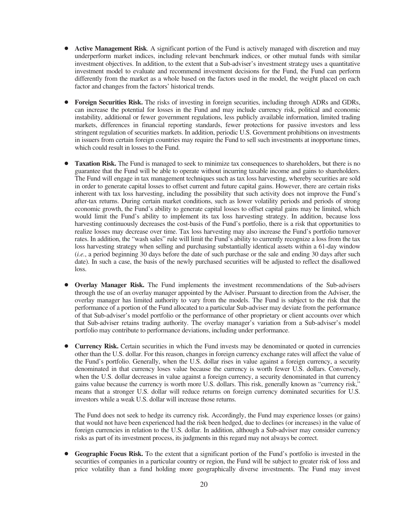- **Active Management Risk**. A significant portion of the Fund is actively managed with discretion and may underperform market indices, including relevant benchmark indices, or other mutual funds with similar investment objectives. In addition, to the extent that a Sub-adviser's investment strategy uses a quantitative investment model to evaluate and recommend investment decisions for the Fund, the Fund can perform differently from the market as a whole based on the factors used in the model, the weight placed on each factor and changes from the factors' historical trends.
- **Foreign Securities Risk.** The risks of investing in foreign securities, including through ADRs and GDRs, can increase the potential for losses in the Fund and may include currency risk, political and economic instability, additional or fewer government regulations, less publicly available information, limited trading markets, differences in financial reporting standards, fewer protections for passive investors and less stringent regulation of securities markets. In addition, periodic U.S. Government prohibitions on investments in issuers from certain foreign countries may require the Fund to sell such investments at inopportune times, which could result in losses to the Fund.
- **Taxation Risk.** The Fund is managed to seek to minimize tax consequences to shareholders, but there is no guarantee that the Fund will be able to operate without incurring taxable income and gains to shareholders. The Fund will engage in tax management techniques such as tax loss harvesting, whereby securities are sold in order to generate capital losses to offset current and future capital gains. However, there are certain risks inherent with tax loss harvesting, including the possibility that such activity does not improve the Fund's after-tax returns. During certain market conditions, such as lower volatility periods and periods of strong economic growth, the Fund's ability to generate capital losses to offset capital gains may be limited, which would limit the Fund's ability to implement its tax loss harvesting strategy. In addition, because loss harvesting continuously decreases the cost-basis of the Fund's portfolio, there is a risk that opportunities to realize losses may decrease over time. Tax loss harvesting may also increase the Fund's portfolio turnover rates. In addition, the "wash sales" rule will limit the Fund's ability to currently recognize a loss from the tax loss harvesting strategy when selling and purchasing substantially identical assets within a 61-day window (*i.e.*, a period beginning 30 days before the date of such purchase or the sale and ending 30 days after such date). In such a case, the basis of the newly purchased securities will be adjusted to reflect the disallowed loss.
- **Overlay Manager Risk.** The Fund implements the investment recommendations of the Sub-advisers through the use of an overlay manager appointed by the Adviser. Pursuant to direction from the Adviser, the overlay manager has limited authority to vary from the models. The Fund is subject to the risk that the performance of a portion of the Fund allocated to a particular Sub-adviser may deviate from the performance of that Sub-adviser's model portfolio or the performance of other proprietary or client accounts over which that Sub-adviser retains trading authority. The overlay manager's variation from a Sub-adviser's model portfolio may contribute to performance deviations, including under performance.
- **Currency Risk.** Certain securities in which the Fund invests may be denominated or quoted in currencies other than the U.S. dollar. For this reason, changes in foreign currency exchange rates will affect the value of the Fund's portfolio. Generally, when the U.S. dollar rises in value against a foreign currency, a security denominated in that currency loses value because the currency is worth fewer U.S. dollars. Conversely, when the U.S. dollar decreases in value against a foreign currency, a security denominated in that currency gains value because the currency is worth more U.S. dollars. This risk, generally known as "currency risk," means that a stronger U.S. dollar will reduce returns on foreign currency dominated securities for U.S. investors while a weak U.S. dollar will increase those returns.

The Fund does not seek to hedge its currency risk. Accordingly, the Fund may experience losses (or gains) that would not have been experienced had the risk been hedged, due to declines (or increases) in the value of foreign currencies in relation to the U.S. dollar. In addition, although a Sub-adviser may consider currency risks as part of its investment process, its judgments in this regard may not always be correct.

Geographic Focus Risk. To the extent that a significant portion of the Fund's portfolio is invested in the securities of companies in a particular country or region, the Fund will be subject to greater risk of loss and price volatility than a fund holding more geographically diverse investments. The Fund may invest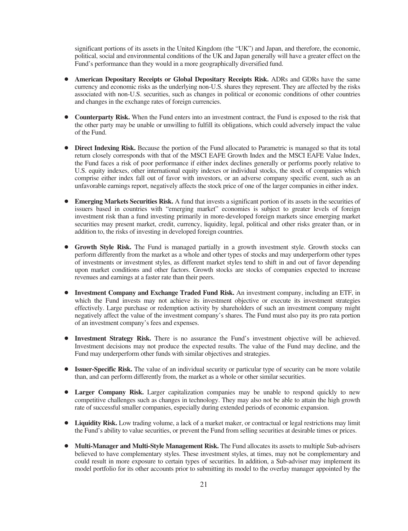significant portions of its assets in the United Kingdom (the "UK") and Japan, and therefore, the economic, political, social and environmental conditions of the UK and Japan generally will have a greater effect on the Fund's performance than they would in a more geographically diversified fund.

- **American Depositary Receipts or Global Depositary Receipts Risk.** ADRs and GDRs have the same currency and economic risks as the underlying non-U.S. shares they represent. They are affected by the risks associated with non-U.S. securities, such as changes in political or economic conditions of other countries and changes in the exchange rates of foreign currencies.
- **Counterparty Risk.** When the Fund enters into an investment contract, the Fund is exposed to the risk that the other party may be unable or unwilling to fulfill its obligations, which could adversely impact the value of the Fund.
- Direct Indexing Risk. Because the portion of the Fund allocated to Parametric is managed so that its total return closely corresponds with that of the MSCI EAFE Growth Index and the MSCI EAFE Value Index, the Fund faces a risk of poor performance if either index declines generally or performs poorly relative to U.S. equity indexes, other international equity indexes or individual stocks, the stock of companies which comprise either index fall out of favor with investors, or an adverse company specific event, such as an unfavorable earnings report, negatively affects the stock price of one of the larger companies in either index.
- **Emerging Markets Securities Risk.** A fund that invests a significant portion of its assets in the securities of issuers based in countries with "emerging market" economies is subject to greater levels of foreign investment risk than a fund investing primarily in more-developed foreign markets since emerging market securities may present market, credit, currency, liquidity, legal, political and other risks greater than, or in addition to, the risks of investing in developed foreign countries.
- **Growth Style Risk.** The Fund is managed partially in a growth investment style. Growth stocks can perform differently from the market as a whole and other types of stocks and may underperform other types of investments or investment styles, as different market styles tend to shift in and out of favor depending upon market conditions and other factors. Growth stocks are stocks of companies expected to increase revenues and earnings at a faster rate than their peers.
- Investment Company and Exchange Traded Fund Risk. An investment company, including an ETF, in which the Fund invests may not achieve its investment objective or execute its investment strategies effectively. Large purchase or redemption activity by shareholders of such an investment company might negatively affect the value of the investment company's shares. The Fund must also pay its pro rata portion of an investment company's fees and expenses.
- Investment Strategy Risk. There is no assurance the Fund's investment objective will be achieved. Investment decisions may not produce the expected results. The value of the Fund may decline, and the Fund may underperform other funds with similar objectives and strategies.
- **Issuer-Specific Risk.** The value of an individual security or particular type of security can be more volatile than, and can perform differently from, the market as a whole or other similar securities.
- **Larger Company Risk.** Larger capitalization companies may be unable to respond quickly to new competitive challenges such as changes in technology. They may also not be able to attain the high growth rate of successful smaller companies, especially during extended periods of economic expansion.
- **Liquidity Risk.** Low trading volume, a lack of a market maker, or contractual or legal restrictions may limit the Fund's ability to value securities, or prevent the Fund from selling securities at desirable times or prices.
- Multi-Manager and Multi-Style Management Risk. The Fund allocates its assets to multiple Sub-advisers believed to have complementary styles. These investment styles, at times, may not be complementary and could result in more exposure to certain types of securities. In addition, a Sub-adviser may implement its model portfolio for its other accounts prior to submitting its model to the overlay manager appointed by the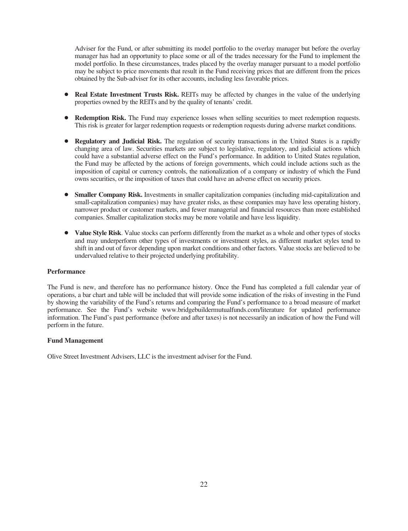Adviser for the Fund, or after submitting its model portfolio to the overlay manager but before the overlay manager has had an opportunity to place some or all of the trades necessary for the Fund to implement the model portfolio. In these circumstances, trades placed by the overlay manager pursuant to a model portfolio may be subject to price movements that result in the Fund receiving prices that are different from the prices obtained by the Sub-adviser for its other accounts, including less favorable prices.

- **Real Estate Investment Trusts Risk.** REITs may be affected by changes in the value of the underlying properties owned by the REITs and by the quality of tenants' credit.
- **Redemption Risk.** The Fund may experience losses when selling securities to meet redemption requests. This risk is greater for larger redemption requests or redemption requests during adverse market conditions.
- **Regulatory and Judicial Risk.** The regulation of security transactions in the United States is a rapidly changing area of law. Securities markets are subject to legislative, regulatory, and judicial actions which could have a substantial adverse effect on the Fund's performance. In addition to United States regulation, the Fund may be affected by the actions of foreign governments, which could include actions such as the imposition of capital or currency controls, the nationalization of a company or industry of which the Fund owns securities, or the imposition of taxes that could have an adverse effect on security prices.
- **Smaller Company Risk.** Investments in smaller capitalization companies (including mid-capitalization and small-capitalization companies) may have greater risks, as these companies may have less operating history, narrower product or customer markets, and fewer managerial and financial resources than more established companies. Smaller capitalization stocks may be more volatile and have less liquidity.
- Value Style Risk. Value stocks can perform differently from the market as a whole and other types of stocks and may underperform other types of investments or investment styles, as different market styles tend to shift in and out of favor depending upon market conditions and other factors. Value stocks are believed to be undervalued relative to their projected underlying profitability.

# **Performance**

The Fund is new, and therefore has no performance history. Once the Fund has completed a full calendar year of operations, a bar chart and table will be included that will provide some indication of the risks of investing in the Fund by showing the variability of the Fund's returns and comparing the Fund's performance to a broad measure of market performance. See the Fund's website www.bridgebuildermutualfunds.com/literature for updated performance information. The Fund's past performance (before and after taxes) is not necessarily an indication of how the Fund will perform in the future.

#### **Fund Management**

Olive Street Investment Advisers, LLC is the investment adviser for the Fund.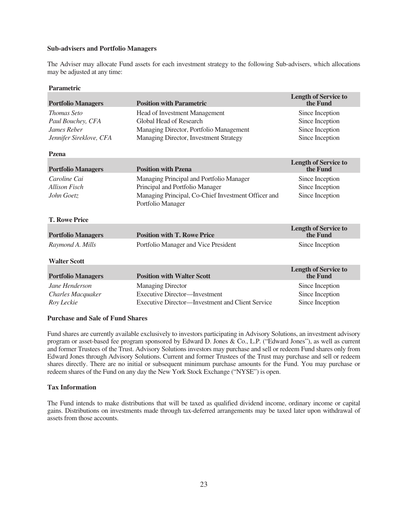# **Sub-advisers and Portfolio Managers**

The Adviser may allocate Fund assets for each investment strategy to the following Sub-advisers, which allocations may be adjusted at any time:

#### **Parametric**

| <b>Portfolio Managers</b> | <b>Position with Parametric</b>                                          | <b>Length of Service to</b><br>the Fund |
|---------------------------|--------------------------------------------------------------------------|-----------------------------------------|
| <b>Thomas Seto</b>        | Head of Investment Management                                            | Since Inception                         |
| Paul Bouchey, CFA         | Global Head of Research                                                  | Since Inception                         |
| James Reber               | Managing Director, Portfolio Management                                  | Since Inception                         |
| Jennifer Sireklove, CFA   | Managing Director, Investment Strategy                                   | Since Inception                         |
| Pzena                     |                                                                          |                                         |
| <b>Portfolio Managers</b> | <b>Position with Pzena</b>                                               | <b>Length of Service to</b><br>the Fund |
| Caroline Cai              | Managing Principal and Portfolio Manager                                 | Since Inception                         |
| <b>Allison Fisch</b>      | Principal and Portfolio Manager                                          | Since Inception                         |
| John Goetz                | Managing Principal, Co-Chief Investment Officer and<br>Portfolio Manager | Since Inception                         |
| <b>T. Rowe Price</b>      |                                                                          |                                         |
| <b>Portfolio Managers</b> | <b>Position with T. Rowe Price</b>                                       | <b>Length of Service to</b><br>the Fund |
| Raymond A. Mills          | Portfolio Manager and Vice President                                     | Since Inception                         |
| <b>Walter Scott</b>       |                                                                          |                                         |
| <b>Portfolio Managers</b> | <b>Position with Walter Scott</b>                                        | <b>Length of Service to</b><br>the Fund |
| Jane Henderson            | <b>Managing Director</b>                                                 | Since Inception                         |
| Charles Macquaker         | <b>Executive Director-Investment</b>                                     | Since Inception                         |
| Roy Leckie                | Executive Director—Investment and Client Service                         | Since Inception                         |

#### **Purchase and Sale of Fund Shares**

Fund shares are currently available exclusively to investors participating in Advisory Solutions, an investment advisory program or asset-based fee program sponsored by Edward D. Jones & Co., L.P. ("Edward Jones"), as well as current and former Trustees of the Trust. Advisory Solutions investors may purchase and sell or redeem Fund shares only from Edward Jones through Advisory Solutions. Current and former Trustees of the Trust may purchase and sell or redeem shares directly. There are no initial or subsequent minimum purchase amounts for the Fund. You may purchase or redeem shares of the Fund on any day the New York Stock Exchange ("NYSE") is open.

# **Tax Information**

The Fund intends to make distributions that will be taxed as qualified dividend income, ordinary income or capital gains. Distributions on investments made through tax-deferred arrangements may be taxed later upon withdrawal of assets from those accounts.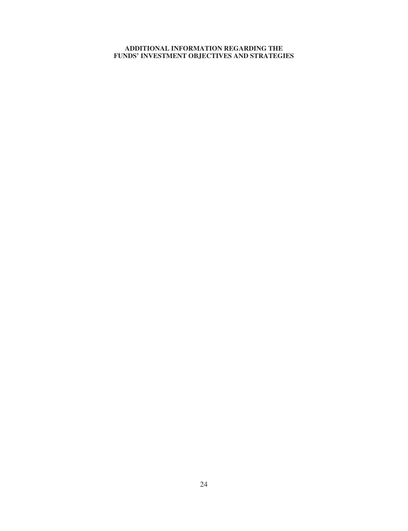# <span id="page-25-0"></span>**ADDITIONAL INFORMATION REGARDING THE FUNDS' INVESTMENT OBJECTIVES AND STRATEGIES**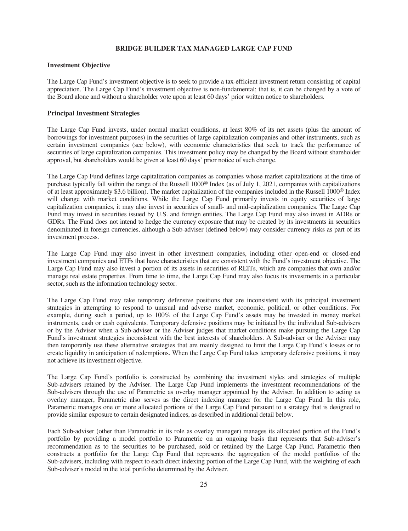# **BRIDGE BUILDER TAX MANAGED LARGE CAP FUND**

# <span id="page-26-0"></span>**Investment Objective**

The Large Cap Fund's investment objective is to seek to provide a tax-efficient investment return consisting of capital appreciation. The Large Cap Fund's investment objective is non-fundamental; that is, it can be changed by a vote of the Board alone and without a shareholder vote upon at least 60 days' prior written notice to shareholders.

# **Principal Investment Strategies**

The Large Cap Fund invests, under normal market conditions, at least 80% of its net assets (plus the amount of borrowings for investment purposes) in the securities of large capitalization companies and other instruments, such as certain investment companies (see below), with economic characteristics that seek to track the performance of securities of large capitalization companies. This investment policy may be changed by the Board without shareholder approval, but shareholders would be given at least 60 days' prior notice of such change.

The Large Cap Fund defines large capitalization companies as companies whose market capitalizations at the time of purchase typically fall within the range of the Russell 1000® Index (as of July 1, 2021, companies with capitalizations of at least approximately \$3.6 billion). The market capitalization of the companies included in the Russell 1000® Index will change with market conditions. While the Large Cap Fund primarily invests in equity securities of large capitalization companies, it may also invest in securities of small- and mid-capitalization companies. The Large Cap Fund may invest in securities issued by U.S. and foreign entities. The Large Cap Fund may also invest in ADRs or GDRs. The Fund does not intend to hedge the currency exposure that may be created by its investments in securities denominated in foreign currencies, although a Sub-adviser (defined below) may consider currency risks as part of its investment process.

The Large Cap Fund may also invest in other investment companies, including other open-end or closed-end investment companies and ETFs that have characteristics that are consistent with the Fund's investment objective. The Large Cap Fund may also invest a portion of its assets in securities of REITs, which are companies that own and/or manage real estate properties. From time to time, the Large Cap Fund may also focus its investments in a particular sector, such as the information technology sector.

The Large Cap Fund may take temporary defensive positions that are inconsistent with its principal investment strategies in attempting to respond to unusual and adverse market, economic, political, or other conditions. For example, during such a period, up to 100% of the Large Cap Fund's assets may be invested in money market instruments, cash or cash equivalents. Temporary defensive positions may be initiated by the individual Sub-advisers or by the Adviser when a Sub-adviser or the Adviser judges that market conditions make pursuing the Large Cap Fund's investment strategies inconsistent with the best interests of shareholders. A Sub-adviser or the Adviser may then temporarily use these alternative strategies that are mainly designed to limit the Large Cap Fund's losses or to create liquidity in anticipation of redemptions. When the Large Cap Fund takes temporary defensive positions, it may not achieve its investment objective.

The Large Cap Fund's portfolio is constructed by combining the investment styles and strategies of multiple Sub-advisers retained by the Adviser. The Large Cap Fund implements the investment recommendations of the Sub-advisers through the use of Parametric as overlay manager appointed by the Adviser. In addition to acting as overlay manager, Parametric also serves as the direct indexing manager for the Large Cap Fund. In this role, Parametric manages one or more allocated portions of the Large Cap Fund pursuant to a strategy that is designed to provide similar exposure to certain designated indices, as described in additional detail below.

Each Sub-adviser (other than Parametric in its role as overlay manager) manages its allocated portion of the Fund's portfolio by providing a model portfolio to Parametric on an ongoing basis that represents that Sub-adviser's recommendation as to the securities to be purchased, sold or retained by the Large Cap Fund. Parametric then constructs a portfolio for the Large Cap Fund that represents the aggregation of the model portfolios of the Sub-advisers, including with respect to each direct indexing portion of the Large Cap Fund, with the weighting of each Sub-adviser's model in the total portfolio determined by the Adviser.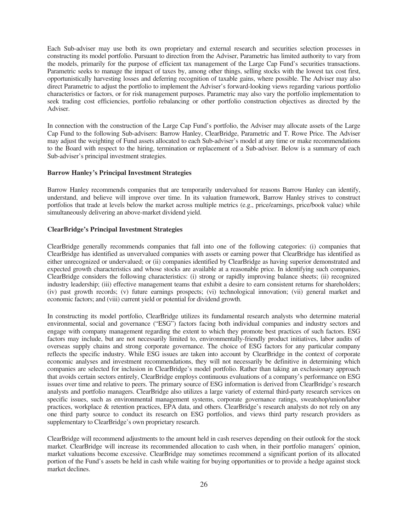Each Sub-adviser may use both its own proprietary and external research and securities selection processes in constructing its model portfolio. Pursuant to direction from the Adviser, Parametric has limited authority to vary from the models, primarily for the purpose of efficient tax management of the Large Cap Fund's securities transactions. Parametric seeks to manage the impact of taxes by, among other things, selling stocks with the lowest tax cost first, opportunistically harvesting losses and deferring recognition of taxable gains, where possible. The Adviser may also direct Parametric to adjust the portfolio to implement the Adviser's forward-looking views regarding various portfolio characteristics or factors, or for risk management purposes. Parametric may also vary the portfolio implementation to seek trading cost efficiencies, portfolio rebalancing or other portfolio construction objectives as directed by the Adviser.

In connection with the construction of the Large Cap Fund's portfolio, the Adviser may allocate assets of the Large Cap Fund to the following Sub-advisers: Barrow Hanley, ClearBridge, Parametric and T. Rowe Price. The Adviser may adjust the weighting of Fund assets allocated to each Sub-adviser's model at any time or make recommendations to the Board with respect to the hiring, termination or replacement of a Sub-adviser. Below is a summary of each Sub-adviser's principal investment strategies.

#### **Barrow Hanley's Principal Investment Strategies**

Barrow Hanley recommends companies that are temporarily undervalued for reasons Barrow Hanley can identify, understand, and believe will improve over time. In its valuation framework, Barrow Hanley strives to construct portfolios that trade at levels below the market across multiple metrics (e.g., price/earnings, price/book value) while simultaneously delivering an above-market dividend yield.

# **ClearBridge's Principal Investment Strategies**

ClearBridge generally recommends companies that fall into one of the following categories: (i) companies that ClearBridge has identified as unvervalued companies with assets or earning power that ClearBridge has identified as either unrecognized or undervalued; or (ii) companies identified by ClearBridge as having superior demonstrated and expected growth characteristics and whose stocks are available at a reasonable price. In identifying such companies, ClearBridge considers the following characteristics: (i) strong or rapidly improving balance sheets; (ii) recognized industry leadership; (iii) effective management teams that exhibit a desire to earn consistent returns for shareholders; (iv) past growth records; (v) future earnings prospects; (vi) technological innovation; (vii) general market and economic factors; and (viii) current yield or potential for dividend growth.

In constructing its model portfolio, ClearBridge utilizes its fundamental research analysts who determine material environmental, social and governance ("ESG") factors facing both individual companies and industry sectors and engage with company management regarding the extent to which they promote best practices of such factors. ESG factors may include, but are not necessarily limited to, environmentally-friendly product initiatives, labor audits of overseas supply chains and strong corporate governance. The choice of ESG factors for any particular company reflects the specific industry. While ESG issues are taken into account by ClearBridge in the context of corporate economic analyses and investment recommendations, they will not necessarily be definitive in determining which companies are selected for inclusion in ClearBridge's model portfolio. Rather than taking an exclusionary approach that avoids certain sectors entirely, ClearBridge employs continuous evaluations of a company's performance on ESG issues over time and relative to peers. The primary source of ESG information is derived from ClearBridge's research analysts and portfolio managers. ClearBridge also utilizes a large variety of external third-party research services on specific issues, such as environmental management systems, corporate governance ratings, sweatshop/union/labor practices, workplace & retention practices, EPA data, and others. ClearBridge's research analysts do not rely on any one third party source to conduct its research on ESG portfolios, and views third party research providers as supplementary to ClearBridge's own proprietary research.

ClearBridge will recommend adjustments to the amount held in cash reserves depending on their outlook for the stock market. ClearBridge will increase its recommended allocation to cash when, in their portfolio managers' opinion, market valuations become excessive. ClearBridge may sometimes recommend a significant portion of its allocated portion of the Fund's assets be held in cash while waiting for buying opportunities or to provide a hedge against stock market declines.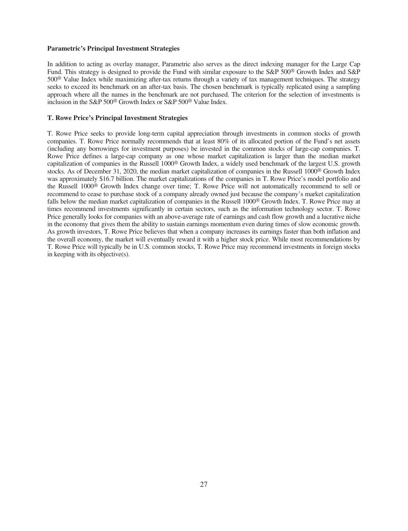# **Parametric's Principal Investment Strategies**

In addition to acting as overlay manager, Parametric also serves as the direct indexing manager for the Large Cap Fund. This strategy is designed to provide the Fund with similar exposure to the S&P 500® Growth Index and S&P 500® Value Index while maximizing after-tax returns through a variety of tax management techniques. The strategy seeks to exceed its benchmark on an after-tax basis. The chosen benchmark is typically replicated using a sampling approach where all the names in the benchmark are not purchased. The criterion for the selection of investments is inclusion in the S&P 500® Growth Index or S&P 500® Value Index.

# **T. Rowe Price's Principal Investment Strategies**

T. Rowe Price seeks to provide long-term capital appreciation through investments in common stocks of growth companies. T. Rowe Price normally recommends that at least 80% of its allocated portion of the Fund's net assets (including any borrowings for investment purposes) be invested in the common stocks of large-cap companies. T. Rowe Price defines a large-cap company as one whose market capitalization is larger than the median market capitalization of companies in the Russell 1000® Growth Index, a widely used benchmark of the largest U.S. growth stocks. As of December 31, 2020, the median market capitalization of companies in the Russell 1000<sup>®</sup> Growth Index was approximately \$16.7 billion. The market capitalizations of the companies in T. Rowe Price's model portfolio and the Russell 1000® Growth Index change over time; T. Rowe Price will not automatically recommend to sell or recommend to cease to purchase stock of a company already owned just because the company's market capitalization falls below the median market capitalization of companies in the Russell 1000® Growth Index. T. Rowe Price may at times recommend investments significantly in certain sectors, such as the information technology sector. T. Rowe Price generally looks for companies with an above-average rate of earnings and cash flow growth and a lucrative niche in the economy that gives them the ability to sustain earnings momentum even during times of slow economic growth. As growth investors, T. Rowe Price believes that when a company increases its earnings faster than both inflation and the overall economy, the market will eventually reward it with a higher stock price. While most recommendations by T. Rowe Price will typically be in U.S. common stocks, T. Rowe Price may recommend investments in foreign stocks in keeping with its objective(s).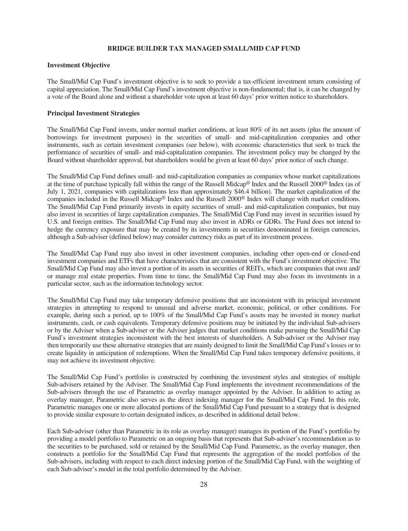# **BRIDGE BUILDER TAX MANAGED SMALL/MID CAP FUND**

# <span id="page-29-0"></span>**Investment Objective**

The Small/Mid Cap Fund's investment objective is to seek to provide a tax-efficient investment return consisting of capital appreciation. The Small/Mid Cap Fund's investment objective is non-fundamental; that is, it can be changed by a vote of the Board alone and without a shareholder vote upon at least 60 days' prior written notice to shareholders.

# **Principal Investment Strategies**

The Small/Mid Cap Fund invests, under normal market conditions, at least 80% of its net assets (plus the amount of borrowings for investment purposes) in the securities of small- and mid-capitalization companies and other instruments, such as certain investment companies (see below), with economic characteristics that seek to track the performance of securities of small- and mid-capitalization companies. The investment policy may be changed by the Board without shareholder approval, but shareholders would be given at least 60 days' prior notice of such change.

The Small/Mid Cap Fund defines small- and mid-capitalization companies as companies whose market capitalizations at the time of purchase typically fall within the range of the Russell Midcap® Index and the Russell 2000® Index (as of July 1, 2021, companies with capitalizations less than approximately \$46.4 billion). The market capitalization of the companies included in the Russell Midcap® Index and the Russell 2000® Index will change with market conditions. The Small/Mid Cap Fund primarily invests in equity securities of small- and mid-capitalization companies, but may also invest in securities of large capitalization companies. The Small/Mid Cap Fund may invest in securities issued by U.S. and foreign entities. The Small/Mid Cap Fund may also invest in ADRs or GDRs. The Fund does not intend to hedge the currency exposure that may be created by its investments in securities denominated in foreign currencies, although a Sub-adviser (defined below) may consider currency risks as part of its investment process.

The Small/Mid Cap Fund may also invest in other investment companies, including other open-end or closed-end investment companies and ETFs that have characteristics that are consistent with the Fund's investment objective. The Small/Mid Cap Fund may also invest a portion of its assets in securities of REITs, which are companies that own and/ or manage real estate properties. From time to time, the Small/Mid Cap Fund may also focus its investments in a particular sector, such as the information technology sector.

The Small/Mid Cap Fund may take temporary defensive positions that are inconsistent with its principal investment strategies in attempting to respond to unusual and adverse market, economic, political, or other conditions. For example, during such a period, up to 100% of the Small/Mid Cap Fund's assets may be invested in money market instruments, cash, or cash equivalents. Temporary defensive positions may be initiated by the individual Sub-advisers or by the Adviser when a Sub-adviser or the Adviser judges that market conditions make pursuing the Small/Mid Cap Fund's investment strategies inconsistent with the best interests of shareholders. A Sub-adviser or the Adviser may then temporarily use these alternative strategies that are mainly designed to limit the Small/Mid Cap Fund's losses or to create liquidity in anticipation of redemptions. When the Small/Mid Cap Fund takes temporary defensive positions, it may not achieve its investment objective.

The Small/Mid Cap Fund's portfolio is constructed by combining the investment styles and strategies of multiple Sub-advisers retained by the Adviser. The Small/Mid Cap Fund implements the investment recommendations of the Sub-advisers through the use of Parametric as overlay manager appointed by the Adviser. In addition to acting as overlay manager, Parametric also serves as the direct indexing manager for the Small/Mid Cap Fund. In this role, Parametric manages one or more allocated portions of the Small/Mid Cap Fund pursuant to a strategy that is designed to provide similar exposure to certain designated indices, as described in additional detail below.

Each Sub-adviser (other than Parametric in its role as overlay manager) manages its portion of the Fund's portfolio by providing a model portfolio to Parametric on an ongoing basis that represents that Sub-adviser's recommendation as to the securities to be purchased, sold or retained by the Small/Mid Cap Fund. Parametric, as the overlay manager, then constructs a portfolio for the Small/Mid Cap Fund that represents the aggregation of the model portfolios of the Sub-advisers, including with respect to each direct indexing portion of the Small/Mid Cap Fund, with the weighting of each Sub-adviser's model in the total portfolio determined by the Adviser.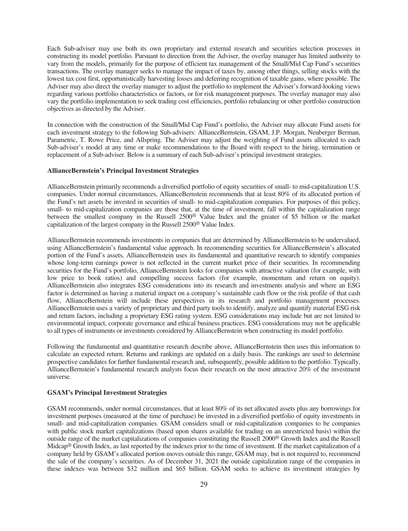Each Sub-adviser may use both its own proprietary and external research and securities selection processes in constructing its model portfolio. Pursuant to direction from the Adviser, the overlay manager has limited authority to vary from the models, primarily for the purpose of efficient tax management of the Small/Mid Cap Fund's securities transactions. The overlay manager seeks to manage the impact of taxes by, among other things, selling stocks with the lowest tax cost first, opportunistically harvesting losses and deferring recognition of taxable gains, where possible. The Adviser may also direct the overlay manager to adjust the portfolio to implement the Adviser's forward-looking views regarding various portfolio characteristics or factors, or for risk management purposes. The overlay manager may also vary the portfolio implementation to seek trading cost efficiencies, portfolio rebalancing or other portfolio construction objectives as directed by the Adviser.

In connection with the construction of the Small/Mid Cap Fund's portfolio, the Adviser may allocate Fund assets for each investment strategy to the following Sub-advisers: AllianceBernstein, GSAM, J.P. Morgan, Neuberger Berman, Parametric, T. Rowe Price, and Allspring. The Adviser may adjust the weighting of Fund assets allocated to each Sub-adviser's model at any time or make recommendations to the Board with respect to the hiring, termination or replacement of a Sub-adviser. Below is a summary of each Sub-adviser's principal investment strategies.

# **AllianceBernstein's Principal Investment Strategies**

AllianceBernstein primarily recommends a diversified portfolio of equity securities of small- to mid-capitalization U.S. companies. Under normal circumstances, AllianceBernstein recommends that at least 80% of its allocated portion of the Fund's net assets be invested in securities of small- to mid-capitalization companies. For purposes of this policy, small- to mid-capitalization companies are those that, at the time of investment, fall within the capitalization range between the smallest company in the Russell 2500® Value Index and the greater of \$5 billion or the market capitalization of the largest company in the Russell 2500® Value Index.

AllianceBernstein recommends investments in companies that are determined by AllianceBernstein to be undervalued, using AllianceBernstein's fundamental value approach. In recommending securities for AllianceBernstein's allocated portion of the Fund's assets, AllianceBernstein uses its fundamental and quantitative research to identify companies whose long-term earnings power is not reflected in the current market price of their securities. In recommending securities for the Fund's portfolio, AllianceBernstein looks for companies with attractive valuation (for example, with low price to book ratios) and compelling success factors (for example, momentum and return on equity). AllianceBernstein also integrates ESG considerations into its research and investments analysis and where an ESG factor is determined as having a material impact on a company's sustainable cash flow or the risk profile of that cash flow, AllianceBernstein will include these perspectives in its research and portfolio management processes. AllianceBernstein uses a variety of proprietary and third party tools to identify, analyze and quantify material ESG risk and return factors, including a proprietary ESG rating system. ESG considerations may include but are not limited to environmental impact, corporate governance and ethical business practices. ESG considerations may not be applicable to all types of instruments or investments considered by AllianceBernstein when constructing its model portfolio.

Following the fundamental and quantitative research describe above, AllianceBernstein then uses this information to calculate an expected return. Returns and rankings are updated on a daily basis. The rankings are used to determine prospective candidates for further fundamental research and, subsequently, possible addition to the portfolio. Typically, AllianceBernstein's fundamental research analysts focus their research on the most attractive 20% of the investment universe.

# **GSAM's Principal Investment Strategies**

GSAM recommends, under normal circumstances, that at least 80% of its net allocated assets plus any borrowings for investment purposes (measured at the time of purchase) be invested in a diversified portfolio of equity investments in small- and mid-capitalization companies. GSAM considers small or mid-capitalization companies to be companies with public stock market capitalizations (based upon shares available for trading on an unrestricted basis) within the outside range of the market capitalizations of companies constituting the Russell 2000® Growth Index and the Russell Midcap® Growth Index, as last reported by the indexes prior to the time of investment. If the market capitalization of a company held by GSAM's allocated portion moves outside this range, GSAM may, but is not required to, recommend the sale of the company's securities. As of December 31, 2021 the outside capitalization range of the companies in these indexes was between \$32 million and \$65 billion. GSAM seeks to achieve its investment strategies by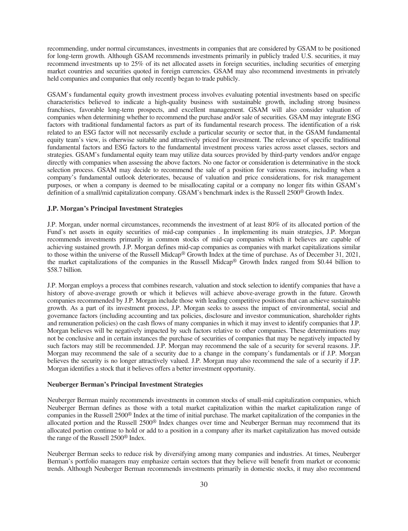recommending, under normal circumstances, investments in companies that are considered by GSAM to be positioned for long-term growth. Although GSAM recommends investments primarily in publicly traded U.S. securities, it may recommend investments up to 25% of its net allocated assets in foreign securities, including securities of emerging market countries and securities quoted in foreign currencies. GSAM may also recommend investments in privately held companies and companies that only recently began to trade publicly.

GSAM's fundamental equity growth investment process involves evaluating potential investments based on specific characteristics believed to indicate a high-quality business with sustainable growth, including strong business franchises, favorable long-term prospects, and excellent management. GSAM will also consider valuation of companies when determining whether to recommend the purchase and/or sale of securities. GSAM may integrate ESG factors with traditional fundamental factors as part of its fundamental research process. The identification of a risk related to an ESG factor will not necessarily exclude a particular security or sector that, in the GSAM fundamental equity team's view, is otherwise suitable and attractively priced for investment. The relevance of specific traditional fundamental factors and ESG factors to the fundamental investment process varies across asset classes, sectors and strategies. GSAM's fundamental equity team may utilize data sources provided by third-party vendors and/or engage directly with companies when assessing the above factors. No one factor or consideration is determinative in the stock selection process. GSAM may decide to recommend the sale of a position for various reasons, including when a company's fundamental outlook deteriorates, because of valuation and price considerations, for risk management purposes, or when a company is deemed to be misallocating capital or a company no longer fits within GSAM's definition of a small/mid capitalization company. GSAM's benchmark index is the Russell 2500<sup>®</sup> Growth Index.

# **J.P. Morgan's Principal Investment Strategies**

J.P. Morgan, under normal circumstances, recommends the investment of at least 80% of its allocated portion of the Fund's net assets in equity securities of mid-cap companies . In implementing its main strategies, J.P. Morgan recommends investments primarily in common stocks of mid-cap companies which it believes are capable of achieving sustained growth. J.P. Morgan defines mid-cap companies as companies with market capitalizations similar to those within the universe of the Russell Midcap® Growth Index at the time of purchase. As of December 31, 2021, the market capitalizations of the companies in the Russell Midcap® Growth Index ranged from \$0.44 billion to \$58.7 billion.

J.P. Morgan employs a process that combines research, valuation and stock selection to identify companies that have a history of above-average growth or which it believes will achieve above-average growth in the future. Growth companies recommended by J.P. Morgan include those with leading competitive positions that can achieve sustainable growth. As a part of its investment process, J.P. Morgan seeks to assess the impact of environmental, social and governance factors (including accounting and tax policies, disclosure and investor communication, shareholder rights and remuneration policies) on the cash flows of many companies in which it may invest to identify companies that J.P. Morgan believes will be negatively impacted by such factors relative to other companies. These determinations may not be conclusive and in certain instances the purchase of securities of companies that may be negatively impacted by such factors may still be recommended. J.P. Morgan may recommend the sale of a security for several reasons. J.P. Morgan may recommend the sale of a security due to a change in the company's fundamentals or if J.P. Morgan believes the security is no longer attractively valued. J.P. Morgan may also recommend the sale of a security if J.P. Morgan identifies a stock that it believes offers a better investment opportunity.

#### **Neuberger Berman's Principal Investment Strategies**

Neuberger Berman mainly recommends investments in common stocks of small-mid capitalization companies, which Neuberger Berman defines as those with a total market capitalization within the market capitalization range of companies in the Russell 2500® Index at the time of initial purchase. The market capitalization of the companies in the allocated portion and the Russell 2500® Index changes over time and Neuberger Berman may recommend that its allocated portion continue to hold or add to a position in a company after its market capitalization has moved outside the range of the Russell 2500® Index.

Neuberger Berman seeks to reduce risk by diversifying among many companies and industries. At times, Neuberger Berman's portfolio managers may emphasize certain sectors that they believe will benefit from market or economic trends. Although Neuberger Berman recommends investments primarily in domestic stocks, it may also recommend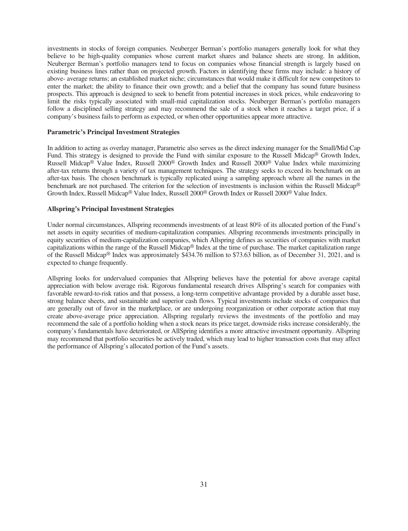investments in stocks of foreign companies. Neuberger Berman's portfolio managers generally look for what they believe to be high-quality companies whose current market shares and balance sheets are strong. In addition, Neuberger Berman's portfolio managers tend to focus on companies whose financial strength is largely based on existing business lines rather than on projected growth. Factors in identifying these firms may include: a history of above- average returns; an established market niche; circumstances that would make it difficult for new competitors to enter the market; the ability to finance their own growth; and a belief that the company has sound future business prospects. This approach is designed to seek to benefit from potential increases in stock prices, while endeavoring to limit the risks typically associated with small-mid capitalization stocks. Neuberger Berman's portfolio managers follow a disciplined selling strategy and may recommend the sale of a stock when it reaches a target price, if a company's business fails to perform as expected, or when other opportunities appear more attractive.

# **Parametric's Principal Investment Strategies**

In addition to acting as overlay manager, Parametric also serves as the direct indexing manager for the Small/Mid Cap Fund. This strategy is designed to provide the Fund with similar exposure to the Russell Midcap<sup>®</sup> Growth Index, Russell Midcap® Value Index, Russell 2000® Growth Index and Russell 2000® Value Index while maximizing after-tax returns through a variety of tax management techniques. The strategy seeks to exceed its benchmark on an after-tax basis. The chosen benchmark is typically replicated using a sampling approach where all the names in the benchmark are not purchased. The criterion for the selection of investments is inclusion within the Russell Midcap® Growth Index, Russell Midcap® Value Index, Russell 2000® Growth Index or Russell 2000® Value Index.

# **Allspring's Principal Investment Strategies**

Under normal circumstances, Allspring recommends investments of at least 80% of its allocated portion of the Fund's net assets in equity securities of medium-capitalization companies. Allspring recommends investments principally in equity securities of medium-capitalization companies, which Allspring defines as securities of companies with market capitalizations within the range of the Russell Midcap® Index at the time of purchase. The market capitalization range of the Russell Midcap® Index was approximately \$434.76 million to \$73.63 billion, as of December 31, 2021, and is expected to change frequently.

Allspring looks for undervalued companies that Allspring believes have the potential for above average capital appreciation with below average risk. Rigorous fundamental research drives Allspring's search for companies with favorable reward-to-risk ratios and that possess, a long-term competitive advantage provided by a durable asset base, strong balance sheets, and sustainable and superior cash flows. Typical investments include stocks of companies that are generally out of favor in the marketplace, or are undergoing reorganization or other corporate action that may create above-average price appreciation. Allspring regularly reviews the investments of the portfolio and may recommend the sale of a portfolio holding when a stock nears its price target, downside risks increase considerably, the company's fundamentals have deteriorated, or AllSpring identifies a more attractive investment opportunity. Allspring may recommend that portfolio securities be actively traded, which may lead to higher transaction costs that may affect the performance of Allspring's allocated portion of the Fund's assets.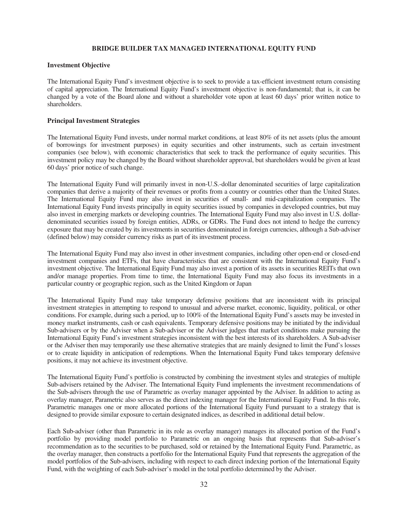# **BRIDGE BUILDER TAX MANAGED INTERNATIONAL EQUITY FUND**

# <span id="page-33-0"></span>**Investment Objective**

The International Equity Fund's investment objective is to seek to provide a tax-efficient investment return consisting of capital appreciation. The International Equity Fund's investment objective is non-fundamental; that is, it can be changed by a vote of the Board alone and without a shareholder vote upon at least 60 days' prior written notice to shareholders.

# **Principal Investment Strategies**

The International Equity Fund invests, under normal market conditions, at least 80% of its net assets (plus the amount of borrowings for investment purposes) in equity securities and other instruments, such as certain investment companies (see below), with economic characteristics that seek to track the performance of equity securities. This investment policy may be changed by the Board without shareholder approval, but shareholders would be given at least 60 days' prior notice of such change.

The International Equity Fund will primarily invest in non-U.S.-dollar denominated securities of large capitalization companies that derive a majority of their revenues or profits from a country or countries other than the United States. The International Equity Fund may also invest in securities of small- and mid-capitalization companies. The International Equity Fund invests principally in equity securities issued by companies in developed countries, but may also invest in emerging markets or developing countries. The International Equity Fund may also invest in U.S. dollardenominated securities issued by foreign entities, ADRs, or GDRs. The Fund does not intend to hedge the currency exposure that may be created by its investments in securities denominated in foreign currencies, although a Sub-adviser (defined below) may consider currency risks as part of its investment process.

The International Equity Fund may also invest in other investment companies, including other open-end or closed-end investment companies and ETFs, that have characteristics that are consistent with the International Equity Fund's investment objective. The International Equity Fund may also invest a portion of its assets in securities REITs that own and/or manage properties. From time to time, the International Equity Fund may also focus its investments in a particular country or geographic region, such as the United Kingdom or Japan

The International Equity Fund may take temporary defensive positions that are inconsistent with its principal investment strategies in attempting to respond to unusual and adverse market, economic, liquidity, political, or other conditions. For example, during such a period, up to 100% of the International Equity Fund's assets may be invested in money market instruments, cash or cash equivalents. Temporary defensive positions may be initiated by the individual Sub-advisers or by the Adviser when a Sub-adviser or the Adviser judges that market conditions make pursuing the International Equity Fund's investment strategies inconsistent with the best interests of its shareholders. A Sub-adviser or the Adviser then may temporarily use these alternative strategies that are mainly designed to limit the Fund's losses or to create liquidity in anticipation of redemptions. When the International Equity Fund takes temporary defensive positions, it may not achieve its investment objective.

The International Equity Fund's portfolio is constructed by combining the investment styles and strategies of multiple Sub-advisers retained by the Adviser. The International Equity Fund implements the investment recommendations of the Sub-advisers through the use of Parametric as overlay manager appointed by the Adviser. In addition to acting as overlay manager, Parametric also serves as the direct indexing manager for the International Equity Fund. In this role, Parametric manages one or more allocated portions of the International Equity Fund pursuant to a strategy that is designed to provide similar exposure to certain designated indices, as described in additional detail below.

Each Sub-adviser (other than Parametric in its role as overlay manager) manages its allocated portion of the Fund's portfolio by providing model portfolio to Parametric on an ongoing basis that represents that Sub-adviser's recommendation as to the securities to be purchased, sold or retained by the International Equity Fund. Parametric, as the overlay manager, then constructs a portfolio for the International Equity Fund that represents the aggregation of the model portfolios of the Sub-advisers, including with respect to each direct indexing portion of the International Equity Fund, with the weighting of each Sub-adviser's model in the total portfolio determined by the Adviser.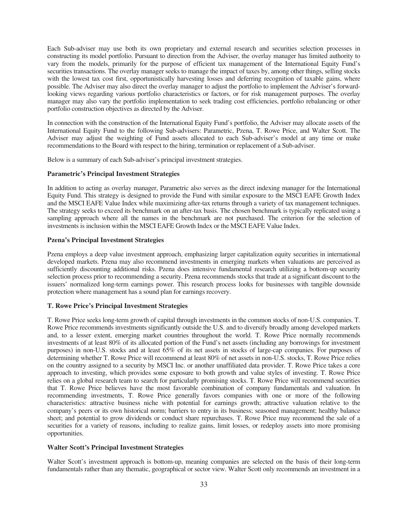Each Sub-adviser may use both its own proprietary and external research and securities selection processes in constructing its model portfolio. Pursuant to direction from the Adviser, the overlay manager has limited authority to vary from the models, primarily for the purpose of efficient tax management of the International Equity Fund's securities transactions. The overlay manager seeks to manage the impact of taxes by, among other things, selling stocks with the lowest tax cost first, opportunistically harvesting losses and deferring recognition of taxable gains, where possible. The Adviser may also direct the overlay manager to adjust the portfolio to implement the Adviser's forwardlooking views regarding various portfolio characteristics or factors, or for risk management purposes. The overlay manager may also vary the portfolio implementation to seek trading cost efficiencies, portfolio rebalancing or other portfolio construction objectives as directed by the Adviser.

In connection with the construction of the International Equity Fund's portfolio, the Adviser may allocate assets of the International Equity Fund to the following Sub-advisers: Parametric, Pzena, T. Rowe Price, and Walter Scott. The Adviser may adjust the weighting of Fund assets allocated to each Sub-adviser's model at any time or make recommendations to the Board with respect to the hiring, termination or replacement of a Sub-adviser.

Below is a summary of each Sub-adviser's principal investment strategies.

# **Parametric's Principal Investment Strategies**

In addition to acting as overlay manager, Parametric also serves as the direct indexing manager for the International Equity Fund. This strategy is designed to provide the Fund with similar exposure to the MSCI EAFE Growth Index and the MSCI EAFE Value Index while maximizing after-tax returns through a variety of tax management techniques. The strategy seeks to exceed its benchmark on an after-tax basis. The chosen benchmark is typically replicated using a sampling approach where all the names in the benchmark are not purchased. The criterion for the selection of investments is inclusion within the MSCI EAFE Growth Index or the MSCI EAFE Value Index.

## **Pzena's Principal Investment Strategies**

Pzena employs a deep value investment approach, emphasizing larger capitalization equity securities in international developed markets. Pzena may also recommend investments in emerging markets when valuations are perceived as sufficiently discounting additional risks. Pzena does intensive fundamental research utilizing a bottom-up security selection process prior to recommending a security. Pzena recommends stocks that trade at a significant discount to the issuers' normalized long-term earnings power. This research process looks for businesses with tangible downside protection where management has a sound plan for earnings recovery.

## **T. Rowe Price's Principal Investment Strategies**

T. Rowe Price seeks long-term growth of capital through investments in the common stocks of non-U.S. companies. T. Rowe Price recommends investments significantly outside the U.S. and to diversify broadly among developed markets and, to a lesser extent, emerging market countries throughout the world. T. Rowe Price normally recommends investments of at least 80% of its allocated portion of the Fund's net assets (including any borrowings for investment purposes) in non-U.S. stocks and at least 65% of its net assets in stocks of large-cap companies. For purposes of determining whether T. Rowe Price will recommend at least 80% of net assets in non-U.S. stocks, T. Rowe Price relies on the country assigned to a security by MSCI Inc. or another unaffiliated data provider. T. Rowe Price takes a core approach to investing, which provides some exposure to both growth and value styles of investing. T. Rowe Price relies on a global research team to search for particularly promising stocks. T. Rowe Price will recommend securities that T. Rowe Price believes have the most favorable combination of company fundamentals and valuation. In recommending investments, T. Rowe Price generally favors companies with one or more of the following characteristics: attractive business niche with potential for earnings growth; attractive valuation relative to the company's peers or its own historical norm; barriers to entry in its business; seasoned management; healthy balance sheet; and potential to grow dividends or conduct share repurchases. T. Rowe Price may recommend the sale of a securities for a variety of reasons, including to realize gains, limit losses, or redeploy assets into more promising opportunities.

#### **Walter Scott's Principal Investment Strategies**

Walter Scott's investment approach is bottom-up, meaning companies are selected on the basis of their long-term fundamentals rather than any thematic, geographical or sector view. Walter Scott only recommends an investment in a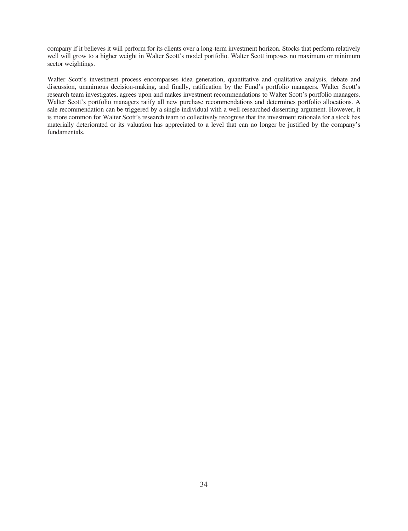company if it believes it will perform for its clients over a long-term investment horizon. Stocks that perform relatively well will grow to a higher weight in Walter Scott's model portfolio. Walter Scott imposes no maximum or minimum sector weightings.

Walter Scott's investment process encompasses idea generation, quantitative and qualitative analysis, debate and discussion, unanimous decision-making, and finally, ratification by the Fund's portfolio managers. Walter Scott's research team investigates, agrees upon and makes investment recommendations to Walter Scott's portfolio managers. Walter Scott's portfolio managers ratify all new purchase recommendations and determines portfolio allocations. A sale recommendation can be triggered by a single individual with a well-researched dissenting argument. However, it is more common for Walter Scott's research team to collectively recognise that the investment rationale for a stock has materially deteriorated or its valuation has appreciated to a level that can no longer be justified by the company's fundamentals.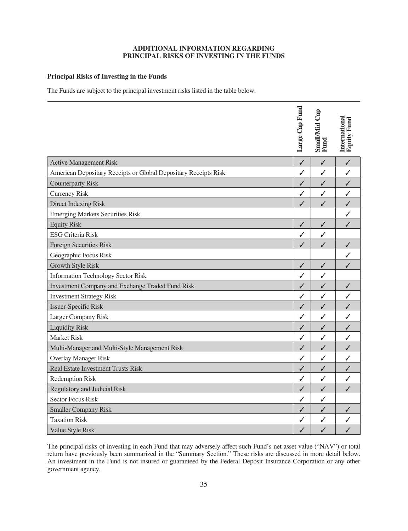# **ADDITIONAL INFORMATION REGARDING PRINCIPAL RISKS OF INVESTING IN THE FUNDS**

# <span id="page-36-0"></span>**Principal Risks of Investing in the Funds**

The Funds are subject to the principal investment risks listed in the table below.

|                                                                 | Large Cap Fund | Small/Mid Cap<br>Fund | <b>International</b><br>Equity Fund |
|-----------------------------------------------------------------|----------------|-----------------------|-------------------------------------|
| <b>Active Management Risk</b>                                   | ✓              | $\checkmark$          | $\checkmark$                        |
| American Depositary Receipts or Global Depositary Receipts Risk | ✓              | $\checkmark$          | $\checkmark$                        |
| <b>Counterparty Risk</b>                                        | ✓              | $\checkmark$          | $\checkmark$                        |
| <b>Currency Risk</b>                                            | ✓              | ✓                     | $\checkmark$                        |
| <b>Direct Indexing Risk</b>                                     | ✓              | ✓                     | $\checkmark$                        |
| <b>Emerging Markets Securities Risk</b>                         |                |                       | $\checkmark$                        |
| <b>Equity Risk</b>                                              | $\checkmark$   | $\checkmark$          | ✓                                   |
| <b>ESG Criteria Risk</b>                                        | ✓              | $\checkmark$          |                                     |
| Foreign Securities Risk                                         | $\checkmark$   | $\checkmark$          | $\checkmark$                        |
| Geographic Focus Risk                                           |                |                       | ✓                                   |
| <b>Growth Style Risk</b>                                        | $\checkmark$   | $\checkmark$          | $\checkmark$                        |
| <b>Information Technology Sector Risk</b>                       | $\checkmark$   | $\checkmark$          |                                     |
| <b>Investment Company and Exchange Traded Fund Risk</b>         | ✓              | ✓                     | $\checkmark$                        |
| <b>Investment Strategy Risk</b>                                 | ✓              | ✓                     | $\checkmark$                        |
| <b>Issuer-Specific Risk</b>                                     | $\checkmark$   | $\checkmark$          | $\checkmark$                        |
| Larger Company Risk                                             | $\checkmark$   | ✓                     | ✓                                   |
| <b>Liquidity Risk</b>                                           | $\checkmark$   | $\checkmark$          | $\checkmark$                        |
| <b>Market Risk</b>                                              | ✓              | ✓                     | $\checkmark$                        |
| Multi-Manager and Multi-Style Management Risk                   | ✓              | ✓                     | $\checkmark$                        |
| <b>Overlay Manager Risk</b>                                     | ✓              | $\checkmark$          | $\checkmark$                        |
| <b>Real Estate Investment Trusts Risk</b>                       | $\checkmark$   | $\checkmark$          | $\checkmark$                        |
| <b>Redemption Risk</b>                                          | ✓              | ✓                     | ✓                                   |
| <b>Regulatory and Judicial Risk</b>                             | $\checkmark$   | $\checkmark$          | ✓                                   |
| <b>Sector Focus Risk</b>                                        | $\checkmark$   | $\checkmark$          |                                     |
| <b>Smaller Company Risk</b>                                     | ✓              | $\checkmark$          | $\checkmark$                        |
| <b>Taxation Risk</b>                                            | ✓              | ✓                     | ✓                                   |
| Value Style Risk                                                | $\checkmark$   | $\checkmark$          | $\checkmark$                        |

The principal risks of investing in each Fund that may adversely affect such Fund's net asset value ("NAV") or total return have previously been summarized in the "Summary Section." These risks are discussed in more detail below. An investment in the Fund is not insured or guaranteed by the Federal Deposit Insurance Corporation or any other government agency.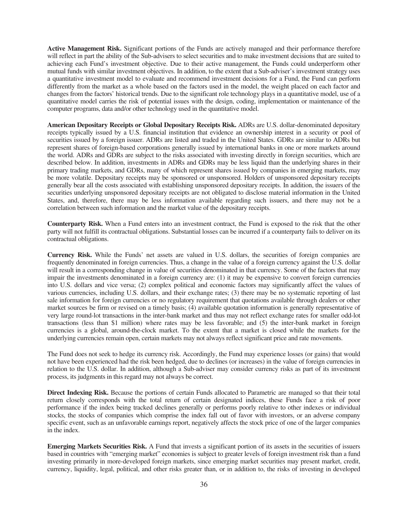**Active Management Risk.** Significant portions of the Funds are actively managed and their performance therefore will reflect in part the ability of the Sub-advisers to select securities and to make investment decisions that are suited to achieving each Fund's investment objective. Due to their active management, the Funds could underperform other mutual funds with similar investment objectives. In addition, to the extent that a Sub-adviser's investment strategy uses a quantitative investment model to evaluate and recommend investment decisions for a Fund, the Fund can perform differently from the market as a whole based on the factors used in the model, the weight placed on each factor and changes from the factors' historical trends. Due to the significant role technology plays in a quantitative model, use of a quantitative model carries the risk of potential issues with the design, coding, implementation or maintenance of the computer programs, data and/or other technology used in the quantitative model.

**American Depositary Receipts or Global Depositary Receipts Risk.** ADRs are U.S. dollar-denominated depositary receipts typically issued by a U.S. financial institution that evidence an ownership interest in a security or pool of securities issued by a foreign issuer. ADRs are listed and traded in the United States. GDRs are similar to ADRs but represent shares of foreign-based corporations generally issued by international banks in one or more markets around the world. ADRs and GDRs are subject to the risks associated with investing directly in foreign securities, which are described below. In addition, investments in ADRs and GDRs may be less liquid than the underlying shares in their primary trading markets, and GDRs, many of which represent shares issued by companies in emerging markets, may be more volatile. Depositary receipts may be sponsored or unsponsored. Holders of unsponsored depositary receipts generally bear all the costs associated with establishing unsponsored depositary receipts. In addition, the issuers of the securities underlying unsponsored depositary receipts are not obligated to disclose material information in the United States, and, therefore, there may be less information available regarding such issuers, and there may not be a correlation between such information and the market value of the depositary receipts.

**Counterparty Risk.** When a Fund enters into an investment contract, the Fund is exposed to the risk that the other party will not fulfill its contractual obligations. Substantial losses can be incurred if a counterparty fails to deliver on its contractual obligations.

**Currency Risk.** While the Funds' net assets are valued in U.S. dollars, the securities of foreign companies are frequently denominated in foreign currencies. Thus, a change in the value of a foreign currency against the U.S. dollar will result in a corresponding change in value of securities denominated in that currency. Some of the factors that may impair the investments denominated in a foreign currency are: (1) it may be expensive to convert foreign currencies into U.S. dollars and vice versa; (2) complex political and economic factors may significantly affect the values of various currencies, including U.S. dollars, and their exchange rates; (3) there may be no systematic reporting of last sale information for foreign currencies or no regulatory requirement that quotations available through dealers or other market sources be firm or revised on a timely basis; (4) available quotation information is generally representative of very large round-lot transactions in the inter-bank market and thus may not reflect exchange rates for smaller odd-lot transactions (less than \$1 million) where rates may be less favorable; and (5) the inter-bank market in foreign currencies is a global, around-the-clock market. To the extent that a market is closed while the markets for the underlying currencies remain open, certain markets may not always reflect significant price and rate movements.

The Fund does not seek to hedge its currency risk. Accordingly, the Fund may experience losses (or gains) that would not have been experienced had the risk been hedged, due to declines (or increases) in the value of foreign currencies in relation to the U.S. dollar. In addition, although a Sub-adviser may consider currency risks as part of its investment process, its judgments in this regard may not always be correct.

**Direct Indexing Risk.** Because the portions of certain Funds allocated to Parametric are managed so that their total return closely corresponds with the total return of certain designated indices, these Funds face a risk of poor performance if the index being tracked declines generally or performs poorly relative to other indexes or individual stocks, the stocks of companies which comprise the index fall out of favor with investors, or an adverse company specific event, such as an unfavorable earnings report, negatively affects the stock price of one of the larger companies in the index.

**Emerging Markets Securities Risk.** A Fund that invests a significant portion of its assets in the securities of issuers based in countries with "emerging market" economies is subject to greater levels of foreign investment risk than a fund investing primarily in more-developed foreign markets, since emerging market securities may present market, credit, currency, liquidity, legal, political, and other risks greater than, or in addition to, the risks of investing in developed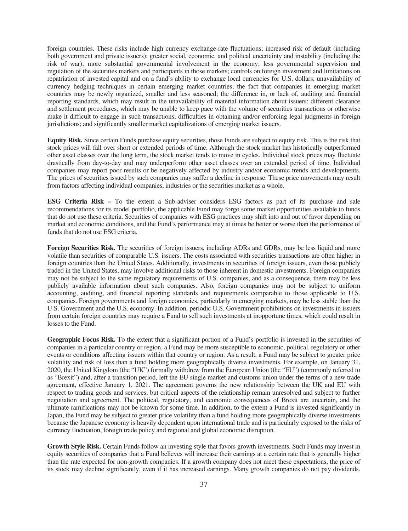foreign countries. These risks include high currency exchange-rate fluctuations; increased risk of default (including both government and private issuers); greater social, economic, and political uncertainty and instability (including the risk of war); more substantial governmental involvement in the economy; less governmental supervision and regulation of the securities markets and participants in those markets; controls on foreign investment and limitations on repatriation of invested capital and on a fund's ability to exchange local currencies for U.S. dollars; unavailability of currency hedging techniques in certain emerging market countries; the fact that companies in emerging market countries may be newly organized, smaller and less seasoned; the difference in, or lack of, auditing and financial reporting standards, which may result in the unavailability of material information about issuers; different clearance and settlement procedures, which may be unable to keep pace with the volume of securities transactions or otherwise make it difficult to engage in such transactions; difficulties in obtaining and/or enforcing legal judgments in foreign jurisdictions; and significantly smaller market capitalizations of emerging market issuers.

**Equity Risk.** Since certain Funds purchase equity securities, those Funds are subject to equity risk. This is the risk that stock prices will fall over short or extended periods of time. Although the stock market has historically outperformed other asset classes over the long term, the stock market tends to move in cycles. Individual stock prices may fluctuate drastically from day-to-day and may underperform other asset classes over an extended period of time. Individual companies may report poor results or be negatively affected by industry and/or economic trends and developments. The prices of securities issued by such companies may suffer a decline in response. These price movements may result from factors affecting individual companies, industries or the securities market as a whole.

**ESG Criteria Risk –** To the extent a Sub-adviser considers ESG factors as part of its purchase and sale recommendations for its model portfolio, the applicable Fund may forgo some market opportunities available to funds that do not use these criteria. Securities of companies with ESG practices may shift into and out of favor depending on market and economic conditions, and the Fund's performance may at times be better or worse than the performance of funds that do not use ESG criteria.

**Foreign Securities Risk.** The securities of foreign issuers, including ADRs and GDRs, may be less liquid and more volatile than securities of comparable U.S. issuers. The costs associated with securities transactions are often higher in foreign countries than the United States. Additionally, investments in securities of foreign issuers, even those publicly traded in the United States, may involve additional risks to those inherent in domestic investments. Foreign companies may not be subject to the same regulatory requirements of U.S. companies, and as a consequence, there may be less publicly available information about such companies. Also, foreign companies may not be subject to uniform accounting, auditing, and financial reporting standards and requirements comparable to those applicable to U.S. companies. Foreign governments and foreign economies, particularly in emerging markets, may be less stable than the U.S. Government and the U.S. economy. In addition, periodic U.S. Government prohibitions on investments in issuers from certain foreign countries may require a Fund to sell such investments at inopportune times, which could result in losses to the Fund.

**Geographic Focus Risk.** To the extent that a significant portion of a Fund's portfolio is invested in the securities of companies in a particular country or region, a Fund may be more susceptible to economic, political, regulatory or other events or conditions affecting issuers within that country or region. As a result, a Fund may be subject to greater price volatility and risk of loss than a fund holding more geographically diverse investments. For example, on January 31, 2020, the United Kingdom (the "UK") formally withdrew from the European Union (the "EU") (commonly referred to as "Brexit") and, after a transition period, left the EU single market and customs union under the terms of a new trade agreement, effective January 1, 2021. The agreement governs the new relationship between the UK and EU with respect to trading goods and services, but critical aspects of the relationship remain unresolved and subject to further negotiation and agreement. The political, regulatory, and economic consequences of Brexit are uncertain, and the ultimate ramifications may not be known for some time. In addition, to the extent a Fund is invested significantly in Japan, the Fund may be subject to greater price volatility than a fund holding more geographically diverse investments because the Japanese economy is heavily dependent upon international trade and is particularly exposed to the risks of currency fluctuation, foreign trade policy and regional and global economic disruption.

**Growth Style Risk.** Certain Funds follow an investing style that favors growth investments. Such Funds may invest in equity securities of companies that a Fund believes will increase their earnings at a certain rate that is generally higher than the rate expected for non-growth companies. If a growth company does not meet these expectations, the price of its stock may decline significantly, even if it has increased earnings. Many growth companies do not pay dividends.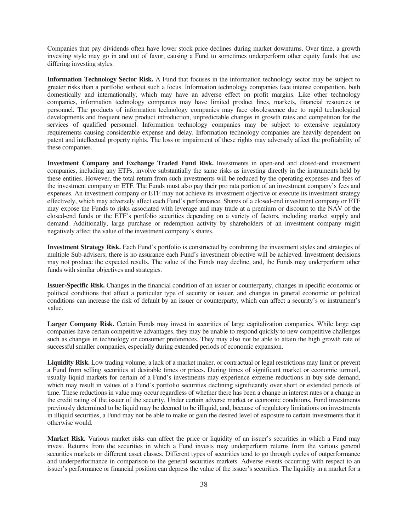Companies that pay dividends often have lower stock price declines during market downturns. Over time, a growth investing style may go in and out of favor, causing a Fund to sometimes underperform other equity funds that use differing investing styles.

**Information Technology Sector Risk.** A Fund that focuses in the information technology sector may be subject to greater risks than a portfolio without such a focus. Information technology companies face intense competition, both domestically and internationally, which may have an adverse effect on profit margins. Like other technology companies, information technology companies may have limited product lines, markets, financial resources or personnel. The products of information technology companies may face obsolescence due to rapid technological developments and frequent new product introduction, unpredictable changes in growth rates and competition for the services of qualified personnel. Information technology companies may be subject to extensive regulatory requirements causing considerable expense and delay. Information technology companies are heavily dependent on patent and intellectual property rights. The loss or impairment of these rights may adversely affect the profitability of these companies.

**Investment Company and Exchange Traded Fund Risk.** Investments in open-end and closed-end investment companies, including any ETFs, involve substantially the same risks as investing directly in the instruments held by these entities. However, the total return from such investments will be reduced by the operating expenses and fees of the investment company or ETF. The Funds must also pay their pro rata portion of an investment company's fees and expenses. An investment company or ETF may not achieve its investment objective or execute its investment strategy effectively, which may adversely affect each Fund's performance. Shares of a closed-end investment company or ETF may expose the Funds to risks associated with leverage and may trade at a premium or discount to the NAV of the closed-end funds or the ETF's portfolio securities depending on a variety of factors, including market supply and demand. Additionally, large purchase or redemption activity by shareholders of an investment company might negatively affect the value of the investment company's shares.

**Investment Strategy Risk.** Each Fund's portfolio is constructed by combining the investment styles and strategies of multiple Sub-advisers; there is no assurance each Fund's investment objective will be achieved. Investment decisions may not produce the expected results. The value of the Funds may decline, and, the Funds may underperform other funds with similar objectives and strategies.

**Issuer-Specific Risk.** Changes in the financial condition of an issuer or counterparty, changes in specific economic or political conditions that affect a particular type of security or issuer, and changes in general economic or political conditions can increase the risk of default by an issuer or counterparty, which can affect a security's or instrument's value.

**Larger Company Risk.** Certain Funds may invest in securities of large capitalization companies. While large cap companies have certain competitive advantages, they may be unable to respond quickly to new competitive challenges such as changes in technology or consumer preferences. They may also not be able to attain the high growth rate of successful smaller companies, especially during extended periods of economic expansion.

**Liquidity Risk.** Low trading volume, a lack of a market maker, or contractual or legal restrictions may limit or prevent a Fund from selling securities at desirable times or prices. During times of significant market or economic turmoil, usually liquid markets for certain of a Fund's investments may experience extreme reductions in buy-side demand, which may result in values of a Fund's portfolio securities declining significantly over short or extended periods of time. These reductions in value may occur regardless of whether there has been a change in interest rates or a change in the credit rating of the issuer of the security. Under certain adverse market or economic conditions, Fund investments previously determined to be liquid may be deemed to be illiquid, and, because of regulatory limitations on investments in illiquid securities, a Fund may not be able to make or gain the desired level of exposure to certain investments that it otherwise would.

**Market Risk.** Various market risks can affect the price or liquidity of an issuer's securities in which a Fund may invest. Returns from the securities in which a Fund invests may underperform returns from the various general securities markets or different asset classes. Different types of securities tend to go through cycles of outperformance and underperformance in comparison to the general securities markets. Adverse events occurring with respect to an issuer's performance or financial position can depress the value of the issuer's securities. The liquidity in a market for a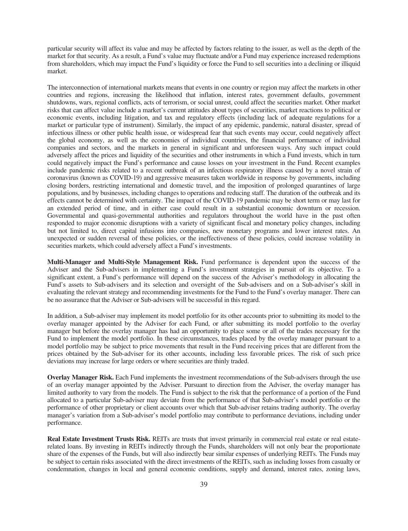particular security will affect its value and may be affected by factors relating to the issuer, as well as the depth of the market for that security. As a result, a Fund's value may fluctuate and/or a Fund may experience increased redemptions from shareholders, which may impact the Fund's liquidity or force the Fund to sell securities into a declining or illiquid market.

The interconnection of international markets means that events in one country or region may affect the markets in other countries and regions, increasing the likelihood that inflation, interest rates, government defaults, government shutdowns, wars, regional conflicts, acts of terrorism, or social unrest, could affect the securities market. Other market risks that can affect value include a market's current attitudes about types of securities, market reactions to political or economic events, including litigation, and tax and regulatory effects (including lack of adequate regulations for a market or particular type of instrument). Similarly, the impact of any epidemic, pandemic, natural disaster, spread of infectious illness or other public health issue, or widespread fear that such events may occur, could negatively affect the global economy, as well as the economies of individual countries, the financial performance of individual companies and sectors, and the markets in general in significant and unforeseen ways. Any such impact could adversely affect the prices and liquidity of the securities and other instruments in which a Fund invests, which in turn could negatively impact the Fund's performance and cause losses on your investment in the Fund. Recent examples include pandemic risks related to a recent outbreak of an infectious respiratory illness caused by a novel strain of coronavirus (known as COVID-19) and aggressive measures taken worldwide in response by governments, including closing borders, restricting international and domestic travel, and the imposition of prolonged quarantines of large populations, and by businesses, including changes to operations and reducing staff. The duration of the outbreak and its effects cannot be determined with certainty. The impact of the COVID-19 pandemic may be short term or may last for an extended period of time, and in either case could result in a substantial economic downturn or recession. Governmental and quasi-governmental authorities and regulators throughout the world have in the past often responded to major economic disruptions with a variety of significant fiscal and monetary policy changes, including but not limited to, direct capital infusions into companies, new monetary programs and lower interest rates. An unexpected or sudden reversal of these policies, or the ineffectiveness of these policies, could increase volatility in securities markets, which could adversely affect a Fund's investments.

**Multi-Manager and Multi-Style Management Risk.** Fund performance is dependent upon the success of the Adviser and the Sub-advisers in implementing a Fund's investment strategies in pursuit of its objective. To a significant extent, a Fund's performance will depend on the success of the Adviser's methodology in allocating the Fund's assets to Sub-advisers and its selection and oversight of the Sub-advisers and on a Sub-adviser's skill in evaluating the relevant strategy and recommending investments for the Fund to the Fund's overlay manager. There can be no assurance that the Adviser or Sub-advisers will be successful in this regard.

In addition, a Sub-adviser may implement its model portfolio for its other accounts prior to submitting its model to the overlay manager appointed by the Adviser for each Fund, or after submitting its model portfolio to the overlay manager but before the overlay manager has had an opportunity to place some or all of the trades necessary for the Fund to implement the model portfolio. In these circumstances, trades placed by the overlay manager pursuant to a model portfolio may be subject to price movements that result in the Fund receiving prices that are different from the prices obtained by the Sub-adviser for its other accounts, including less favorable prices. The risk of such price deviations may increase for large orders or where securities are thinly traded.

**Overlay Manager Risk.** Each Fund implements the investment recommendations of the Sub-advisers through the use of an overlay manager appointed by the Adviser. Pursuant to direction from the Adviser, the overlay manager has limited authority to vary from the models. The Fund is subject to the risk that the performance of a portion of the Fund allocated to a particular Sub-adviser may deviate from the performance of that Sub-adviser's model portfolio or the performance of other proprietary or client accounts over which that Sub-adviser retains trading authority. The overlay manager's variation from a Sub-adviser's model portfolio may contribute to performance deviations, including under performance.

**Real Estate Investment Trusts Risk.** REITs are trusts that invest primarily in commercial real estate or real estaterelated loans. By investing in REITs indirectly through the Funds, shareholders will not only bear the proportionate share of the expenses of the Funds, but will also indirectly bear similar expenses of underlying REITs. The Funds may be subject to certain risks associated with the direct investments of the REITs, such as including losses from casualty or condemnation, changes in local and general economic conditions, supply and demand, interest rates, zoning laws,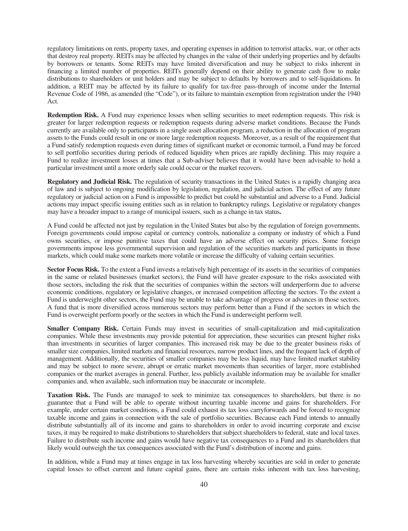regulatory limitations on rents, property taxes, and operating expenses in addition to terrorist attacks, war, or other acts that destroy real property. REITs may be affected by changes in the value of their underlying properties and by defaults by borrowers or tenants. Some REITs may have limited diversification and may be subject to risks inherent in financing a limited number of properties. REITs generally depend on their ability to generate cash flow to make distributions to shareholders or unit holders and may be subject to defaults by borrowers and to self-liquidations. In addition, a REIT may be affected by its failure to qualify for tax-free pass-through of income under the Internal Revenue Code of 1986, as amended (the "Code"), or its failure to maintain exemption from registration under the 1940 Act.

**Redemption Risk.** A Fund may experience losses when selling securities to meet redemption requests. This risk is greater for larger redemption requests or redemption requests during adverse market conditions. Because the Funds currently are available only to participants in a single asset allocation program, a reduction in the allocation of program assets to the Funds could result in one or more large redemption requests. Moreover, as a result of the requirement that a Fund satisfy redemption requests even during times of significant market or economic turmoil, a Fund may be forced to sell portfolio securities during periods of reduced liquidity when prices are rapidly declining. This may require a Fund to realize investment losses at times that a Sub-adviser believes that it would have been advisable to hold a particular investment until a more orderly sale could occur or the market recovers.

**Regulatory and Judicial Risk.** The regulation of security transactions in the United States is a rapidly changing area of law and is subject to ongoing modification by legislation, regulation, and judicial action. The effect of any future regulatory or judicial action on a Fund is impossible to predict but could be substantial and adverse to a Fund. Judicial actions may impact specific issuing entities such as in relation to bankruptcy rulings. Legislative or regulatory changes may have a broader impact to a range of municipal issuers, such as a change in tax status**.**

A Fund could be affected not just by regulation in the United States but also by the regulation of foreign governments. Foreign governments could impose capital or currency controls, nationalize a company or industry of which a Fund owns securities, or impose punitive taxes that could have an adverse effect on security prices. Some foreign governments impose less governmental supervision and regulation of the securities markets and participants in those markets, which could make some markets more volatile or increase the difficulty of valuing certain securities.

**Sector Focus Risk.** To the extent a Fund invests a relatively high percentage of its assets in the securities of companies in the same or related businesses (market sectors), the Fund will have greater exposure to the risks associated with those sectors, including the risk that the securities of companies within the sectors will underperform due to adverse economic conditions, regulatory or legislative changes, or increased competition affecting the sectors. To the extent a Fund is underweight other sectors, the Fund may be unable to take advantage of progress or advances in those sectors. A fund that is more diversified across numerous sectors may perform better than a Fund if the sectors in which the Fund is overweight perform poorly or the sectors in which the Fund is underweight perform well.

**Smaller Company Risk.** Certain Funds may invest in securities of small-capitalization and mid-capitalization companies. While these investments may provide potential for appreciation, these securities can present higher risks than investments in securities of larger companies. This increased risk may be due to the greater business risks of smaller size companies, limited markets and financial resources, narrow product lines, and the frequent lack of depth of management. Additionally, the securities of smaller companies may be less liquid, may have limited market stability and may be subject to more severe, abrupt or erratic market movements than securities of larger, more established companies or the market averages in general. Further, less publicly available information may be available for smaller companies and, when available, such information may be inaccurate or incomplete.

**Taxation Risk.** The Funds are managed to seek to minimize tax consequences to shareholders, but there is no guarantee that a Fund will be able to operate without incurring taxable income and gains for shareholders. For example, under certain market conditions, a Fund could exhaust its tax loss carryforwards and be forced to recognize taxable income and gains in connection with the sale of portfolio securities. Because each Fund intends to annually distribute substantially all of its income and gains to shareholders in order to avoid incurring corporate and excise taxes, it may be required to make distributions to shareholders that subject shareholders to federal, state and local taxes. Failure to distribute such income and gains would have negative tax consequences to a Fund and its shareholders that likely would outweigh the tax consequences associated with the Fund's distribution of income and gains.

In addition, while a Fund may at times engage in tax loss harvesting whereby securities are sold in order to generate capital losses to offset current and future capital gains, there are certain risks inherent with tax loss harvesting,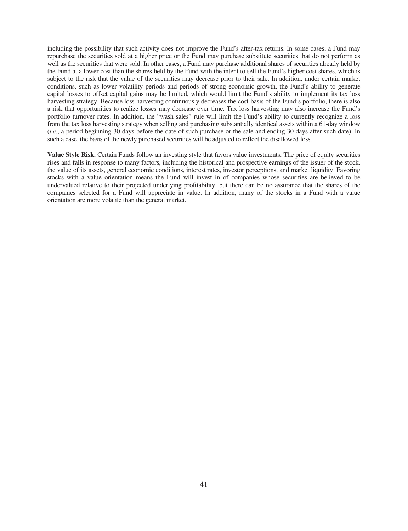including the possibility that such activity does not improve the Fund's after-tax returns. In some cases, a Fund may repurchase the securities sold at a higher price or the Fund may purchase substitute securities that do not perform as well as the securities that were sold. In other cases, a Fund may purchase additional shares of securities already held by the Fund at a lower cost than the shares held by the Fund with the intent to sell the Fund's higher cost shares, which is subject to the risk that the value of the securities may decrease prior to their sale. In addition, under certain market conditions, such as lower volatility periods and periods of strong economic growth, the Fund's ability to generate capital losses to offset capital gains may be limited, which would limit the Fund's ability to implement its tax loss harvesting strategy. Because loss harvesting continuously decreases the cost-basis of the Fund's portfolio, there is also a risk that opportunities to realize losses may decrease over time. Tax loss harvesting may also increase the Fund's portfolio turnover rates. In addition, the "wash sales" rule will limit the Fund's ability to currently recognize a loss from the tax loss harvesting strategy when selling and purchasing substantially identical assets within a 61-day window (*i.e.*, a period beginning 30 days before the date of such purchase or the sale and ending 30 days after such date). In such a case, the basis of the newly purchased securities will be adjusted to reflect the disallowed loss.

**Value Style Risk.** Certain Funds follow an investing style that favors value investments. The price of equity securities rises and falls in response to many factors, including the historical and prospective earnings of the issuer of the stock, the value of its assets, general economic conditions, interest rates, investor perceptions, and market liquidity. Favoring stocks with a value orientation means the Fund will invest in of companies whose securities are believed to be undervalued relative to their projected underlying profitability, but there can be no assurance that the shares of the companies selected for a Fund will appreciate in value. In addition, many of the stocks in a Fund with a value orientation are more volatile than the general market.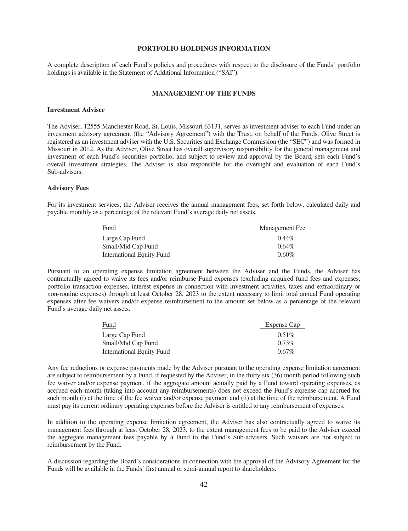# **PORTFOLIO HOLDINGS INFORMATION**

<span id="page-43-0"></span>A complete description of each Fund's policies and procedures with respect to the disclosure of the Funds' portfolio holdings is available in the Statement of Additional Information ("SAI").

#### **MANAGEMENT OF THE FUNDS**

#### <span id="page-43-2"></span><span id="page-43-1"></span>**Investment Adviser**

The Adviser, 12555 Manchester Road, St. Louis, Missouri 63131, serves as investment adviser to each Fund under an investment advisory agreement (the "Advisory Agreement") with the Trust, on behalf of the Funds. Olive Street is registered as an investment adviser with the U.S. Securities and Exchange Commission (the "SEC") and was formed in Missouri in 2012. As the Adviser, Olive Street has overall supervisory responsibility for the general management and investment of each Fund's securities portfolio, and subject to review and approval by the Board, sets each Fund's overall investment strategies. The Adviser is also responsible for the oversight and evaluation of each Fund's Sub-advisers.

#### **Advisory Fees**

For its investment services, the Adviser receives the annual management fees, set forth below, calculated daily and payable monthly as a percentage of the relevant Fund's average daily net assets.

| Fund                      | Management Fee |
|---------------------------|----------------|
| Large Cap Fund            | $0.44\%$       |
| Small/Mid Cap Fund        | $0.64\%$       |
| International Equity Fund | $0.60\%$       |

Pursuant to an operating expense limitation agreement between the Adviser and the Funds, the Adviser has contractually agreed to waive its fees and/or reimburse Fund expenses (excluding acquired fund fees and expenses, portfolio transaction expenses, interest expense in connection with investment activities, taxes and extraordinary or non-routine expenses) through at least October 28, 2023 to the extent necessary to limit total annual Fund operating expenses after fee waivers and/or expense reimbursement to the amount set below as a percentage of the relevant Fund's average daily net assets.

| Fund                      | Expense Cap |
|---------------------------|-------------|
| Large Cap Fund            | $0.51\%$    |
| Small/Mid Cap Fund        | $0.73\%$    |
| International Equity Fund | $0.67\%$    |

Any fee reductions or expense payments made by the Adviser pursuant to the operating expense limitation agreement are subject to reimbursement by a Fund, if requested by the Adviser, in the thirty six (36) month period following such fee waiver and/or expense payment, if the aggregate amount actually paid by a Fund toward operating expenses, as accrued each month (taking into account any reimbursements) does not exceed the Fund's expense cap accrued for such month (i) at the time of the fee waiver and/or expense payment and (ii) at the time of the reimbursement. A Fund must pay its current ordinary operating expenses before the Adviser is entitled to any reimbursement of expenses.

In addition to the operating expense limitation agreement, the Adviser has also contractually agreed to waive its management fees through at least October 28, 2023, to the extent management fees to be paid to the Adviser exceed the aggregate management fees payable by a Fund to the Fund's Sub-advisers. Such waivers are not subject to reimbursement by the Fund.

A discussion regarding the Board's considerations in connection with the approval of the Advisory Agreement for the Funds will be available in the Funds' first annual or semi-annual report to shareholders.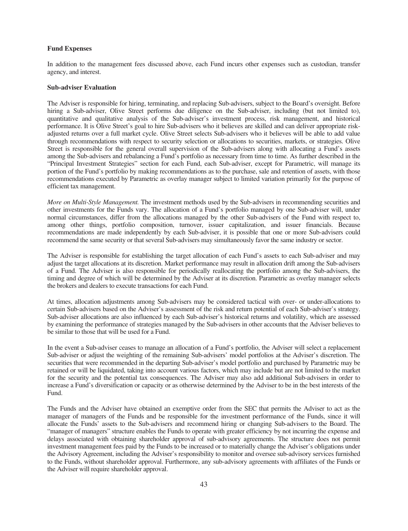# **Fund Expenses**

In addition to the management fees discussed above, each Fund incurs other expenses such as custodian, transfer agency, and interest.

#### **Sub-adviser Evaluation**

The Adviser is responsible for hiring, terminating, and replacing Sub-advisers, subject to the Board's oversight. Before hiring a Sub-adviser, Olive Street performs due diligence on the Sub-adviser, including (but not limited to), quantitative and qualitative analysis of the Sub-adviser's investment process, risk management, and historical performance. It is Olive Street's goal to hire Sub-advisers who it believes are skilled and can deliver appropriate riskadjusted returns over a full market cycle. Olive Street selects Sub-advisers who it believes will be able to add value through recommendations with respect to security selection or allocations to securities, markets, or strategies. Olive Street is responsible for the general overall supervision of the Sub-advisers along with allocating a Fund's assets among the Sub-advisers and rebalancing a Fund's portfolio as necessary from time to time. As further described in the "Principal Investment Strategies" section for each Fund, each Sub-adviser, except for Parametric, will manage its portion of the Fund's portfolio by making recommendations as to the purchase, sale and retention of assets, with those recommendations executed by Parametric as overlay manager subject to limited variation primarily for the purpose of efficient tax management.

*More on Multi-Style Management.* The investment methods used by the Sub-advisers in recommending securities and other investments for the Funds vary. The allocation of a Fund's portfolio managed by one Sub-adviser will, under normal circumstances, differ from the allocations managed by the other Sub-advisers of the Fund with respect to, among other things, portfolio composition, turnover, issuer capitalization, and issuer financials. Because recommendations are made independently by each Sub-adviser, it is possible that one or more Sub-advisers could recommend the same security or that several Sub-advisers may simultaneously favor the same industry or sector.

The Adviser is responsible for establishing the target allocation of each Fund's assets to each Sub-adviser and may adjust the target allocations at its discretion. Market performance may result in allocation drift among the Sub-advisers of a Fund. The Adviser is also responsible for periodically reallocating the portfolio among the Sub-advisers, the timing and degree of which will be determined by the Adviser at its discretion. Parametric as overlay manager selects the brokers and dealers to execute transactions for each Fund.

At times, allocation adjustments among Sub-advisers may be considered tactical with over- or under-allocations to certain Sub-advisers based on the Adviser's assessment of the risk and return potential of each Sub-adviser's strategy. Sub-adviser allocations are also influenced by each Sub-adviser's historical returns and volatility, which are assessed by examining the performance of strategies managed by the Sub-advisers in other accounts that the Adviser believes to be similar to those that will be used for a Fund.

In the event a Sub-adviser ceases to manage an allocation of a Fund's portfolio, the Adviser will select a replacement Sub-adviser or adjust the weighting of the remaining Sub-advisers' model portfolios at the Adviser's discretion. The securities that were recommended in the departing Sub-adviser's model portfolio and purchased by Parametric may be retained or will be liquidated, taking into account various factors, which may include but are not limited to the market for the security and the potential tax consequences. The Adviser may also add additional Sub-advisers in order to increase a Fund's diversification or capacity or as otherwise determined by the Adviser to be in the best interests of the Fund.

The Funds and the Adviser have obtained an exemptive order from the SEC that permits the Adviser to act as the manager of managers of the Funds and be responsible for the investment performance of the Funds, since it will allocate the Funds' assets to the Sub-advisers and recommend hiring or changing Sub-advisers to the Board. The "manager of managers" structure enables the Funds to operate with greater efficiency by not incurring the expense and delays associated with obtaining shareholder approval of sub-advisory agreements. The structure does not permit investment management fees paid by the Funds to be increased or to materially change the Adviser's obligations under the Advisory Agreement, including the Adviser's responsibility to monitor and oversee sub-advisory services furnished to the Funds, without shareholder approval. Furthermore, any sub-advisory agreements with affiliates of the Funds or the Adviser will require shareholder approval.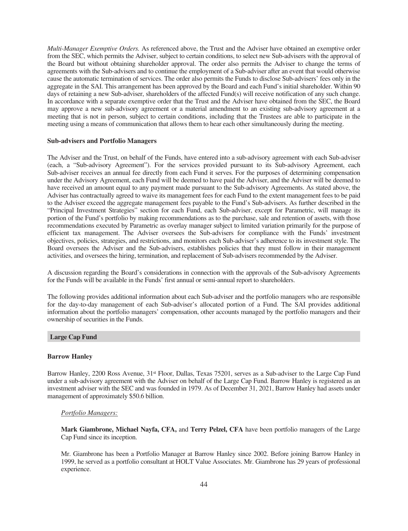*Multi-Manager Exemptive Orders.* As referenced above, the Trust and the Adviser have obtained an exemptive order from the SEC, which permits the Adviser, subject to certain conditions, to select new Sub-advisers with the approval of the Board but without obtaining shareholder approval. The order also permits the Adviser to change the terms of agreements with the Sub-advisers and to continue the employment of a Sub-adviser after an event that would otherwise cause the automatic termination of services. The order also permits the Funds to disclose Sub-advisers' fees only in the aggregate in the SAI. This arrangement has been approved by the Board and each Fund's initial shareholder. Within 90 days of retaining a new Sub-adviser, shareholders of the affected Fund(s) will receive notification of any such change. In accordance with a separate exemptive order that the Trust and the Adviser have obtained from the SEC, the Board may approve a new sub-advisory agreement or a material amendment to an existing sub-advisory agreement at a meeting that is not in person, subject to certain conditions, including that the Trustees are able to participate in the meeting using a means of communication that allows them to hear each other simultaneously during the meeting.

#### <span id="page-45-0"></span>**Sub-advisers and Portfolio Managers**

The Adviser and the Trust, on behalf of the Funds, have entered into a sub-advisory agreement with each Sub-adviser (each, a "Sub-advisory Agreement"). For the services provided pursuant to its Sub-advisory Agreement, each Sub-adviser receives an annual fee directly from each Fund it serves. For the purposes of determining compensation under the Advisory Agreement, each Fund will be deemed to have paid the Adviser, and the Adviser will be deemed to have received an amount equal to any payment made pursuant to the Sub-advisory Agreements. As stated above, the Adviser has contractually agreed to waive its management fees for each Fund to the extent management fees to be paid to the Adviser exceed the aggregate management fees payable to the Fund's Sub-advisers. As further described in the "Principal Investment Strategies" section for each Fund, each Sub-adviser, except for Parametric, will manage its portion of the Fund's portfolio by making recommendations as to the purchase, sale and retention of assets, with those recommendations executed by Parametric as overlay manager subject to limited variation primarily for the purpose of efficient tax management. The Adviser oversees the Sub-advisers for compliance with the Funds' investment objectives, policies, strategies, and restrictions, and monitors each Sub-adviser's adherence to its investment style. The Board oversees the Adviser and the Sub-advisers, establishes policies that they must follow in their management activities, and oversees the hiring, termination, and replacement of Sub-advisers recommended by the Adviser.

A discussion regarding the Board's considerations in connection with the approvals of the Sub-advisory Agreements for the Funds will be available in the Funds' first annual or semi-annual report to shareholders.

The following provides additional information about each Sub-adviser and the portfolio managers who are responsible for the day-to-day management of each Sub-adviser's allocated portion of a Fund. The SAI provides additional information about the portfolio managers' compensation, other accounts managed by the portfolio managers and their ownership of securities in the Funds.

# **Large Cap Fund**

#### **Barrow Hanley**

Barrow Hanley, 2200 Ross Avenue, 31<sup>st</sup> Floor, Dallas, Texas 75201, serves as a Sub-adviser to the Large Cap Fund under a sub-advisory agreement with the Adviser on behalf of the Large Cap Fund. Barrow Hanley is registered as an investment adviser with the SEC and was founded in 1979. As of December 31, 2021, Barrow Hanley had assets under management of approximately \$50.6 billion.

# *Portfolio Managers:*

**Mark Giambrone, Michael Nayfa, CFA,** and **Terry Pelzel, CFA** have been portfolio managers of the Large Cap Fund since its inception.

Mr. Giambrone has been a Portfolio Manager at Barrow Hanley since 2002. Before joining Barrow Hanley in 1999, he served as a portfolio consultant at HOLT Value Associates. Mr. Giambrone has 29 years of professional experience.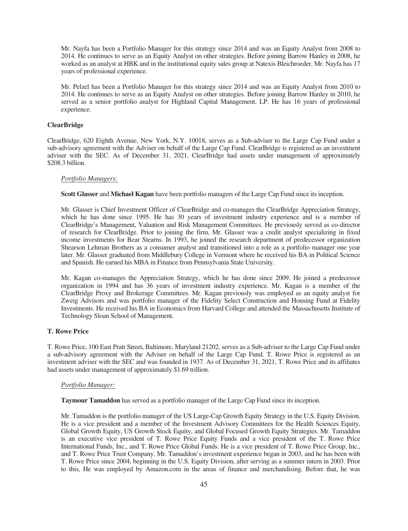Mr. Nayfa has been a Portfolio Manager for this strategy since 2014 and was an Equity Analyst from 2008 to 2014. He continues to serve as an Equity Analyst on other strategies. Before joining Barrow Hanley in 2008, he worked as an analyst at HBK and in the institutional equity sales group at Natexis Bleichroeder. Mr. Nayfa has 17 years of professional experience.

Mr. Pelzel has been a Portfolio Manager for this strategy since 2014 and was an Equity Analyst from 2010 to 2014. He continues to serve as an Equity Analyst on other strategies. Before joining Barrow Hanley in 2010, he served as a senior portfolio analyst for Highland Capital Management, LP. He has 16 years of professional experience.

# **ClearBridge**

ClearBridge, 620 Eighth Avenue, New York, N.Y. 10018, serves as a Sub-adviser to the Large Cap Fund under a sub-advisory agreement with the Adviser on behalf of the Large Cap Fund. ClearBridge is registered as an investment adviser with the SEC. As of December 31, 2021, ClearBridge had assets under management of approximately \$208.3 billion.

# *Portfolio Managers:*

**Scott Glasser** and **Michael Kagan** have been portfolio managers of the Large Cap Fund since its inception.

Mr. Glasser is Chief Investment Officer of ClearBridge and co-manages the ClearBridge Appreciation Strategy, which he has done since 1995. He has 30 years of investment industry experience and is a member of ClearBridge's Management, Valuation and Risk Management Committees. He previously served as co-director of research for ClearBridge. Prior to joining the firm, Mr. Glasser was a credit analyst specializing in fixed income investments for Bear Stearns. In 1993, he joined the research department of predecessor organization Shearson Lehman Brothers as a consumer analyst and transitioned into a role as a portfolio manager one year later. Mr. Glasser graduated from Middlebury College in Vermont where he received his BA in Political Science and Spanish. He earned his MBA in Finance from Pennsylvania State University.

Mr. Kagan co-manages the Appreciation Strategy, which he has done since 2009. He joined a predecessor organization in 1994 and has 36 years of investment industry experience. Mr. Kagan is a member of the ClearBridge Proxy and Brokerage Committees. Mr. Kagan previously was employed as an equity analyst for Zweig Advisors and was portfolio manager of the Fidelity Select Construction and Housing Fund at Fidelity Investments. He received his BA in Economics from Harvard College and attended the Massachusetts Institute of Technology Sloan School of Management.

# **T. Rowe Price**

T. Rowe Price, 100 East Pratt Street, Baltimore, Maryland 21202, serves as a Sub-adviser to the Large Cap Fund under a sub-advisory agreement with the Adviser on behalf of the Large Cap Fund. T. Rowe Price is registered as an investment adviser with the SEC and was founded in 1937. As of December 31, 2021, T. Rowe Price and its affiliates had assets under management of approximately \$1.69 trillion.

# *Portfolio Manager:*

**Taymour Tamaddon** has served as a portfolio manager of the Large Cap Fund since its inception.

Mr. Tamaddon is the portfolio manager of the US Large-Cap Growth Equity Strategy in the U.S. Equity Division. He is a vice president and a member of the Investment Advisory Committees for the Health Sciences Equity, Global Growth Equity, US Growth Stock Equity, and Global Focused Growth Equity Strategies. Mr. Tamaddon is an executive vice president of T. Rowe Price Equity Funds and a vice president of the T. Rowe Price International Funds, Inc., and T. Rowe Price Global Funds. He is a vice president of T. Rowe Price Group, Inc., and T. Rowe Price Trust Company. Mr. Tamaddon's investment experience began in 2003, and he has been with T. Rowe Price since 2004, beginning in the U.S. Equity Division, after serving as a summer intern in 2003. Prior to this, He was employed by Amazon.com in the areas of finance and merchandising. Before that, he was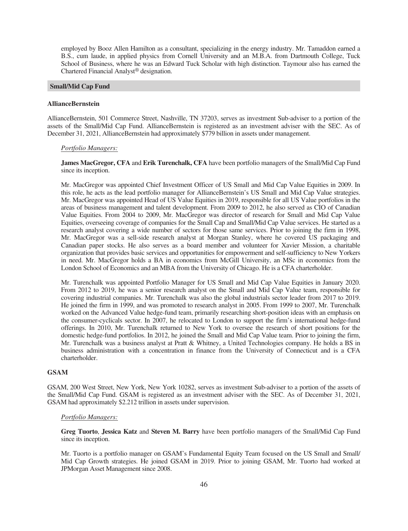employed by Booz Allen Hamilton as a consultant, specializing in the energy industry. Mr. Tamaddon earned a B.S., cum laude, in applied physics from Cornell University and an M.B.A. from Dartmouth College, Tuck School of Business, where he was an Edward Tuck Scholar with high distinction. Taymour also has earned the Chartered Financial Analyst® designation.

# **Small/Mid Cap Fund**

#### **AllianceBernstein**

AllianceBernstein, 501 Commerce Street, Nashville, TN 37203, serves as investment Sub-adviser to a portion of the assets of the Small/Mid Cap Fund. AllianceBernstein is registered as an investment adviser with the SEC. As of December 31, 2021, AllianceBernstein had approximately \$779 billion in assets under management.

# *Portfolio Managers:*

**James MacGregor, CFA** and **Erik Turenchalk, CFA** have been portfolio managers of the Small/Mid Cap Fund since its inception.

Mr. MacGregor was appointed Chief Investment Officer of US Small and Mid Cap Value Equities in 2009. In this role, he acts as the lead portfolio manager for AllianceBernstein's US Small and Mid Cap Value strategies. Mr. MacGregor was appointed Head of US Value Equities in 2019, responsible for all US Value portfolios in the areas of business management and talent development. From 2009 to 2012, he also served as CIO of Canadian Value Equities. From 2004 to 2009, Mr. MacGregor was director of research for Small and Mid Cap Value Equities, overseeing coverage of companies for the Small Cap and Small/Mid Cap Value services. He started as a research analyst covering a wide number of sectors for those same services. Prior to joining the firm in 1998, Mr. MacGregor was a sell-side research analyst at Morgan Stanley, where he covered US packaging and Canadian paper stocks. He also serves as a board member and volunteer for Xavier Mission, a charitable organization that provides basic services and opportunities for empowerment and self-sufficiency to New Yorkers in need. Mr. MacGregor holds a BA in economics from McGill University, an MSc in economics from the London School of Economics and an MBA from the University of Chicago. He is a CFA charterholder.

Mr. Turenchalk was appointed Portfolio Manager for US Small and Mid Cap Value Equities in January 2020. From 2012 to 2019, he was a senior research analyst on the Small and Mid Cap Value team, responsible for covering industrial companies. Mr. Turenchalk was also the global industrials sector leader from 2017 to 2019. He joined the firm in 1999, and was promoted to research analyst in 2005. From 1999 to 2007, Mr. Turenchalk worked on the Advanced Value hedge-fund team, primarily researching short-position ideas with an emphasis on the consumer-cyclicals sector. In 2007, he relocated to London to support the firm's international hedge-fund offerings. In 2010, Mr. Turenchalk returned to New York to oversee the research of short positions for the domestic hedge-fund portfolios. In 2012, he joined the Small and Mid Cap Value team. Prior to joining the firm, Mr. Turenchalk was a business analyst at Pratt & Whitney, a United Technologies company. He holds a BS in business administration with a concentration in finance from the University of Connecticut and is a CFA charterholder.

# **GSAM**

GSAM, 200 West Street, New York, New York 10282, serves as investment Sub-adviser to a portion of the assets of the Small/Mid Cap Fund. GSAM is registered as an investment adviser with the SEC. As of December 31, 2021, GSAM had approximately \$2.212 trillion in assets under supervision.

# *Portfolio Managers:*

**Greg Tuorto**, **Jessica Katz** and **Steven M. Barry** have been portfolio managers of the Small/Mid Cap Fund since its inception.

Mr. Tuorto is a portfolio manager on GSAM's Fundamental Equity Team focused on the US Small and Small/ Mid Cap Growth strategies. He joined GSAM in 2019. Prior to joining GSAM, Mr. Tuorto had worked at JPMorgan Asset Management since 2008.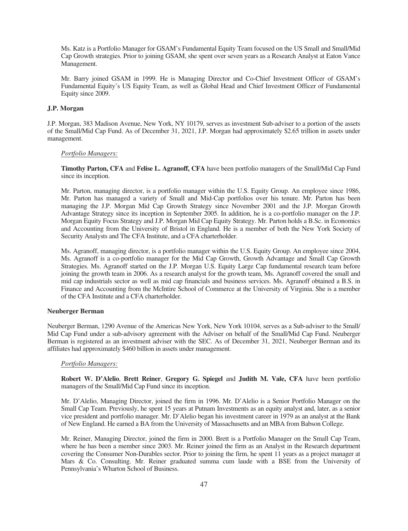Ms. Katz is a Portfolio Manager for GSAM's Fundamental Equity Team focused on the US Small and Small/Mid Cap Growth strategies. Prior to joining GSAM, she spent over seven years as a Research Analyst at Eaton Vance Management.

Mr. Barry joined GSAM in 1999. He is Managing Director and Co-Chief Investment Officer of GSAM's Fundamental Equity's US Equity Team, as well as Global Head and Chief Investment Officer of Fundamental Equity since 2009.

# **J.P. Morgan**

J.P. Morgan, 383 Madison Avenue, New York, NY 10179, serves as investment Sub-adviser to a portion of the assets of the Small/Mid Cap Fund. As of December 31, 2021, J.P. Morgan had approximately \$2.65 trillion in assets under management.

# *Portfolio Managers:*

**Timothy Parton, CFA** and **Felise L. Agranoff, CFA** have been portfolio managers of the Small/Mid Cap Fund since its inception.

Mr. Parton, managing director, is a portfolio manager within the U.S. Equity Group. An employee since 1986, Mr. Parton has managed a variety of Small and Mid-Cap portfolios over his tenure. Mr. Parton has been managing the J.P. Morgan Mid Cap Growth Strategy since November 2001 and the J.P. Morgan Growth Advantage Strategy since its inception in September 2005. In addition, he is a co-portfolio manager on the J.P. Morgan Equity Focus Strategy and J.P. Morgan Mid Cap Equity Strategy. Mr. Parton holds a B.Sc. in Economics and Accounting from the University of Bristol in England. He is a member of both the New York Society of Security Analysts and The CFA Institute, and a CFA charterholder.

Ms. Agranoff, managing director, is a portfolio manager within the U.S. Equity Group. An employee since 2004, Ms. Agranoff is a co-portfolio manager for the Mid Cap Growth, Growth Advantage and Small Cap Growth Strategies. Ms. Agranoff started on the J.P. Morgan U.S. Equity Large Cap fundamental research team before joining the growth team in 2006. As a research analyst for the growth team, Ms. Agranoff covered the small and mid cap industrials sector as well as mid cap financials and business services. Ms. Agranoff obtained a B.S. in Finance and Accounting from the McIntire School of Commerce at the University of Virginia. She is a member of the CFA Institute and a CFA charterholder.

# **Neuberger Berman**

Neuberger Berman, 1290 Avenue of the Americas New York, New York 10104, serves as a Sub-adviser to the Small/ Mid Cap Fund under a sub-advisory agreement with the Adviser on behalf of the Small/Mid Cap Fund. Neuberger Berman is registered as an investment adviser with the SEC. As of December 31, 2021, Neuberger Berman and its affiliates had approximately \$460 billion in assets under management.

# *Portfolio Managers:*

**Robert W. D'Alelio**, **Brett Reiner**, **Gregory G. Spiegel** and **Judith M. Vale, CFA** have been portfolio managers of the Small/Mid Cap Fund since its inception.

Mr. D'Alelio, Managing Director, joined the firm in 1996. Mr. D'Alelio is a Senior Portfolio Manager on the Small Cap Team. Previously, he spent 15 years at Putnam Investments as an equity analyst and, later, as a senior vice president and portfolio manager. Mr. D'Alelio began his investment career in 1979 as an analyst at the Bank of New England. He earned a BA from the University of Massachusetts and an MBA from Babson College.

Mr. Reiner, Managing Director, joined the firm in 2000. Brett is a Portfolio Manager on the Small Cap Team, where he has been a member since 2003. Mr. Reiner joined the firm as an Analyst in the Research department covering the Consumer Non-Durables sector. Prior to joining the firm, he spent 11 years as a project manager at Mars & Co. Consulting. Mr. Reiner graduated summa cum laude with a BSE from the University of Pennsylvania's Wharton School of Business.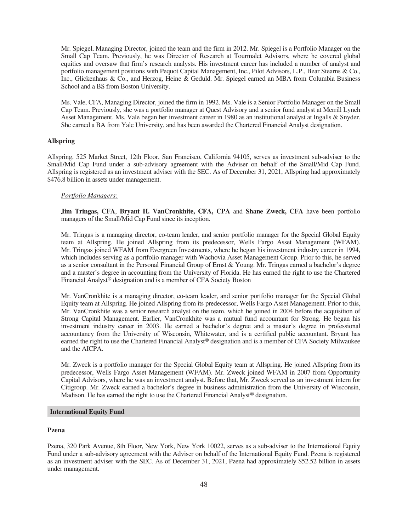Mr. Spiegel, Managing Director, joined the team and the firm in 2012. Mr. Spiegel is a Portfolio Manager on the Small Cap Team. Previously, he was Director of Research at Tourmalet Advisors, where he covered global equities and oversaw that firm's research analysts. His investment career has included a number of analyst and portfolio management positions with Pequot Capital Management, Inc., Pilot Advisors, L.P., Bear Stearns & Co., Inc., Glickenhaus & Co., and Herzog, Heine & Geduld. Mr. Spiegel earned an MBA from Columbia Business School and a BS from Boston University.

Ms. Vale, CFA, Managing Director, joined the firm in 1992. Ms. Vale is a Senior Portfolio Manager on the Small Cap Team. Previously, she was a portfolio manager at Quest Advisory and a senior fund analyst at Merrill Lynch Asset Management. Ms. Vale began her investment career in 1980 as an institutional analyst at Ingalls & Snyder. She earned a BA from Yale University, and has been awarded the Chartered Financial Analyst designation.

#### **Allspring**

Allspring, 525 Market Street, 12th Floor, San Francisco, California 94105, serves as investment sub-adviser to the Small/Mid Cap Fund under a sub-advisory agreement with the Adviser on behalf of the Small/Mid Cap Fund. Allspring is registered as an investment adviser with the SEC. As of December 31, 2021, Allspring had approximately \$476.8 billion in assets under management.

# *Portfolio Managers:*

**Jim Tringas, CFA**, **Bryant H. VanCronkhite, CFA, CPA** and **Shane Zweck, CFA** have been portfolio managers of the Small/Mid Cap Fund since its inception.

Mr. Tringas is a managing director, co-team leader, and senior portfolio manager for the Special Global Equity team at Allspring. He joined Allspring from its predecessor, Wells Fargo Asset Management (WFAM). Mr. Tringas joined WFAM from Evergreen Investments, where he began his investment industry career in 1994, which includes serving as a portfolio manager with Wachovia Asset Management Group. Prior to this, he served as a senior consultant in the Personal Financial Group of Ernst & Young. Mr. Tringas earned a bachelor's degree and a master's degree in accounting from the University of Florida. He has earned the right to use the Chartered Financial Analyst® designation and is a member of CFA Society Boston

Mr. VanCronkhite is a managing director, co-team leader, and senior portfolio manager for the Special Global Equity team at Allspring. He joined Allspring from its predecessor, Wells Fargo Asset Management. Prior to this, Mr. VanCronkhite was a senior research analyst on the team, which he joined in 2004 before the acquisition of Strong Capital Management. Earlier, VanCronkhite was a mutual fund accountant for Strong. He began his investment industry career in 2003. He earned a bachelor's degree and a master's degree in professional accountancy from the University of Wisconsin, Whitewater, and is a certified public accountant. Bryant has earned the right to use the Chartered Financial Analyst® designation and is a member of CFA Society Milwaukee and the AICPA.

Mr. Zweck is a portfolio manager for the Special Global Equity team at Allspring. He joined Allspring from its predecessor, Wells Fargo Asset Management (WFAM). Mr. Zweck joined WFAM in 2007 from Opportunity Capital Advisors, where he was an investment analyst. Before that, Mr. Zweck served as an investment intern for Citigroup. Mr. Zweck earned a bachelor's degree in business administration from the University of Wisconsin, Madison. He has earned the right to use the Chartered Financial Analyst® designation.

# **International Equity Fund**

# **Pzena**

Pzena, 320 Park Avenue, 8th Floor, New York, New York 10022, serves as a sub-adviser to the International Equity Fund under a sub-advisory agreement with the Adviser on behalf of the International Equity Fund. Pzena is registered as an investment adviser with the SEC. As of December 31, 2021, Pzena had approximately \$52.52 billion in assets under management.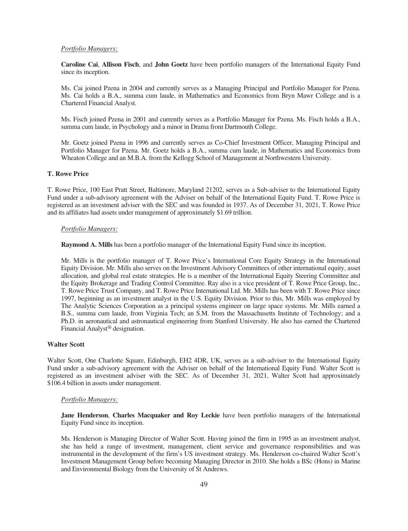# *Portfolio Managers:*

**Caroline Cai**, **Allison Fisch**, and **John Goetz** have been portfolio managers of the International Equity Fund since its inception.

Ms. Cai joined Pzena in 2004 and currently serves as a Managing Principal and Portfolio Manager for Pzena. Ms. Cai holds a B.A., summa cum laude, in Mathematics and Economics from Bryn Mawr College and is a Chartered Financial Analyst.

Ms. Fisch joined Pzena in 2001 and currently serves as a Portfolio Manager for Pzena. Ms. Fisch holds a B.A., summa cum laude, in Psychology and a minor in Drama from Dartmouth College.

Mr. Goetz joined Pzena in 1996 and currently serves as Co-Chief Investment Officer, Managing Principal and Portfolio Manager for Pzena. Mr. Goetz holds a B.A., summa cum laude, in Mathematics and Economics from Wheaton College and an M.B.A. from the Kellogg School of Management at Northwestern University.

# **T. Rowe Price**

T. Rowe Price, 100 East Pratt Street, Baltimore, Maryland 21202, serves as a Sub-adviser to the International Equity Fund under a sub-advisory agreement with the Adviser on behalf of the International Equity Fund. T. Rowe Price is registered as an investment adviser with the SEC and was founded in 1937. As of December 31, 2021, T. Rowe Price and its affiliates had assets under management of approximately \$1.69 trillion.

#### *Portfolio Managers:*

**Raymond A. Mills** has been a portfolio manager of the International Equity Fund since its inception.

Mr. Mills is the portfolio manager of T. Rowe Price's International Core Equity Strategy in the International Equity Division. Mr. Mills also serves on the Investment Advisory Committees of other international equity, asset allocation, and global real estate strategies. He is a member of the International Equity Steering Committee and the Equity Brokerage and Trading Control Committee. Ray also is a vice president of T. Rowe Price Group, Inc., T. Rowe Price Trust Company, and T. Rowe Price International Ltd. Mr. Mills has been with T. Rowe Price since 1997, beginning as an investment analyst in the U.S. Equity Division. Prior to this, Mr. Mills was employed by The Analytic Sciences Corporation as a principal systems engineer on large space systems. Mr. Mills earned a B.S., summa cum laude, from Virginia Tech; an S.M. from the Massachusetts Institute of Technology; and a Ph.D. in aeronautical and astronautical engineering from Stanford University. He also has earned the Chartered Financial Analyst® designation.

# **Walter Scott**

Walter Scott, One Charlotte Square, Edinburgh, EH2 4DR, UK, serves as a sub-adviser to the International Equity Fund under a sub-advisory agreement with the Adviser on behalf of the International Equity Fund. Walter Scott is registered as an investment adviser with the SEC. As of December 31, 2021, Walter Scott had approximately \$106.4 billion in assets under management.

#### *Portfolio Managers:*

**Jane Henderson**, **Charles Macquaker and Roy Leckie** have been portfolio managers of the International Equity Fund since its inception.

Ms. Henderson is Managing Director of Walter Scott. Having joined the firm in 1995 as an investment analyst, she has held a range of investment, management, client service and governance responsibilities and was instrumental in the development of the firm's US investment strategy. Ms. Henderson co-chaired Walter Scott's Investment Management Group before becoming Managing Director in 2010. She holds a BSc (Hons) in Marine and Environmental Biology from the University of St Andrews.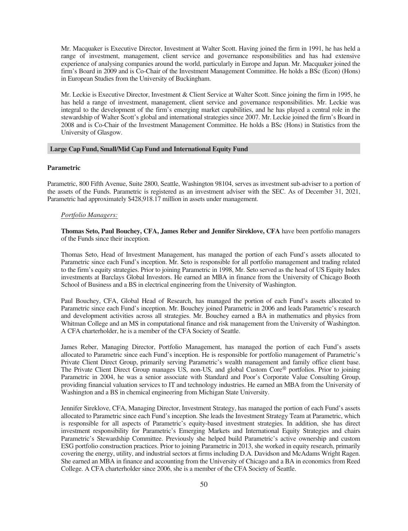Mr. Macquaker is Executive Director, Investment at Walter Scott. Having joined the firm in 1991, he has held a range of investment, management, client service and governance responsibilities and has had extensive experience of analysing companies around the world, particularly in Europe and Japan. Mr. Macquaker joined the firm's Board in 2009 and is Co-Chair of the Investment Management Committee. He holds a BSc (Econ) (Hons) in European Studies from the University of Buckingham.

Mr. Leckie is Executive Director, Investment & Client Service at Walter Scott. Since joining the firm in 1995, he has held a range of investment, management, client service and governance responsibilities. Mr. Leckie was integral to the development of the firm's emerging market capabilities, and he has played a central role in the stewardship of Walter Scott's global and international strategies since 2007. Mr. Leckie joined the firm's Board in 2008 and is Co-Chair of the Investment Management Committee. He holds a BSc (Hons) in Statistics from the University of Glasgow.

# **Large Cap Fund, Small/Mid Cap Fund and International Equity Fund**

#### **Parametric**

Parametric, 800 Fifth Avenue, Suite 2800, Seattle, Washington 98104, serves as investment sub-adviser to a portion of the assets of the Funds. Parametric is registered as an investment adviser with the SEC. As of December 31, 2021, Parametric had approximately \$428,918.17 million in assets under management.

#### *Portfolio Managers:*

**Thomas Seto, Paul Bouchey, CFA, James Reber and Jennifer Sireklove, CFA** have been portfolio managers of the Funds since their inception.

Thomas Seto, Head of Investment Management, has managed the portion of each Fund's assets allocated to Parametric since each Fund's inception. Mr. Seto is responsible for all portfolio management and trading related to the firm's equity strategies. Prior to joining Parametric in 1998, Mr. Seto served as the head of US Equity Index investments at Barclays Global Investors. He earned an MBA in finance from the University of Chicago Booth School of Business and a BS in electrical engineering from the University of Washington.

Paul Bouchey, CFA, Global Head of Research, has managed the portion of each Fund's assets allocated to Parametric since each Fund's inception. Mr. Bouchey joined Parametric in 2006 and leads Parametric's research and development activities across all strategies. Mr. Bouchey earned a BA in mathematics and physics from Whitman College and an MS in computational finance and risk management from the University of Washington. A CFA charterholder, he is a member of the CFA Society of Seattle.

James Reber, Managing Director, Portfolio Management, has managed the portion of each Fund's assets allocated to Parametric since each Fund's inception. He is responsible for portfolio management of Parametric's Private Client Direct Group, primarily serving Parametric's wealth management and family office client base. The Private Client Direct Group manages US, non-US, and global Custom Core® portfolios. Prior to joining Parametric in 2004, he was a senior associate with Standard and Poor's Corporate Value Consulting Group, providing financial valuation services to IT and technology industries. He earned an MBA from the University of Washington and a BS in chemical engineering from Michigan State University.

Jennifer Sireklove, CFA, Managing Director, Investment Strategy, has managed the portion of each Fund's assets allocated to Parametric since each Fund's inception. She leads the Investment Strategy Team at Parametric, which is responsible for all aspects of Parametric's equity-based investment strategies. In addition, she has direct investment responsibility for Parametric's Emerging Markets and International Equity Strategies and chairs Parametric's Stewardship Committee. Previously she helped build Parametric's active ownership and custom ESG portfolio construction practices. Prior to joining Parametric in 2013, she worked in equity research, primarily covering the energy, utility, and industrial sectors at firms including D.A. Davidson and McAdams Wright Ragen. She earned an MBA in finance and accounting from the University of Chicago and a BA in economics from Reed College. A CFA charterholder since 2006, she is a member of the CFA Society of Seattle.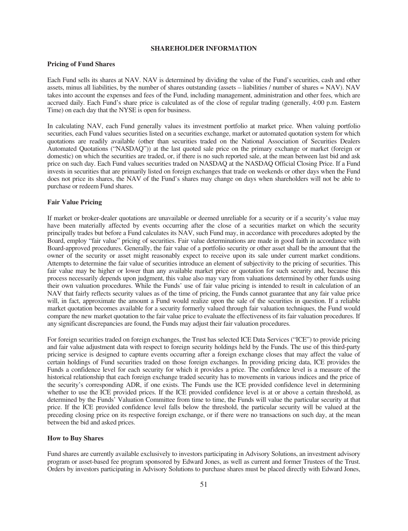# **SHAREHOLDER INFORMATION**

# <span id="page-52-0"></span>**Pricing of Fund Shares**

Each Fund sells its shares at NAV. NAV is determined by dividing the value of the Fund's securities, cash and other assets, minus all liabilities, by the number of shares outstanding (assets – liabilities / number of shares = NAV). NAV takes into account the expenses and fees of the Fund, including management, administration and other fees, which are accrued daily. Each Fund's share price is calculated as of the close of regular trading (generally, 4:00 p.m. Eastern Time) on each day that the NYSE is open for business.

In calculating NAV, each Fund generally values its investment portfolio at market price. When valuing portfolio securities, each Fund values securities listed on a securities exchange, market or automated quotation system for which quotations are readily available (other than securities traded on the National Association of Securities Dealers Automated Quotations ("NASDAQ")) at the last quoted sale price on the primary exchange or market (foreign or domestic) on which the securities are traded, or, if there is no such reported sale, at the mean between last bid and ask price on such day. Each Fund values securities traded on NASDAQ at the NASDAQ Official Closing Price. If a Fund invests in securities that are primarily listed on foreign exchanges that trade on weekends or other days when the Fund does not price its shares, the NAV of the Fund's shares may change on days when shareholders will not be able to purchase or redeem Fund shares.

#### **Fair Value Pricing**

If market or broker-dealer quotations are unavailable or deemed unreliable for a security or if a security's value may have been materially affected by events occurring after the close of a securities market on which the security principally trades but before a Fund calculates its NAV, such Fund may, in accordance with procedures adopted by the Board, employ "fair value" pricing of securities. Fair value determinations are made in good faith in accordance with Board-approved procedures. Generally, the fair value of a portfolio security or other asset shall be the amount that the owner of the security or asset might reasonably expect to receive upon its sale under current market conditions. Attempts to determine the fair value of securities introduce an element of subjectivity to the pricing of securities. This fair value may be higher or lower than any available market price or quotation for such security and, because this process necessarily depends upon judgment, this value also may vary from valuations determined by other funds using their own valuation procedures. While the Funds' use of fair value pricing is intended to result in calculation of an NAV that fairly reflects security values as of the time of pricing, the Funds cannot guarantee that any fair value price will, in fact, approximate the amount a Fund would realize upon the sale of the securities in question. If a reliable market quotation becomes available for a security formerly valued through fair valuation techniques, the Fund would compare the new market quotation to the fair value price to evaluate the effectiveness of its fair valuation procedures. If any significant discrepancies are found, the Funds may adjust their fair valuation procedures.

For foreign securities traded on foreign exchanges, the Trust has selected ICE Data Services ("ICE") to provide pricing and fair value adjustment data with respect to foreign security holdings held by the Funds. The use of this third-party pricing service is designed to capture events occurring after a foreign exchange closes that may affect the value of certain holdings of Fund securities traded on those foreign exchanges. In providing pricing data, ICE provides the Funds a confidence level for each security for which it provides a price. The confidence level is a measure of the historical relationship that each foreign exchange traded security has to movements in various indices and the price of the security's corresponding ADR, if one exists. The Funds use the ICE provided confidence level in determining whether to use the ICE provided prices. If the ICE provided confidence level is at or above a certain threshold, as determined by the Funds' Valuation Committee from time to time, the Funds will value the particular security at that price. If the ICE provided confidence level falls below the threshold, the particular security will be valued at the preceding closing price on its respective foreign exchange, or if there were no transactions on such day, at the mean between the bid and asked prices.

#### **How to Buy Shares**

Fund shares are currently available exclusively to investors participating in Advisory Solutions, an investment advisory program or asset-based fee program sponsored by Edward Jones, as well as current and former Trustees of the Trust. Orders by investors participating in Advisory Solutions to purchase shares must be placed directly with Edward Jones,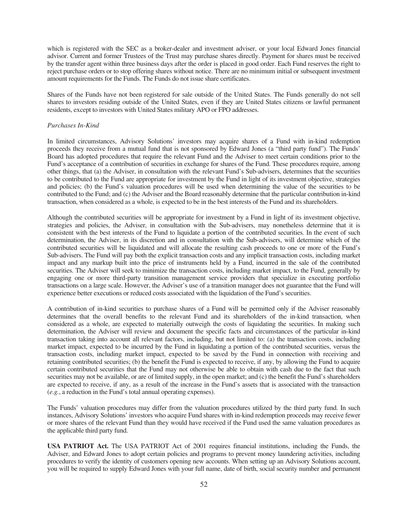which is registered with the SEC as a broker-dealer and investment adviser, or your local Edward Jones financial advisor. Current and former Trustees of the Trust may purchase shares directly. Payment for shares must be received by the transfer agent within three business days after the order is placed in good order. Each Fund reserves the right to reject purchase orders or to stop offering shares without notice. There are no minimum initial or subsequent investment amount requirements for the Funds. The Funds do not issue share certificates.

Shares of the Funds have not been registered for sale outside of the United States. The Funds generally do not sell shares to investors residing outside of the United States, even if they are United States citizens or lawful permanent residents, except to investors with United States military APO or FPO addresses.

#### *Purchases In-Kind*

In limited circumstances, Advisory Solutions' investors may acquire shares of a Fund with in-kind redemption proceeds they receive from a mutual fund that is not sponsored by Edward Jones (a "third party fund"). The Funds' Board has adopted procedures that require the relevant Fund and the Adviser to meet certain conditions prior to the Fund's acceptance of a contribution of securities in exchange for shares of the Fund. These procedures require, among other things, that (a) the Adviser, in consultation with the relevant Fund's Sub-advisers, determines that the securities to be contributed to the Fund are appropriate for investment by the Fund in light of its investment objective, strategies and policies; (b) the Fund's valuation procedures will be used when determining the value of the securities to be contributed to the Fund; and (c) the Adviser and the Board reasonably determine that the particular contribution in-kind transaction, when considered as a whole, is expected to be in the best interests of the Fund and its shareholders.

Although the contributed securities will be appropriate for investment by a Fund in light of its investment objective, strategies and policies, the Adviser, in consultation with the Sub-advisers, may nonetheless determine that it is consistent with the best interests of the Fund to liquidate a portion of the contributed securities. In the event of such determination, the Adviser, in its discretion and in consultation with the Sub-advisers, will determine which of the contributed securities will be liquidated and will allocate the resulting cash proceeds to one or more of the Fund's Sub-advisers. The Fund will pay both the explicit transaction costs and any implicit transaction costs, including market impact and any markup built into the price of instruments held by a Fund, incurred in the sale of the contributed securities. The Adviser will seek to minimize the transaction costs, including market impact, to the Fund, generally by engaging one or more third-party transition management service providers that specialize in executing portfolio transactions on a large scale. However, the Adviser's use of a transition manager does not guarantee that the Fund will experience better executions or reduced costs associated with the liquidation of the Fund's securities.

A contribution of in-kind securities to purchase shares of a Fund will be permitted only if the Adviser reasonably determines that the overall benefits to the relevant Fund and its shareholders of the in-kind transaction, when considered as a whole, are expected to materially outweigh the costs of liquidating the securities. In making such determination, the Adviser will review and document the specific facts and circumstances of the particular in-kind transaction taking into account all relevant factors, including, but not limited to: (a) the transaction costs, including market impact, expected to be incurred by the Fund in liquidating a portion of the contributed securities, versus the transaction costs, including market impact, expected to be saved by the Fund in connection with receiving and retaining contributed securities; (b) the benefit the Fund is expected to receive, if any, by allowing the Fund to acquire certain contributed securities that the Fund may not otherwise be able to obtain with cash due to the fact that such securities may not be available, or are of limited supply, in the open market; and (c) the benefit the Fund's shareholders are expected to receive, if any, as a result of the increase in the Fund's assets that is associated with the transaction (*e.g.*, a reduction in the Fund's total annual operating expenses).

The Funds' valuation procedures may differ from the valuation procedures utilized by the third party fund. In such instances, Advisory Solutions' investors who acquire Fund shares with in-kind redemption proceeds may receive fewer or more shares of the relevant Fund than they would have received if the Fund used the same valuation procedures as the applicable third party fund.

**USA PATRIOT Act.** The USA PATRIOT Act of 2001 requires financial institutions, including the Funds, the Adviser, and Edward Jones to adopt certain policies and programs to prevent money laundering activities, including procedures to verify the identity of customers opening new accounts. When setting up an Advisory Solutions account, you will be required to supply Edward Jones with your full name, date of birth, social security number and permanent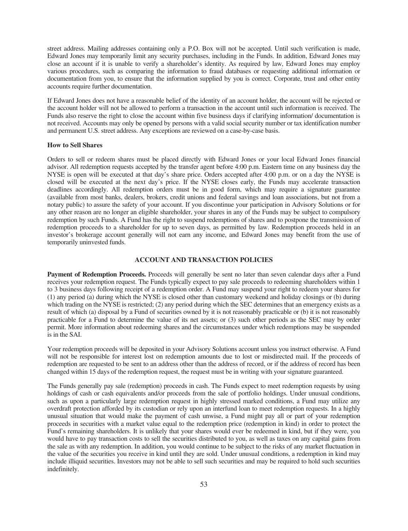street address. Mailing addresses containing only a P.O. Box will not be accepted. Until such verification is made, Edward Jones may temporarily limit any security purchases, including in the Funds. In addition, Edward Jones may close an account if it is unable to verify a shareholder's identity. As required by law, Edward Jones may employ various procedures, such as comparing the information to fraud databases or requesting additional information or documentation from you, to ensure that the information supplied by you is correct. Corporate, trust and other entity accounts require further documentation.

If Edward Jones does not have a reasonable belief of the identity of an account holder, the account will be rejected or the account holder will not be allowed to perform a transaction in the account until such information is received. The Funds also reserve the right to close the account within five business days if clarifying information/ documentation is not received. Accounts may only be opened by persons with a valid social security number or tax identification number and permanent U.S. street address. Any exceptions are reviewed on a case-by-case basis.

#### **How to Sell Shares**

Orders to sell or redeem shares must be placed directly with Edward Jones or your local Edward Jones financial advisor. All redemption requests accepted by the transfer agent before 4:00 p.m. Eastern time on any business day the NYSE is open will be executed at that day's share price. Orders accepted after 4:00 p.m. or on a day the NYSE is closed will be executed at the next day's price. If the NYSE closes early, the Funds may accelerate transaction deadlines accordingly. All redemption orders must be in good form, which may require a signature guarantee (available from most banks, dealers, brokers, credit unions and federal savings and loan associations, but not from a notary public) to assure the safety of your account. If you discontinue your participation in Advisory Solutions or for any other reason are no longer an eligible shareholder, your shares in any of the Funds may be subject to compulsory redemption by such Funds. A Fund has the right to suspend redemptions of shares and to postpone the transmission of redemption proceeds to a shareholder for up to seven days, as permitted by law. Redemption proceeds held in an investor's brokerage account generally will not earn any income, and Edward Jones may benefit from the use of temporarily uninvested funds.

# **ACCOUNT AND TRANSACTION POLICIES**

<span id="page-54-0"></span>**Payment of Redemption Proceeds.** Proceeds will generally be sent no later than seven calendar days after a Fund receives your redemption request. The Funds typically expect to pay sale proceeds to redeeming shareholders within 1 to 3 business days following receipt of a redemption order. A Fund may suspend your right to redeem your shares for (1) any period (a) during which the NYSE is closed other than customary weekend and holiday closings or (b) during which trading on the NYSE is restricted; (2) any period during which the SEC determines that an emergency exists as a result of which (a) disposal by a Fund of securities owned by it is not reasonably practicable or (b) it is not reasonably practicable for a Fund to determine the value of its net assets; or (3) such other periods as the SEC may by order permit. More information about redeeming shares and the circumstances under which redemptions may be suspended is in the SAI.

Your redemption proceeds will be deposited in your Advisory Solutions account unless you instruct otherwise. A Fund will not be responsible for interest lost on redemption amounts due to lost or misdirected mail. If the proceeds of redemption are requested to be sent to an address other than the address of record, or if the address of record has been changed within 15 days of the redemption request, the request must be in writing with your signature guaranteed.

The Funds generally pay sale (redemption) proceeds in cash. The Funds expect to meet redemption requests by using holdings of cash or cash equivalents and/or proceeds from the sale of portfolio holdings. Under unusual conditions, such as upon a particularly large redemption request in highly stressed marked conditions, a Fund may utilize any overdraft protection afforded by its custodian or rely upon an interfund loan to meet redemption requests. In a highly unusual situation that would make the payment of cash unwise, a Fund might pay all or part of your redemption proceeds in securities with a market value equal to the redemption price (redemption in kind) in order to protect the Fund's remaining shareholders. It is unlikely that your shares would ever be redeemed in kind, but if they were, you would have to pay transaction costs to sell the securities distributed to you, as well as taxes on any capital gains from the sale as with any redemption. In addition, you would continue to be subject to the risks of any market fluctuation in the value of the securities you receive in kind until they are sold. Under unusual conditions, a redemption in kind may include illiquid securities. Investors may not be able to sell such securities and may be required to hold such securities indefinitely.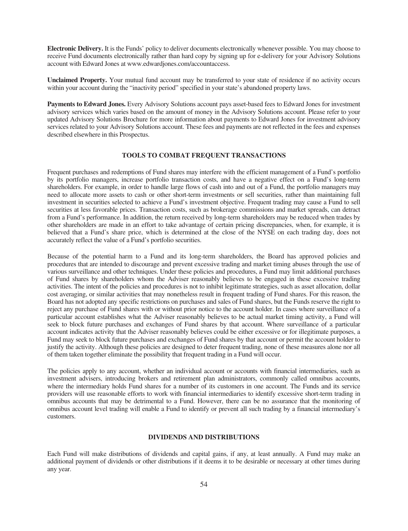**Electronic Delivery.** It is the Funds' policy to deliver documents electronically whenever possible. You may choose to receive Fund documents electronically rather than hard copy by signing up for e-delivery for your Advisory Solutions account with Edward Jones at www.edwardjones.com/accountaccess.

**Unclaimed Property.** Your mutual fund account may be transferred to your state of residence if no activity occurs within your account during the "inactivity period" specified in your state's abandoned property laws.

**Payments to Edward Jones.** Every Advisory Solutions account pays asset-based fees to Edward Jones for investment advisory services which varies based on the amount of money in the Advisory Solutions account. Please refer to your updated Advisory Solutions Brochure for more information about payments to Edward Jones for investment advisory services related to your Advisory Solutions account. These fees and payments are not reflected in the fees and expenses described elsewhere in this Prospectus.

# **TOOLS TO COMBAT FREQUENT TRANSACTIONS**

Frequent purchases and redemptions of Fund shares may interfere with the efficient management of a Fund's portfolio by its portfolio managers, increase portfolio transaction costs, and have a negative effect on a Fund's long-term shareholders. For example, in order to handle large flows of cash into and out of a Fund, the portfolio managers may need to allocate more assets to cash or other short-term investments or sell securities, rather than maintaining full investment in securities selected to achieve a Fund's investment objective. Frequent trading may cause a Fund to sell securities at less favorable prices. Transaction costs, such as brokerage commissions and market spreads, can detract from a Fund's performance. In addition, the return received by long-term shareholders may be reduced when trades by other shareholders are made in an effort to take advantage of certain pricing discrepancies, when, for example, it is believed that a Fund's share price, which is determined at the close of the NYSE on each trading day, does not accurately reflect the value of a Fund's portfolio securities.

Because of the potential harm to a Fund and its long-term shareholders, the Board has approved policies and procedures that are intended to discourage and prevent excessive trading and market timing abuses through the use of various surveillance and other techniques. Under these policies and procedures, a Fund may limit additional purchases of Fund shares by shareholders whom the Adviser reasonably believes to be engaged in these excessive trading activities. The intent of the policies and procedures is not to inhibit legitimate strategies, such as asset allocation, dollar cost averaging, or similar activities that may nonetheless result in frequent trading of Fund shares. For this reason, the Board has not adopted any specific restrictions on purchases and sales of Fund shares, but the Funds reserve the right to reject any purchase of Fund shares with or without prior notice to the account holder. In cases where surveillance of a particular account establishes what the Adviser reasonably believes to be actual market timing activity, a Fund will seek to block future purchases and exchanges of Fund shares by that account. Where surveillance of a particular account indicates activity that the Adviser reasonably believes could be either excessive or for illegitimate purposes, a Fund may seek to block future purchases and exchanges of Fund shares by that account or permit the account holder to justify the activity. Although these policies are designed to deter frequent trading, none of these measures alone nor all of them taken together eliminate the possibility that frequent trading in a Fund will occur.

The policies apply to any account, whether an individual account or accounts with financial intermediaries, such as investment advisers, introducing brokers and retirement plan administrators, commonly called omnibus accounts, where the intermediary holds Fund shares for a number of its customers in one account. The Funds and its service providers will use reasonable efforts to work with financial intermediaries to identify excessive short-term trading in omnibus accounts that may be detrimental to a Fund. However, there can be no assurance that the monitoring of omnibus account level trading will enable a Fund to identify or prevent all such trading by a financial intermediary's customers.

#### **DIVIDENDS AND DISTRIBUTIONS**

Each Fund will make distributions of dividends and capital gains, if any, at least annually. A Fund may make an additional payment of dividends or other distributions if it deems it to be desirable or necessary at other times during any year.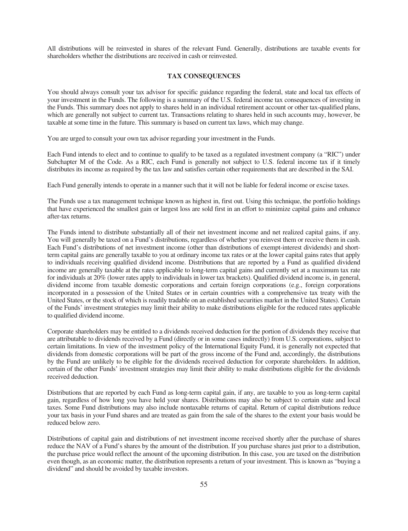All distributions will be reinvested in shares of the relevant Fund. Generally, distributions are taxable events for shareholders whether the distributions are received in cash or reinvested.

# **TAX CONSEQUENCES**

You should always consult your tax advisor for specific guidance regarding the federal, state and local tax effects of your investment in the Funds. The following is a summary of the U.S. federal income tax consequences of investing in the Funds. This summary does not apply to shares held in an individual retirement account or other tax-qualified plans, which are generally not subject to current tax. Transactions relating to shares held in such accounts may, however, be taxable at some time in the future. This summary is based on current tax laws, which may change.

You are urged to consult your own tax advisor regarding your investment in the Funds.

Each Fund intends to elect and to continue to qualify to be taxed as a regulated investment company (a "RIC") under Subchapter M of the Code. As a RIC, each Fund is generally not subject to U.S. federal income tax if it timely distributes its income as required by the tax law and satisfies certain other requirements that are described in the SAI.

Each Fund generally intends to operate in a manner such that it will not be liable for federal income or excise taxes.

The Funds use a tax management technique known as highest in, first out. Using this technique, the portfolio holdings that have experienced the smallest gain or largest loss are sold first in an effort to minimize capital gains and enhance after-tax returns.

The Funds intend to distribute substantially all of their net investment income and net realized capital gains, if any. You will generally be taxed on a Fund's distributions, regardless of whether you reinvest them or receive them in cash. Each Fund's distributions of net investment income (other than distributions of exempt-interest dividends) and shortterm capital gains are generally taxable to you at ordinary income tax rates or at the lower capital gains rates that apply to individuals receiving qualified dividend income. Distributions that are reported by a Fund as qualified dividend income are generally taxable at the rates applicable to long-term capital gains and currently set at a maximum tax rate for individuals at 20% (lower rates apply to individuals in lower tax brackets). Qualified dividend income is, in general, dividend income from taxable domestic corporations and certain foreign corporations (e.g., foreign corporations incorporated in a possession of the United States or in certain countries with a comprehensive tax treaty with the United States, or the stock of which is readily tradable on an established securities market in the United States). Certain of the Funds' investment strategies may limit their ability to make distributions eligible for the reduced rates applicable to qualified dividend income.

Corporate shareholders may be entitled to a dividends received deduction for the portion of dividends they receive that are attributable to dividends received by a Fund (directly or in some cases indirectly) from U.S. corporations, subject to certain limitations. In view of the investment policy of the International Equity Fund, it is generally not expected that dividends from domestic corporations will be part of the gross income of the Fund and, accordingly, the distributions by the Fund are unlikely to be eligible for the dividends received deduction for corporate shareholders. In addition, certain of the other Funds' investment strategies may limit their ability to make distributions eligible for the dividends received deduction.

Distributions that are reported by each Fund as long-term capital gain, if any, are taxable to you as long-term capital gain, regardless of how long you have held your shares. Distributions may also be subject to certain state and local taxes. Some Fund distributions may also include nontaxable returns of capital. Return of capital distributions reduce your tax basis in your Fund shares and are treated as gain from the sale of the shares to the extent your basis would be reduced below zero.

Distributions of capital gain and distributions of net investment income received shortly after the purchase of shares reduce the NAV of a Fund's shares by the amount of the distribution. If you purchase shares just prior to a distribution, the purchase price would reflect the amount of the upcoming distribution. In this case, you are taxed on the distribution even though, as an economic matter, the distribution represents a return of your investment. This is known as "buying a dividend" and should be avoided by taxable investors.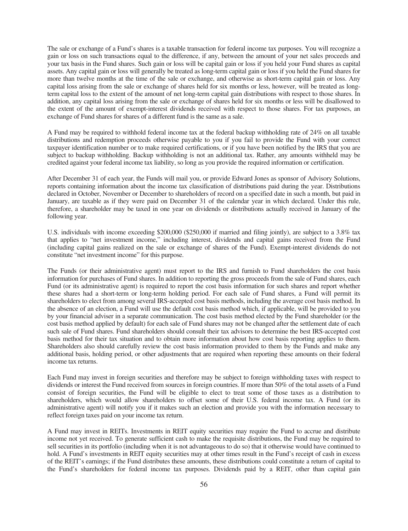The sale or exchange of a Fund's shares is a taxable transaction for federal income tax purposes. You will recognize a gain or loss on such transactions equal to the difference, if any, between the amount of your net sales proceeds and your tax basis in the Fund shares. Such gain or loss will be capital gain or loss if you held your Fund shares as capital assets. Any capital gain or loss will generally be treated as long-term capital gain or loss if you held the Fund shares for more than twelve months at the time of the sale or exchange, and otherwise as short-term capital gain or loss. Any capital loss arising from the sale or exchange of shares held for six months or less, however, will be treated as longterm capital loss to the extent of the amount of net long-term capital gain distributions with respect to those shares. In addition, any capital loss arising from the sale or exchange of shares held for six months or less will be disallowed to the extent of the amount of exempt-interest dividends received with respect to those shares. For tax purposes, an exchange of Fund shares for shares of a different fund is the same as a sale.

A Fund may be required to withhold federal income tax at the federal backup withholding rate of 24% on all taxable distributions and redemption proceeds otherwise payable to you if you fail to provide the Fund with your correct taxpayer identification number or to make required certifications, or if you have been notified by the IRS that you are subject to backup withholding. Backup withholding is not an additional tax. Rather, any amounts withheld may be credited against your federal income tax liability, so long as you provide the required information or certification.

After December 31 of each year, the Funds will mail you, or provide Edward Jones as sponsor of Advisory Solutions, reports containing information about the income tax classification of distributions paid during the year. Distributions declared in October, November or December to shareholders of record on a specified date in such a month, but paid in January, are taxable as if they were paid on December 31 of the calendar year in which declared. Under this rule, therefore, a shareholder may be taxed in one year on dividends or distributions actually received in January of the following year.

U.S. individuals with income exceeding \$200,000 (\$250,000 if married and filing jointly), are subject to a 3.8% tax that applies to "net investment income," including interest, dividends and capital gains received from the Fund (including capital gains realized on the sale or exchange of shares of the Fund). Exempt-interest dividends do not constitute "net investment income" for this purpose.

The Funds (or their administrative agent) must report to the IRS and furnish to Fund shareholders the cost basis information for purchases of Fund shares. In addition to reporting the gross proceeds from the sale of Fund shares, each Fund (or its administrative agent) is required to report the cost basis information for such shares and report whether these shares had a short-term or long-term holding period. For each sale of Fund shares, a Fund will permit its shareholders to elect from among several IRS-accepted cost basis methods, including the average cost basis method. In the absence of an election, a Fund will use the default cost basis method which, if applicable, will be provided to you by your financial adviser in a separate communication. The cost basis method elected by the Fund shareholder (or the cost basis method applied by default) for each sale of Fund shares may not be changed after the settlement date of each such sale of Fund shares. Fund shareholders should consult their tax advisors to determine the best IRS-accepted cost basis method for their tax situation and to obtain more information about how cost basis reporting applies to them. Shareholders also should carefully review the cost basis information provided to them by the Funds and make any additional basis, holding period, or other adjustments that are required when reporting these amounts on their federal income tax returns.

Each Fund may invest in foreign securities and therefore may be subject to foreign withholding taxes with respect to dividends or interest the Fund received from sources in foreign countries. If more than 50% of the total assets of a Fund consist of foreign securities, the Fund will be eligible to elect to treat some of those taxes as a distribution to shareholders, which would allow shareholders to offset some of their U.S. federal income tax. A Fund (or its administrative agent) will notify you if it makes such an election and provide you with the information necessary to reflect foreign taxes paid on your income tax return.

A Fund may invest in REITs. Investments in REIT equity securities may require the Fund to accrue and distribute income not yet received. To generate sufficient cash to make the requisite distributions, the Fund may be required to sell securities in its portfolio (including when it is not advantageous to do so) that it otherwise would have continued to hold. A Fund's investments in REIT equity securities may at other times result in the Fund's receipt of cash in excess of the REIT's earnings; if the Fund distributes these amounts, these distributions could constitute a return of capital to the Fund's shareholders for federal income tax purposes. Dividends paid by a REIT, other than capital gain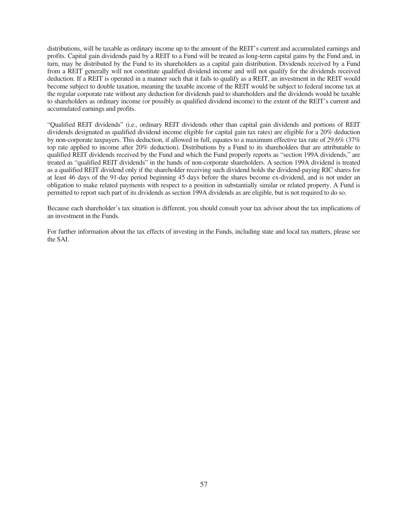distributions, will be taxable as ordinary income up to the amount of the REIT's current and accumulated earnings and profits. Capital gain dividends paid by a REIT to a Fund will be treated as long-term capital gains by the Fund and, in turn, may be distributed by the Fund to its shareholders as a capital gain distribution. Dividends received by a Fund from a REIT generally will not constitute qualified dividend income and will not qualify for the dividends received deduction. If a REIT is operated in a manner such that it fails to qualify as a REIT, an investment in the REIT would become subject to double taxation, meaning the taxable income of the REIT would be subject to federal income tax at the regular corporate rate without any deduction for dividends paid to shareholders and the dividends would be taxable to shareholders as ordinary income (or possibly as qualified dividend income) to the extent of the REIT's current and accumulated earnings and profits.

"Qualified REIT dividends" (i.e., ordinary REIT dividends other than capital gain dividends and portions of REIT dividends designated as qualified dividend income eligible for capital gain tax rates) are eligible for a 20% deduction by non-corporate taxpayers. This deduction, if allowed in full, equates to a maximum effective tax rate of 29.6% (37% top rate applied to income after 20% deduction). Distributions by a Fund to its shareholders that are attributable to qualified REIT dividends received by the Fund and which the Fund properly reports as "section 199A dividends," are treated as "qualified REIT dividends" in the hands of non-corporate shareholders. A section 199A dividend is treated as a qualified REIT dividend only if the shareholder receiving such dividend holds the dividend-paying RIC shares for at least 46 days of the 91-day period beginning 45 days before the shares become ex-dividend, and is not under an obligation to make related payments with respect to a position in substantially similar or related property. A Fund is permitted to report such part of its dividends as section 199A dividends as are eligible, but is not required to do so.

Because each shareholder's tax situation is different, you should consult your tax advisor about the tax implications of an investment in the Funds.

For further information about the tax effects of investing in the Funds, including state and local tax matters, please see the SAI.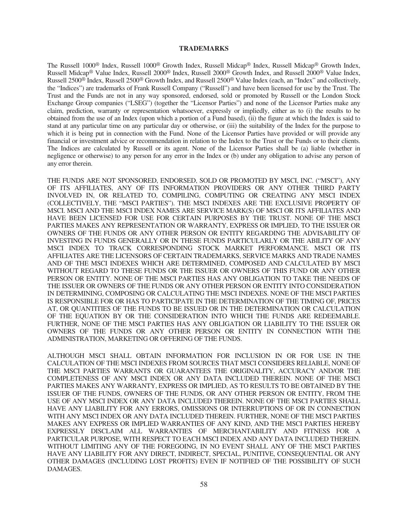# **TRADEMARKS**

<span id="page-59-0"></span>The Russell 1000® Index, Russell 1000® Growth Index, Russell Midcap® Index, Russell Midcap® Growth Index, Russell Midcap® Value Index, Russell 2000® Index, Russell 2000® Growth Index, and Russell 2000® Value Index, Russell 2500® Index, Russell 2500® Growth Index, and Russell 2500® Value Index (each, an "Index" and collectively, the "Indices") are trademarks of Frank Russell Company ("Russell") and have been licensed for use by the Trust. The Trust and the Funds are not in any way sponsored, endorsed, sold or promoted by Russell or the London Stock Exchange Group companies ("LSEG") (together the "Licensor Parties") and none of the Licensor Parties make any claim, prediction, warranty or representation whatsoever, expressly or impliedly, either as to (i) the results to be obtained from the use of an Index (upon which a portion of a Fund based), (ii) the figure at which the Index is said to stand at any particular time on any particular day or otherwise, or (iii) the suitability of the Index for the purpose to which it is being put in connection with the Fund. None of the Licensor Parties have provided or will provide any financial or investment advice or recommendation in relation to the Index to the Trust or the Funds or to their clients. The Indices are calculated by Russell or its agent. None of the Licensor Parties shall be (a) liable (whether in negligence or otherwise) to any person for any error in the Index or (b) under any obligation to advise any person of any error therein.

THE FUNDS ARE NOT SPONSORED, ENDORSED, SOLD OR PROMOTED BY MSCI, INC. ("MSCI"), ANY OF ITS AFFILIATES, ANY OF ITS INFORMATION PROVIDERS OR ANY OTHER THIRD PARTY INVOLVED IN, OR RELATED TO, COMPILING, COMPUTING OR CREATING ANY MSCI INDEX (COLLECTIVELY, THE "MSCI PARTIES"). THE MSCI INDEXES ARE THE EXCLUSIVE PROPERTY OF MSCI. MSCI AND THE MSCI INDEX NAMES ARE SERVICE MARK(S) OF MSCI OR ITS AFFILIATES AND HAVE BEEN LICENSED FOR USE FOR CERTAIN PURPOSES BY THE TRUST. NONE OF THE MSCI PARTIES MAKES ANY REPRESENTATION OR WARRANTY, EXPRESS OR IMPLIED, TO THE ISSUER OR OWNERS OF THE FUNDS OR ANY OTHER PERSON OR ENTITY REGARDING THE ADVISABILITY OF INVESTING IN FUNDS GENERALLY OR IN THESE FUNDS PARTICULARLY OR THE ABILITY OF ANY MSCI INDEX TO TRACK CORRESPONDING STOCK MARKET PERFORMANCE. MSCI OR ITS AFFILIATES ARE THE LICENSORS OF CERTAIN TRADEMARKS, SERVICE MARKS AND TRADE NAMES AND OF THE MSCI INDEXES WHICH ARE DETERMINED, COMPOSED AND CALCULATED BY MSCI WITHOUT REGARD TO THESE FUNDS OR THE ISSUER OR OWNERS OF THIS FUND OR ANY OTHER PERSON OR ENTITY. NONE OF THE MSCI PARTIES HAS ANY OBLIGATION TO TAKE THE NEEDS OF THE ISSUER OR OWNERS OF THE FUNDS OR ANY OTHER PERSON OR ENTITY INTO CONSIDERATION IN DETERMINING, COMPOSING OR CALCULATING THE MSCI INDEXES. NONE OF THE MSCI PARTIES IS RESPONSIBLE FOR OR HAS TO PARTICIPATE IN THE DETERMINATION OF THE TIMING OF, PRICES AT, OR QUANTITIES OF THE FUNDS TO BE ISSUED OR IN THE DETERMINATION OR CALCULATION OF THE EQUATION BY OR THE CONSIDERATION INTO WHICH THE FUNDS ARE REDEEMABLE. FURTHER, NONE OF THE MSCI PARTIES HAS ANY OBLIGATION OR LIABILITY TO THE ISSUER OR OWNERS OF THE FUNDS OR ANY OTHER PERSON OR ENTITY IN CONNECTION WITH THE ADMINISTRATION, MARKETING OR OFFERING OF THE FUNDS.

ALTHOUGH MSCI SHALL OBTAIN INFORMATION FOR INCLUSION IN OR FOR USE IN THE CALCULATION OF THE MSCI INDEXES FROM SOURCES THAT MSCI CONSIDERS RELIABLE, NONE OF THE MSCI PARTIES WARRANTS OR GUARANTEES THE ORIGINALITY, ACCURACY AND/OR THE COMPLETENESS OF ANY MSCI INDEX OR ANY DATA INCLUDED THEREIN. NONE OF THE MSCI PARTIES MAKES ANY WARRANTY, EXPRESS OR IMPLIED, AS TO RESULTS TO BE OBTAINED BY THE ISSUER OF THE FUNDS, OWNERS OF THE FUNDS, OR ANY OTHER PERSON OR ENTITY, FROM THE USE OF ANY MSCI INDEX OR ANY DATA INCLUDED THEREIN. NONE OF THE MSCI PARTIES SHALL HAVE ANY LIABILITY FOR ANY ERRORS, OMISSIONS OR INTERRUPTIONS OF OR IN CONNECTION WITH ANY MSCI INDEX OR ANY DATA INCLUDED THEREIN. FURTHER, NONE OF THE MSCI PARTIES MAKES ANY EXPRESS OR IMPLIED WARRANTIES OF ANY KIND, AND THE MSCI PARTIES HEREBY EXPRESSLY DISCLAIM ALL WARRANTIES OF MERCHANTABILITY AND FITNESS FOR A PARTICULAR PURPOSE, WITH RESPECT TO EACH MSCI INDEX AND ANY DATA INCLUDED THEREIN. WITHOUT LIMITING ANY OF THE FOREGOING, IN NO EVENT SHALL ANY OF THE MSCI PARTIES HAVE ANY LIABILITY FOR ANY DIRECT, INDIRECT, SPECIAL, PUNITIVE, CONSEQUENTIAL OR ANY OTHER DAMAGES (INCLUDING LOST PROFITS) EVEN IF NOTIFIED OF THE POSSIBILITY OF SUCH DAMAGES.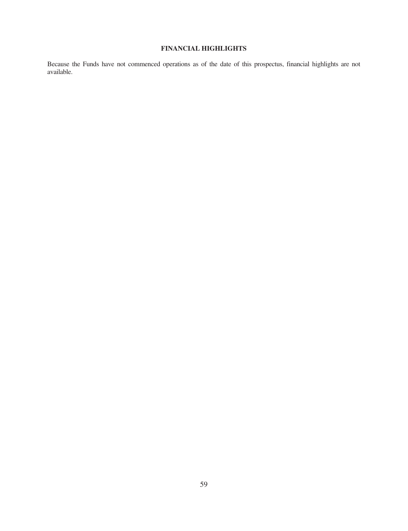# **FINANCIAL HIGHLIGHTS**

<span id="page-60-0"></span>Because the Funds have not commenced operations as of the date of this prospectus, financial highlights are not available.